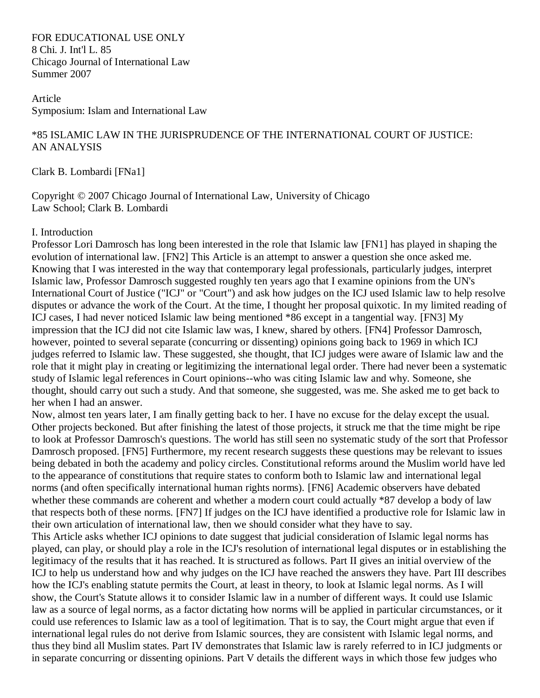FOR EDUCATIONAL USE ONLY 8 Chi. J. Int'l L. 85 Chicago Journal of International Law Summer 2007

Article Symposium: Islam and International Law

## \*85 ISLAMIC LAW IN THE JURISPRUDENCE OF THE INTERNATIONAL COURT OF JUSTICE: AN ANALYSIS

[Clark B. Lombardi](http://web2.westlaw.com/find/default.wl?rp=%2ffind%2fdefault.wl&vc=0&DB=PROFILER%2DWLD&DocName=0321090301&FindType=h&AP=&fn=_top&rs=WLW8.04&mt=LawSchoolPractitioner&vr=2.0&sv=Split) [\[FNa1\]](http://web2.westlaw.com/result/documenttext.aspx?clvl=RCC&rltdb=CLID_DB27399224&effdate=1%2f1%2f0001+12%3a00%3a00+AM&db=JLR%2cAMJUR%2cABAJ%2cALR%2cTP-ALL%2cFEDRLAW&service=Search&sskey=CLID_SSSA27399224&fmqv=s&rlti=1&sv=Split&cnm=Search_5&fn=_top&rs=WLW8.04&cxt=DC&method=TNC&origin=Search&query=%22ISLAMIC+LAW%22++%26++%22INTERNATIONAL+HUMAN+RIGHTS%22&mt=LawSchoolPractitioner&eq=Welcome%2fLawSchoolPractitioner&vr=2.0&rlt=CLID_QRYRLT33399224&n=34&rp=%2fWelcome%2fLawSchoolPractitioner%2fdefault.wl&cnt=DOC&cfid=1&scxt=WL&ssrc=0&ss=CNT#FN;Fa1#FN;Fa1)

Copyright © 2007 Chicago Journal of International Law, University of Chicago Law School; Clark B. Lombardi

#### I. Introduction

Professor Lori Damrosch has long been interested in the role that Islamic law [\[FN1\]](http://web2.westlaw.com/result/documenttext.aspx?clvl=RCC&rltdb=CLID_DB27399224&effdate=1%2f1%2f0001+12%3a00%3a00+AM&db=JLR%2cAMJUR%2cABAJ%2cALR%2cTP-ALL%2cFEDRLAW&service=Search&sskey=CLID_SSSA27399224&fmqv=s&rlti=1&sv=Split&cnm=Search_5&fn=_top&rs=WLW8.04&cxt=DC&method=TNC&origin=Search&query=%22ISLAMIC+LAW%22++%26++%22INTERNATIONAL+HUMAN+RIGHTS%22&mt=LawSchoolPractitioner&eq=Welcome%2fLawSchoolPractitioner&vr=2.0&rlt=CLID_QRYRLT33399224&n=34&rp=%2fWelcome%2fLawSchoolPractitioner%2fdefault.wl&cnt=DOC&cfid=1&scxt=WL&ssrc=0&ss=CNT#FN;F1#FN;F1) has played in shaping the evolution of international law. [\[FN2\]](http://web2.westlaw.com/result/documenttext.aspx?clvl=RCC&rltdb=CLID_DB27399224&effdate=1%2f1%2f0001+12%3a00%3a00+AM&db=JLR%2cAMJUR%2cABAJ%2cALR%2cTP-ALL%2cFEDRLAW&service=Search&sskey=CLID_SSSA27399224&fmqv=s&rlti=1&sv=Split&cnm=Search_5&fn=_top&rs=WLW8.04&cxt=DC&method=TNC&origin=Search&query=%22ISLAMIC+LAW%22++%26++%22INTERNATIONAL+HUMAN+RIGHTS%22&mt=LawSchoolPractitioner&eq=Welcome%2fLawSchoolPractitioner&vr=2.0&rlt=CLID_QRYRLT33399224&n=34&rp=%2fWelcome%2fLawSchoolPractitioner%2fdefault.wl&cnt=DOC&cfid=1&scxt=WL&ssrc=0&ss=CNT#FN;F2#FN;F2) This Article is an attempt to answer a question she once asked me. Knowing that I was interested in the way that contemporary legal professionals, particularly judges, interpret Islamic law, Professor Damrosch suggested roughly ten years ago that I examine opinions from the UN's International Court of Justice ("ICJ" or "Court") and ask how judges on the ICJ used Islamic law to help resolve disputes or advance the work of the Court. At the time, I thought her proposal quixotic. In my limited reading of ICJ cases, I had never noticed Islamic law being mentioned \*86 except in a tangential way. [\[FN3\]](http://web2.westlaw.com/result/documenttext.aspx?clvl=RCC&rltdb=CLID_DB27399224&effdate=1%2f1%2f0001+12%3a00%3a00+AM&db=JLR%2cAMJUR%2cABAJ%2cALR%2cTP-ALL%2cFEDRLAW&service=Search&sskey=CLID_SSSA27399224&fmqv=s&rlti=1&sv=Split&cnm=Search_5&fn=_top&rs=WLW8.04&cxt=DC&method=TNC&origin=Search&query=%22ISLAMIC+LAW%22++%26++%22INTERNATIONAL+HUMAN+RIGHTS%22&mt=LawSchoolPractitioner&eq=Welcome%2fLawSchoolPractitioner&vr=2.0&rlt=CLID_QRYRLT33399224&n=34&rp=%2fWelcome%2fLawSchoolPractitioner%2fdefault.wl&cnt=DOC&cfid=1&scxt=WL&ssrc=0&ss=CNT#FN;F3#FN;F3) My impression that the ICJ did not cite Islamic law was, I knew, shared by others. [\[FN4\]](http://web2.westlaw.com/result/documenttext.aspx?clvl=RCC&rltdb=CLID_DB27399224&effdate=1%2f1%2f0001+12%3a00%3a00+AM&db=JLR%2cAMJUR%2cABAJ%2cALR%2cTP-ALL%2cFEDRLAW&service=Search&sskey=CLID_SSSA27399224&fmqv=s&rlti=1&sv=Split&cnm=Search_5&fn=_top&rs=WLW8.04&cxt=DC&method=TNC&origin=Search&query=%22ISLAMIC+LAW%22++%26++%22INTERNATIONAL+HUMAN+RIGHTS%22&mt=LawSchoolPractitioner&eq=Welcome%2fLawSchoolPractitioner&vr=2.0&rlt=CLID_QRYRLT33399224&n=34&rp=%2fWelcome%2fLawSchoolPractitioner%2fdefault.wl&cnt=DOC&cfid=1&scxt=WL&ssrc=0&ss=CNT#FN;F4#FN;F4) Professor Damrosch, however, pointed to several separate (concurring or dissenting) opinions going back to 1969 in which ICJ judges referred to Islamic law. These suggested, she thought, that ICJ judges were aware of Islamic law and the role that it might play in creating or legitimizing the international legal order. There had never been a systematic study of Islamic legal references in Court opinions--who was citing Islamic law and why. Someone, she thought, should carry out such a study. And that someone, she suggested, was me. She asked me to get back to her when I had an answer.

Now, almost ten years later, I am finally getting back to her. I have no excuse for the delay except the usual. Other projects beckoned. But after finishing the latest of those projects, it struck me that the time might be ripe to look at Professor Damrosch's questions. The world has still seen no systematic study of the sort that Professor Damrosch proposed. [\[FN5\]](http://web2.westlaw.com/result/documenttext.aspx?clvl=RCC&rltdb=CLID_DB27399224&effdate=1%2f1%2f0001+12%3a00%3a00+AM&db=JLR%2cAMJUR%2cABAJ%2cALR%2cTP-ALL%2cFEDRLAW&service=Search&sskey=CLID_SSSA27399224&fmqv=s&rlti=1&sv=Split&cnm=Search_5&fn=_top&rs=WLW8.04&cxt=DC&method=TNC&origin=Search&query=%22ISLAMIC+LAW%22++%26++%22INTERNATIONAL+HUMAN+RIGHTS%22&mt=LawSchoolPractitioner&eq=Welcome%2fLawSchoolPractitioner&vr=2.0&rlt=CLID_QRYRLT33399224&n=34&rp=%2fWelcome%2fLawSchoolPractitioner%2fdefault.wl&cnt=DOC&cfid=1&scxt=WL&ssrc=0&ss=CNT#FN;F5#FN;F5) Furthermore, my recent research suggests these questions may be relevant to issues being debated in both the academy and policy circles. Constitutional reforms around the Muslim world have led to the appearance of constitutions that require states to conform both to Islamic law and international legal norms (and often specifically international human rights norms). [\[FN6\]](http://web2.westlaw.com/result/documenttext.aspx?clvl=RCC&rltdb=CLID_DB27399224&effdate=1%2f1%2f0001+12%3a00%3a00+AM&db=JLR%2cAMJUR%2cABAJ%2cALR%2cTP-ALL%2cFEDRLAW&service=Search&sskey=CLID_SSSA27399224&fmqv=s&rlti=1&sv=Split&cnm=Search_5&fn=_top&rs=WLW8.04&cxt=DC&method=TNC&origin=Search&query=%22ISLAMIC+LAW%22++%26++%22INTERNATIONAL+HUMAN+RIGHTS%22&mt=LawSchoolPractitioner&eq=Welcome%2fLawSchoolPractitioner&vr=2.0&rlt=CLID_QRYRLT33399224&n=34&rp=%2fWelcome%2fLawSchoolPractitioner%2fdefault.wl&cnt=DOC&cfid=1&scxt=WL&ssrc=0&ss=CNT#FN;F6#FN;F6) Academic observers have debated whether these commands are coherent and whether a modern court could actually \*87 develop a body of law that respects both of these norms. [\[FN7\]](http://web2.westlaw.com/result/documenttext.aspx?clvl=RCC&rltdb=CLID_DB27399224&effdate=1%2f1%2f0001+12%3a00%3a00+AM&db=JLR%2cAMJUR%2cABAJ%2cALR%2cTP-ALL%2cFEDRLAW&service=Search&sskey=CLID_SSSA27399224&fmqv=s&rlti=1&sv=Split&cnm=Search_5&fn=_top&rs=WLW8.04&cxt=DC&method=TNC&origin=Search&query=%22ISLAMIC+LAW%22++%26++%22INTERNATIONAL+HUMAN+RIGHTS%22&mt=LawSchoolPractitioner&eq=Welcome%2fLawSchoolPractitioner&vr=2.0&rlt=CLID_QRYRLT33399224&n=34&rp=%2fWelcome%2fLawSchoolPractitioner%2fdefault.wl&cnt=DOC&cfid=1&scxt=WL&ssrc=0&ss=CNT#FN;F7#FN;F7) If judges on the ICJ have identified a productive role for Islamic law in their own articulation of international law, then we should consider what they have to say.

This Article asks whether ICJ opinions to date suggest that judicial consideration of Islamic legal norms has played, can play, or should play a role in the ICJ's resolution of international legal disputes or in establishing the legitimacy of the results that it has reached. It is structured as follows. Part II gives an initial overview of the ICJ to help us understand how and why judges on the ICJ have reached the answers they have. Part III describes how the ICJ's enabling statute permits the Court, at least in theory, to look at Islamic legal norms. As I will show, the Court's Statute allows it to consider Islamic law in a number of different ways. It could use Islamic law as a source of legal norms, as a factor dictating how norms will be applied in particular circumstances, or it could use references to Islamic law as a tool of legitimation. That is to say, the Court might argue that even if international legal rules do not derive from Islamic sources, they are consistent with Islamic legal norms, and thus they bind all Muslim states. Part IV demonstrates that Islamic law is rarely referred to in ICJ judgments or in separate concurring or dissenting opinions. Part V details the different ways in which those few judges who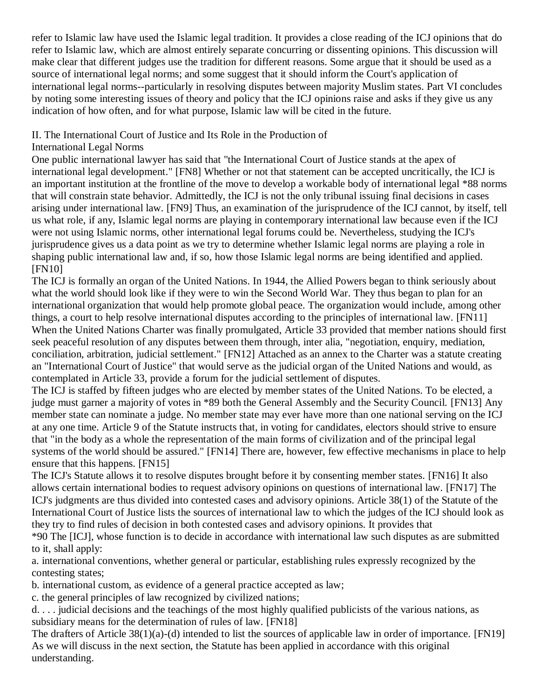refer to Islamic law have used the Islamic legal tradition. It provides a close reading of the ICJ opinions that do refer to Islamic law, which are almost entirely separate concurring or dissenting opinions. This discussion will make clear that different judges use the tradition for different reasons. Some argue that it should be used as a source of international legal norms; and some suggest that it should inform the Court's application of international legal norms--particularly in resolving disputes between majority Muslim states. Part VI concludes by noting some interesting issues of theory and policy that the ICJ opinions raise and asks if they give us any indication of how often, and for what purpose, Islamic law will be cited in the future.

# II. The International Court of Justice and Its Role in the Production of

## International Legal Norms

One public international lawyer has said that "the International Court of Justice stands at the apex of international legal development." [\[FN8\]](http://web2.westlaw.com/result/documenttext.aspx?clvl=RCC&rltdb=CLID_DB27399224&effdate=1%2f1%2f0001+12%3a00%3a00+AM&db=JLR%2cAMJUR%2cABAJ%2cALR%2cTP-ALL%2cFEDRLAW&service=Search&sskey=CLID_SSSA27399224&fmqv=s&rlti=1&sv=Split&cnm=Search_5&fn=_top&rs=WLW8.04&cxt=DC&method=TNC&origin=Search&query=%22ISLAMIC+LAW%22++%26++%22INTERNATIONAL+HUMAN+RIGHTS%22&mt=LawSchoolPractitioner&eq=Welcome%2fLawSchoolPractitioner&vr=2.0&rlt=CLID_QRYRLT33399224&n=34&rp=%2fWelcome%2fLawSchoolPractitioner%2fdefault.wl&cnt=DOC&cfid=1&scxt=WL&ssrc=0&ss=CNT#FN;F8#FN;F8) Whether or not that statement can be accepted uncritically, the ICJ is an important institution at the frontline of the move to develop a workable body of international legal \*88 norms that will constrain state behavior. Admittedly, the ICJ is not the only tribunal issuing final decisions in cases arising under international law. [\[FN9\]](http://web2.westlaw.com/result/documenttext.aspx?clvl=RCC&rltdb=CLID_DB27399224&effdate=1%2f1%2f0001+12%3a00%3a00+AM&db=JLR%2cAMJUR%2cABAJ%2cALR%2cTP-ALL%2cFEDRLAW&service=Search&sskey=CLID_SSSA27399224&fmqv=s&rlti=1&sv=Split&cnm=Search_5&fn=_top&rs=WLW8.04&cxt=DC&method=TNC&origin=Search&query=%22ISLAMIC+LAW%22++%26++%22INTERNATIONAL+HUMAN+RIGHTS%22&mt=LawSchoolPractitioner&eq=Welcome%2fLawSchoolPractitioner&vr=2.0&rlt=CLID_QRYRLT33399224&n=34&rp=%2fWelcome%2fLawSchoolPractitioner%2fdefault.wl&cnt=DOC&cfid=1&scxt=WL&ssrc=0&ss=CNT#FN;F9#FN;F9) Thus, an examination of the jurisprudence of the ICJ cannot, by itself, tell us what role, if any, Islamic legal norms are playing in contemporary international law because even if the ICJ were not using Islamic norms, other international legal forums could be. Nevertheless, studying the ICJ's jurisprudence gives us a data point as we try to determine whether Islamic legal norms are playing a role in shaping public international law and, if so, how those Islamic legal norms are being identified and applied. [\[FN10\]](http://web2.westlaw.com/result/documenttext.aspx?clvl=RCC&rltdb=CLID_DB27399224&effdate=1%2f1%2f0001+12%3a00%3a00+AM&db=JLR%2cAMJUR%2cABAJ%2cALR%2cTP-ALL%2cFEDRLAW&service=Search&sskey=CLID_SSSA27399224&fmqv=s&rlti=1&sv=Split&cnm=Search_5&fn=_top&rs=WLW8.04&cxt=DC&method=TNC&origin=Search&query=%22ISLAMIC+LAW%22++%26++%22INTERNATIONAL+HUMAN+RIGHTS%22&mt=LawSchoolPractitioner&eq=Welcome%2fLawSchoolPractitioner&vr=2.0&rlt=CLID_QRYRLT33399224&n=34&rp=%2fWelcome%2fLawSchoolPractitioner%2fdefault.wl&cnt=DOC&cfid=1&scxt=WL&ssrc=0&ss=CNT#FN;F10#FN;F10)

The ICJ is formally an organ of the United Nations. In 1944, the Allied Powers began to think seriously about what the world should look like if they were to win the Second World War. They thus began to plan for an international organization that would help promote global peace. The organization would include, among other things, a court to help resolve international disputes according to the principles of international law. [\[FN11\]](http://web2.westlaw.com/result/documenttext.aspx?clvl=RCC&rltdb=CLID_DB27399224&effdate=1%2f1%2f0001+12%3a00%3a00+AM&db=JLR%2cAMJUR%2cABAJ%2cALR%2cTP-ALL%2cFEDRLAW&service=Search&sskey=CLID_SSSA27399224&fmqv=s&rlti=1&sv=Split&cnm=Search_5&fn=_top&rs=WLW8.04&cxt=DC&method=TNC&origin=Search&query=%22ISLAMIC+LAW%22++%26++%22INTERNATIONAL+HUMAN+RIGHTS%22&mt=LawSchoolPractitioner&eq=Welcome%2fLawSchoolPractitioner&vr=2.0&rlt=CLID_QRYRLT33399224&n=34&rp=%2fWelcome%2fLawSchoolPractitioner%2fdefault.wl&cnt=DOC&cfid=1&scxt=WL&ssrc=0&ss=CNT#FN;F11#FN;F11) When the United Nations Charter was finally promulgated, Article 33 provided that member nations should first seek peaceful resolution of any disputes between them through, inter alia, "negotiation, enquiry, mediation, conciliation, arbitration, judicial settlement." [\[FN12\]](http://web2.westlaw.com/result/documenttext.aspx?clvl=RCC&rltdb=CLID_DB27399224&effdate=1%2f1%2f0001+12%3a00%3a00+AM&db=JLR%2cAMJUR%2cABAJ%2cALR%2cTP-ALL%2cFEDRLAW&service=Search&sskey=CLID_SSSA27399224&fmqv=s&rlti=1&sv=Split&cnm=Search_5&fn=_top&rs=WLW8.04&cxt=DC&method=TNC&origin=Search&query=%22ISLAMIC+LAW%22++%26++%22INTERNATIONAL+HUMAN+RIGHTS%22&mt=LawSchoolPractitioner&eq=Welcome%2fLawSchoolPractitioner&vr=2.0&rlt=CLID_QRYRLT33399224&n=34&rp=%2fWelcome%2fLawSchoolPractitioner%2fdefault.wl&cnt=DOC&cfid=1&scxt=WL&ssrc=0&ss=CNT#FN;F12#FN;F12) Attached as an annex to the Charter was a statute creating an "International Court of Justice" that would serve as the judicial organ of the United Nations and would, as contemplated in Article 33, provide a forum for the judicial settlement of disputes.

The ICJ is staffed by fifteen judges who are elected by member states of the United Nations. To be elected, a judge must garner a majority of votes in \*89 both the General Assembly and the Security Council. [\[FN13\]](http://web2.westlaw.com/result/documenttext.aspx?clvl=RCC&rltdb=CLID_DB27399224&effdate=1%2f1%2f0001+12%3a00%3a00+AM&db=JLR%2cAMJUR%2cABAJ%2cALR%2cTP-ALL%2cFEDRLAW&service=Search&sskey=CLID_SSSA27399224&fmqv=s&rlti=1&sv=Split&cnm=Search_5&fn=_top&rs=WLW8.04&cxt=DC&method=TNC&origin=Search&query=%22ISLAMIC+LAW%22++%26++%22INTERNATIONAL+HUMAN+RIGHTS%22&mt=LawSchoolPractitioner&eq=Welcome%2fLawSchoolPractitioner&vr=2.0&rlt=CLID_QRYRLT33399224&n=34&rp=%2fWelcome%2fLawSchoolPractitioner%2fdefault.wl&cnt=DOC&cfid=1&scxt=WL&ssrc=0&ss=CNT#FN;F13#FN;F13) Any member state can nominate a judge. No member state may ever have more than one national serving on the ICJ at any one time. Article 9 of the Statute instructs that, in voting for candidates, electors should strive to ensure that "in the body as a whole the representation of the main forms of civilization and of the principal legal systems of the world should be assured." [\[FN14\]](http://web2.westlaw.com/result/documenttext.aspx?clvl=RCC&rltdb=CLID_DB27399224&effdate=1%2f1%2f0001+12%3a00%3a00+AM&db=JLR%2cAMJUR%2cABAJ%2cALR%2cTP-ALL%2cFEDRLAW&service=Search&sskey=CLID_SSSA27399224&fmqv=s&rlti=1&sv=Split&cnm=Search_5&fn=_top&rs=WLW8.04&cxt=DC&method=TNC&origin=Search&query=%22ISLAMIC+LAW%22++%26++%22INTERNATIONAL+HUMAN+RIGHTS%22&mt=LawSchoolPractitioner&eq=Welcome%2fLawSchoolPractitioner&vr=2.0&rlt=CLID_QRYRLT33399224&n=34&rp=%2fWelcome%2fLawSchoolPractitioner%2fdefault.wl&cnt=DOC&cfid=1&scxt=WL&ssrc=0&ss=CNT#FN;F14#FN;F14) There are, however, few effective mechanisms in place to help ensure that this happens. [\[FN15\]](http://web2.westlaw.com/result/documenttext.aspx?clvl=RCC&rltdb=CLID_DB27399224&effdate=1%2f1%2f0001+12%3a00%3a00+AM&db=JLR%2cAMJUR%2cABAJ%2cALR%2cTP-ALL%2cFEDRLAW&service=Search&sskey=CLID_SSSA27399224&fmqv=s&rlti=1&sv=Split&cnm=Search_5&fn=_top&rs=WLW8.04&cxt=DC&method=TNC&origin=Search&query=%22ISLAMIC+LAW%22++%26++%22INTERNATIONAL+HUMAN+RIGHTS%22&mt=LawSchoolPractitioner&eq=Welcome%2fLawSchoolPractitioner&vr=2.0&rlt=CLID_QRYRLT33399224&n=34&rp=%2fWelcome%2fLawSchoolPractitioner%2fdefault.wl&cnt=DOC&cfid=1&scxt=WL&ssrc=0&ss=CNT#FN;F15#FN;F15)

The ICJ's Statute allows it to resolve disputes brought before it by consenting member states. [\[FN16\]](http://web2.westlaw.com/result/documenttext.aspx?clvl=RCC&rltdb=CLID_DB27399224&effdate=1%2f1%2f0001+12%3a00%3a00+AM&db=JLR%2cAMJUR%2cABAJ%2cALR%2cTP-ALL%2cFEDRLAW&service=Search&sskey=CLID_SSSA27399224&fmqv=s&rlti=1&sv=Split&cnm=Search_5&fn=_top&rs=WLW8.04&cxt=DC&method=TNC&origin=Search&query=%22ISLAMIC+LAW%22++%26++%22INTERNATIONAL+HUMAN+RIGHTS%22&mt=LawSchoolPractitioner&eq=Welcome%2fLawSchoolPractitioner&vr=2.0&rlt=CLID_QRYRLT33399224&n=34&rp=%2fWelcome%2fLawSchoolPractitioner%2fdefault.wl&cnt=DOC&cfid=1&scxt=WL&ssrc=0&ss=CNT#FN;F16#FN;F16) It also allows certain international bodies to request advisory opinions on questions of international law. [\[FN17\]](http://web2.westlaw.com/result/documenttext.aspx?clvl=RCC&rltdb=CLID_DB27399224&effdate=1%2f1%2f0001+12%3a00%3a00+AM&db=JLR%2cAMJUR%2cABAJ%2cALR%2cTP-ALL%2cFEDRLAW&service=Search&sskey=CLID_SSSA27399224&fmqv=s&rlti=1&sv=Split&cnm=Search_5&fn=_top&rs=WLW8.04&cxt=DC&method=TNC&origin=Search&query=%22ISLAMIC+LAW%22++%26++%22INTERNATIONAL+HUMAN+RIGHTS%22&mt=LawSchoolPractitioner&eq=Welcome%2fLawSchoolPractitioner&vr=2.0&rlt=CLID_QRYRLT33399224&n=34&rp=%2fWelcome%2fLawSchoolPractitioner%2fdefault.wl&cnt=DOC&cfid=1&scxt=WL&ssrc=0&ss=CNT#FN;F17#FN;F17) The ICJ's judgments are thus divided into contested cases and advisory opinions. Article 38(1) of the Statute of the International Court of Justice lists the sources of international law to which the judges of the ICJ should look as they try to find rules of decision in both contested cases and advisory opinions. It provides that

\*90 The [ICJ], whose function is to decide in accordance with international law such disputes as are submitted to it, shall apply:

a. international conventions, whether general or particular, establishing rules expressly recognized by the contesting states;

b. international custom, as evidence of a general practice accepted as law;

c. the general principles of law recognized by civilized nations;

d. . . . judicial decisions and the teachings of the most highly qualified publicists of the various nations, as subsidiary means for the determination of rules of law. [\[FN18\]](http://web2.westlaw.com/result/documenttext.aspx?clvl=RCC&rltdb=CLID_DB27399224&effdate=1%2f1%2f0001+12%3a00%3a00+AM&db=JLR%2cAMJUR%2cABAJ%2cALR%2cTP-ALL%2cFEDRLAW&service=Search&sskey=CLID_SSSA27399224&fmqv=s&rlti=1&sv=Split&cnm=Search_5&fn=_top&rs=WLW8.04&cxt=DC&method=TNC&origin=Search&query=%22ISLAMIC+LAW%22++%26++%22INTERNATIONAL+HUMAN+RIGHTS%22&mt=LawSchoolPractitioner&eq=Welcome%2fLawSchoolPractitioner&vr=2.0&rlt=CLID_QRYRLT33399224&n=34&rp=%2fWelcome%2fLawSchoolPractitioner%2fdefault.wl&cnt=DOC&cfid=1&scxt=WL&ssrc=0&ss=CNT#FN;F18#FN;F18)

The drafters of Article 38(1)(a)-(d) intended to list the sources of applicable law in order of importance. [\[FN19\]](http://web2.westlaw.com/result/documenttext.aspx?clvl=RCC&rltdb=CLID_DB27399224&effdate=1%2f1%2f0001+12%3a00%3a00+AM&db=JLR%2cAMJUR%2cABAJ%2cALR%2cTP-ALL%2cFEDRLAW&service=Search&sskey=CLID_SSSA27399224&fmqv=s&rlti=1&sv=Split&cnm=Search_5&fn=_top&rs=WLW8.04&cxt=DC&method=TNC&origin=Search&query=%22ISLAMIC+LAW%22++%26++%22INTERNATIONAL+HUMAN+RIGHTS%22&mt=LawSchoolPractitioner&eq=Welcome%2fLawSchoolPractitioner&vr=2.0&rlt=CLID_QRYRLT33399224&n=34&rp=%2fWelcome%2fLawSchoolPractitioner%2fdefault.wl&cnt=DOC&cfid=1&scxt=WL&ssrc=0&ss=CNT#FN;F19#FN;F19) As we will discuss in the next section, the Statute has been applied in accordance with this original understanding.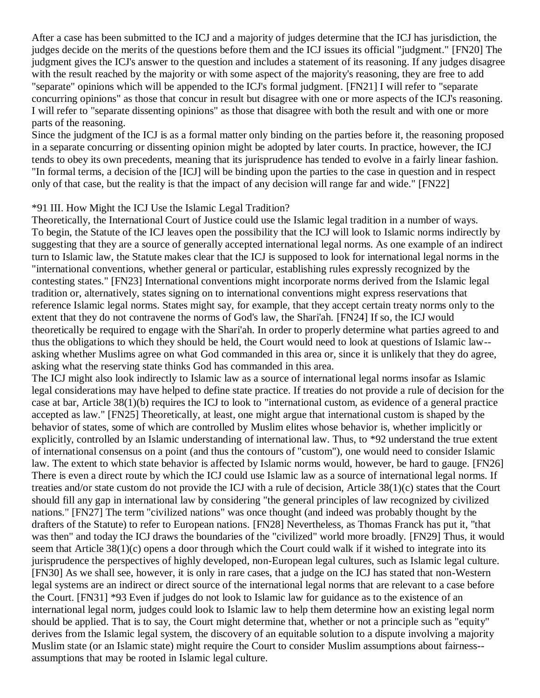After a case has been submitted to the ICJ and a majority of judges determine that the ICJ has jurisdiction, the judges decide on the merits of the questions before them and the ICJ issues its official "judgment." [\[FN20\]](http://web2.westlaw.com/result/documenttext.aspx?clvl=RCC&rltdb=CLID_DB27399224&effdate=1%2f1%2f0001+12%3a00%3a00+AM&db=JLR%2cAMJUR%2cABAJ%2cALR%2cTP-ALL%2cFEDRLAW&service=Search&sskey=CLID_SSSA27399224&fmqv=s&rlti=1&sv=Split&cnm=Search_5&fn=_top&rs=WLW8.04&cxt=DC&method=TNC&origin=Search&query=%22ISLAMIC+LAW%22++%26++%22INTERNATIONAL+HUMAN+RIGHTS%22&mt=LawSchoolPractitioner&eq=Welcome%2fLawSchoolPractitioner&vr=2.0&rlt=CLID_QRYRLT33399224&n=34&rp=%2fWelcome%2fLawSchoolPractitioner%2fdefault.wl&cnt=DOC&cfid=1&scxt=WL&ssrc=0&ss=CNT#FN;F20#FN;F20) The judgment gives the ICJ's answer to the question and includes a statement of its reasoning. If any judges disagree with the result reached by the majority or with some aspect of the majority's reasoning, they are free to add "separate" opinions which will be appended to the ICJ's formal judgment. [\[FN21\]](http://web2.westlaw.com/result/documenttext.aspx?clvl=RCC&rltdb=CLID_DB27399224&effdate=1%2f1%2f0001+12%3a00%3a00+AM&db=JLR%2cAMJUR%2cABAJ%2cALR%2cTP-ALL%2cFEDRLAW&service=Search&sskey=CLID_SSSA27399224&fmqv=s&rlti=1&sv=Split&cnm=Search_5&fn=_top&rs=WLW8.04&cxt=DC&method=TNC&origin=Search&query=%22ISLAMIC+LAW%22++%26++%22INTERNATIONAL+HUMAN+RIGHTS%22&mt=LawSchoolPractitioner&eq=Welcome%2fLawSchoolPractitioner&vr=2.0&rlt=CLID_QRYRLT33399224&n=34&rp=%2fWelcome%2fLawSchoolPractitioner%2fdefault.wl&cnt=DOC&cfid=1&scxt=WL&ssrc=0&ss=CNT#FN;F21#FN;F21) I will refer to "separate concurring opinions" as those that concur in result but disagree with one or more aspects of the ICJ's reasoning. I will refer to "separate dissenting opinions" as those that disagree with both the result and with one or more parts of the reasoning.

Since the judgment of the ICJ is as a formal matter only binding on the parties before it, the reasoning proposed in a separate concurring or dissenting opinion might be adopted by later courts. In practice, however, the ICJ tends to obey its own precedents, meaning that its jurisprudence has tended to evolve in a fairly linear fashion. "In formal terms, a decision of the [ICJ] will be binding upon the parties to the case in question and in respect only of that case, but the reality is that the impact of any decision will range far and wide." [\[FN22\]](http://web2.westlaw.com/result/documenttext.aspx?clvl=RCC&rltdb=CLID_DB27399224&effdate=1%2f1%2f0001+12%3a00%3a00+AM&db=JLR%2cAMJUR%2cABAJ%2cALR%2cTP-ALL%2cFEDRLAW&service=Search&sskey=CLID_SSSA27399224&fmqv=s&rlti=1&sv=Split&cnm=Search_5&fn=_top&rs=WLW8.04&cxt=DC&method=TNC&origin=Search&query=%22ISLAMIC+LAW%22++%26++%22INTERNATIONAL+HUMAN+RIGHTS%22&mt=LawSchoolPractitioner&eq=Welcome%2fLawSchoolPractitioner&vr=2.0&rlt=CLID_QRYRLT33399224&n=34&rp=%2fWelcome%2fLawSchoolPractitioner%2fdefault.wl&cnt=DOC&cfid=1&scxt=WL&ssrc=0&ss=CNT#FN;F22#FN;F22)

#### \*91 III. How Might the ICJ Use the Islamic Legal Tradition?

Theoretically, the International Court of Justice could use the Islamic legal tradition in a number of ways. To begin, the Statute of the ICJ leaves open the possibility that the ICJ will look to Islamic norms indirectly by suggesting that they are a source of generally accepted international legal norms. As one example of an indirect turn to Islamic law, the Statute makes clear that the ICJ is supposed to look for international legal norms in the "international conventions, whether general or particular, establishing rules expressly recognized by the contesting states." [\[FN23\]](http://web2.westlaw.com/result/documenttext.aspx?clvl=RCC&rltdb=CLID_DB27399224&effdate=1%2f1%2f0001+12%3a00%3a00+AM&db=JLR%2cAMJUR%2cABAJ%2cALR%2cTP-ALL%2cFEDRLAW&service=Search&sskey=CLID_SSSA27399224&fmqv=s&rlti=1&sv=Split&cnm=Search_5&fn=_top&rs=WLW8.04&cxt=DC&method=TNC&origin=Search&query=%22ISLAMIC+LAW%22++%26++%22INTERNATIONAL+HUMAN+RIGHTS%22&mt=LawSchoolPractitioner&eq=Welcome%2fLawSchoolPractitioner&vr=2.0&rlt=CLID_QRYRLT33399224&n=34&rp=%2fWelcome%2fLawSchoolPractitioner%2fdefault.wl&cnt=DOC&cfid=1&scxt=WL&ssrc=0&ss=CNT#FN;F23#FN;F23) International conventions might incorporate norms derived from the Islamic legal tradition or, alternatively, states signing on to international conventions might express reservations that reference Islamic legal norms. States might say, for example, that they accept certain treaty norms only to the extent that they do not contravene the norms of God's law, the Shari'ah. [\[FN24\]](http://web2.westlaw.com/result/documenttext.aspx?clvl=RCC&rltdb=CLID_DB27399224&effdate=1%2f1%2f0001+12%3a00%3a00+AM&db=JLR%2cAMJUR%2cABAJ%2cALR%2cTP-ALL%2cFEDRLAW&service=Search&sskey=CLID_SSSA27399224&fmqv=s&rlti=1&sv=Split&cnm=Search_5&fn=_top&rs=WLW8.04&cxt=DC&method=TNC&origin=Search&query=%22ISLAMIC+LAW%22++%26++%22INTERNATIONAL+HUMAN+RIGHTS%22&mt=LawSchoolPractitioner&eq=Welcome%2fLawSchoolPractitioner&vr=2.0&rlt=CLID_QRYRLT33399224&n=34&rp=%2fWelcome%2fLawSchoolPractitioner%2fdefault.wl&cnt=DOC&cfid=1&scxt=WL&ssrc=0&ss=CNT#FN;F24#FN;F24) If so, the ICJ would theoretically be required to engage with the Shari'ah. In order to properly determine what parties agreed to and thus the obligations to which they should be held, the Court would need to look at questions of Islamic law- asking whether Muslims agree on what God commanded in this area or, since it is unlikely that they do agree, asking what the reserving state thinks God has commanded in this area.

The ICJ might also look indirectly to Islamic law as a source of international legal norms insofar as Islamic legal considerations may have helped to define state practice. If treaties do not provide a rule of decision for the case at bar, Article 38(1)(b) requires the ICJ to look to "international custom, as evidence of a general practice accepted as law." [\[FN25\]](http://web2.westlaw.com/result/documenttext.aspx?clvl=RCC&rltdb=CLID_DB27399224&effdate=1%2f1%2f0001+12%3a00%3a00+AM&db=JLR%2cAMJUR%2cABAJ%2cALR%2cTP-ALL%2cFEDRLAW&service=Search&sskey=CLID_SSSA27399224&fmqv=s&rlti=1&sv=Split&cnm=Search_5&fn=_top&rs=WLW8.04&cxt=DC&method=TNC&origin=Search&query=%22ISLAMIC+LAW%22++%26++%22INTERNATIONAL+HUMAN+RIGHTS%22&mt=LawSchoolPractitioner&eq=Welcome%2fLawSchoolPractitioner&vr=2.0&rlt=CLID_QRYRLT33399224&n=34&rp=%2fWelcome%2fLawSchoolPractitioner%2fdefault.wl&cnt=DOC&cfid=1&scxt=WL&ssrc=0&ss=CNT#FN;F25#FN;F25) Theoretically, at least, one might argue that international custom is shaped by the behavior of states, some of which are controlled by Muslim elites whose behavior is, whether implicitly or explicitly, controlled by an Islamic understanding of international law. Thus, to \*92 understand the true extent of international consensus on a point (and thus the contours of "custom"), one would need to consider Islamic law. The extent to which state behavior is affected by Islamic norms would, however, be hard to gauge. [\[FN26\]](http://web2.westlaw.com/result/documenttext.aspx?clvl=RCC&rltdb=CLID_DB27399224&effdate=1%2f1%2f0001+12%3a00%3a00+AM&db=JLR%2cAMJUR%2cABAJ%2cALR%2cTP-ALL%2cFEDRLAW&service=Search&sskey=CLID_SSSA27399224&fmqv=s&rlti=1&sv=Split&cnm=Search_5&fn=_top&rs=WLW8.04&cxt=DC&method=TNC&origin=Search&query=%22ISLAMIC+LAW%22++%26++%22INTERNATIONAL+HUMAN+RIGHTS%22&mt=LawSchoolPractitioner&eq=Welcome%2fLawSchoolPractitioner&vr=2.0&rlt=CLID_QRYRLT33399224&n=34&rp=%2fWelcome%2fLawSchoolPractitioner%2fdefault.wl&cnt=DOC&cfid=1&scxt=WL&ssrc=0&ss=CNT#FN;F26#FN;F26) There is even a direct route by which the ICJ could use Islamic law as a source of international legal norms. If treaties and/or state custom do not provide the ICJ with a rule of decision, Article 38(1)(c) states that the Court should fill any gap in international law by considering "the general principles of law recognized by civilized nations." [\[FN27\]](http://web2.westlaw.com/result/documenttext.aspx?clvl=RCC&rltdb=CLID_DB27399224&effdate=1%2f1%2f0001+12%3a00%3a00+AM&db=JLR%2cAMJUR%2cABAJ%2cALR%2cTP-ALL%2cFEDRLAW&service=Search&sskey=CLID_SSSA27399224&fmqv=s&rlti=1&sv=Split&cnm=Search_5&fn=_top&rs=WLW8.04&cxt=DC&method=TNC&origin=Search&query=%22ISLAMIC+LAW%22++%26++%22INTERNATIONAL+HUMAN+RIGHTS%22&mt=LawSchoolPractitioner&eq=Welcome%2fLawSchoolPractitioner&vr=2.0&rlt=CLID_QRYRLT33399224&n=34&rp=%2fWelcome%2fLawSchoolPractitioner%2fdefault.wl&cnt=DOC&cfid=1&scxt=WL&ssrc=0&ss=CNT#FN;F27#FN;F27) The term "civilized nations" was once thought (and indeed was probably thought by the drafters of the Statute) to refer to European nations. [\[FN28\]](http://web2.westlaw.com/result/documenttext.aspx?clvl=RCC&rltdb=CLID_DB27399224&effdate=1%2f1%2f0001+12%3a00%3a00+AM&db=JLR%2cAMJUR%2cABAJ%2cALR%2cTP-ALL%2cFEDRLAW&service=Search&sskey=CLID_SSSA27399224&fmqv=s&rlti=1&sv=Split&cnm=Search_5&fn=_top&rs=WLW8.04&cxt=DC&method=TNC&origin=Search&query=%22ISLAMIC+LAW%22++%26++%22INTERNATIONAL+HUMAN+RIGHTS%22&mt=LawSchoolPractitioner&eq=Welcome%2fLawSchoolPractitioner&vr=2.0&rlt=CLID_QRYRLT33399224&n=34&rp=%2fWelcome%2fLawSchoolPractitioner%2fdefault.wl&cnt=DOC&cfid=1&scxt=WL&ssrc=0&ss=CNT#FN;F28#FN;F28) Nevertheless, as Thomas Franck has put it, "that was then" and today the ICJ draws the boundaries of the "civilized" world more broadly. [\[FN29\]](http://web2.westlaw.com/result/documenttext.aspx?clvl=RCC&rltdb=CLID_DB27399224&effdate=1%2f1%2f0001+12%3a00%3a00+AM&db=JLR%2cAMJUR%2cABAJ%2cALR%2cTP-ALL%2cFEDRLAW&service=Search&sskey=CLID_SSSA27399224&fmqv=s&rlti=1&sv=Split&cnm=Search_5&fn=_top&rs=WLW8.04&cxt=DC&method=TNC&origin=Search&query=%22ISLAMIC+LAW%22++%26++%22INTERNATIONAL+HUMAN+RIGHTS%22&mt=LawSchoolPractitioner&eq=Welcome%2fLawSchoolPractitioner&vr=2.0&rlt=CLID_QRYRLT33399224&n=34&rp=%2fWelcome%2fLawSchoolPractitioner%2fdefault.wl&cnt=DOC&cfid=1&scxt=WL&ssrc=0&ss=CNT#FN;F29#FN;F29) Thus, it would seem that Article 38(1)(c) opens a door through which the Court could walk if it wished to integrate into its jurisprudence the perspectives of highly developed, non-European legal cultures, such as Islamic legal culture. [\[FN30\]](http://web2.westlaw.com/result/documenttext.aspx?clvl=RCC&rltdb=CLID_DB27399224&effdate=1%2f1%2f0001+12%3a00%3a00+AM&db=JLR%2cAMJUR%2cABAJ%2cALR%2cTP-ALL%2cFEDRLAW&service=Search&sskey=CLID_SSSA27399224&fmqv=s&rlti=1&sv=Split&cnm=Search_5&fn=_top&rs=WLW8.04&cxt=DC&method=TNC&origin=Search&query=%22ISLAMIC+LAW%22++%26++%22INTERNATIONAL+HUMAN+RIGHTS%22&mt=LawSchoolPractitioner&eq=Welcome%2fLawSchoolPractitioner&vr=2.0&rlt=CLID_QRYRLT33399224&n=34&rp=%2fWelcome%2fLawSchoolPractitioner%2fdefault.wl&cnt=DOC&cfid=1&scxt=WL&ssrc=0&ss=CNT#FN;F30#FN;F30) As we shall see, however, it is only in rare cases, that a judge on the ICJ has stated that non-Western legal systems are an indirect or direct source of the international legal norms that are relevant to a case before the Court. [\[FN31\]](http://web2.westlaw.com/result/documenttext.aspx?clvl=RCC&rltdb=CLID_DB27399224&effdate=1%2f1%2f0001+12%3a00%3a00+AM&db=JLR%2cAMJUR%2cABAJ%2cALR%2cTP-ALL%2cFEDRLAW&service=Search&sskey=CLID_SSSA27399224&fmqv=s&rlti=1&sv=Split&cnm=Search_5&fn=_top&rs=WLW8.04&cxt=DC&method=TNC&origin=Search&query=%22ISLAMIC+LAW%22++%26++%22INTERNATIONAL+HUMAN+RIGHTS%22&mt=LawSchoolPractitioner&eq=Welcome%2fLawSchoolPractitioner&vr=2.0&rlt=CLID_QRYRLT33399224&n=34&rp=%2fWelcome%2fLawSchoolPractitioner%2fdefault.wl&cnt=DOC&cfid=1&scxt=WL&ssrc=0&ss=CNT#FN;F31#FN;F31) \*93 Even if judges do not look to Islamic law for guidance as to the existence of an international legal norm, judges could look to Islamic law to help them determine how an existing legal norm should be applied. That is to say, the Court might determine that, whether or not a principle such as "equity" derives from the Islamic legal system, the discovery of an equitable solution to a dispute involving a majority Muslim state (or an Islamic state) might require the Court to consider Muslim assumptions about fairness- assumptions that may be rooted in Islamic legal culture.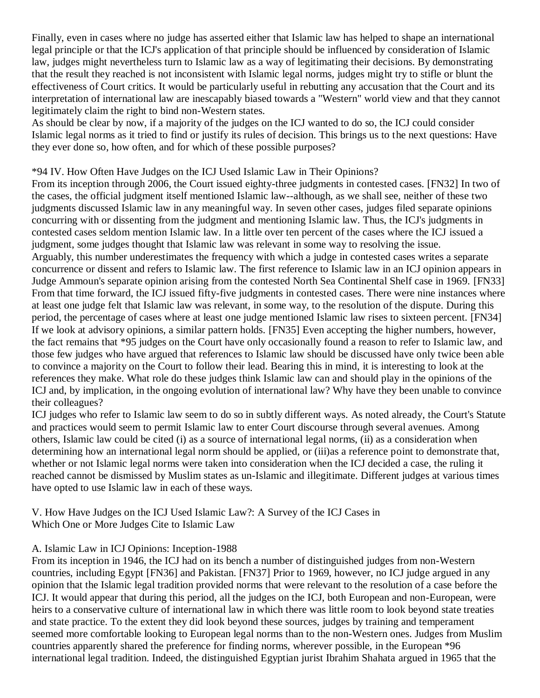Finally, even in cases where no judge has asserted either that Islamic law has helped to shape an international legal principle or that the ICJ's application of that principle should be influenced by consideration of Islamic law, judges might nevertheless turn to Islamic law as a way of legitimating their decisions. By demonstrating that the result they reached is not inconsistent with Islamic legal norms, judges might try to stifle or blunt the effectiveness of Court critics. It would be particularly useful in rebutting any accusation that the Court and its interpretation of international law are inescapably biased towards a "Western" world view and that they cannot legitimately claim the right to bind non-Western states.

As should be clear by now, if a majority of the judges on the ICJ wanted to do so, the ICJ could consider Islamic legal norms as it tried to find or justify its rules of decision. This brings us to the next questions: Have they ever done so, how often, and for which of these possible purposes?

\*94 IV. How Often Have Judges on the ICJ Used Islamic Law in Their Opinions?

From its inception through 2006, the Court issued eighty-three judgments in contested cases. [\[FN32\]](http://web2.westlaw.com/result/documenttext.aspx?clvl=RCC&rltdb=CLID_DB27399224&effdate=1%2f1%2f0001+12%3a00%3a00+AM&db=JLR%2cAMJUR%2cABAJ%2cALR%2cTP-ALL%2cFEDRLAW&service=Search&sskey=CLID_SSSA27399224&fmqv=s&rlti=1&sv=Split&cnm=Search_5&fn=_top&rs=WLW8.04&cxt=DC&method=TNC&origin=Search&query=%22ISLAMIC+LAW%22++%26++%22INTERNATIONAL+HUMAN+RIGHTS%22&mt=LawSchoolPractitioner&eq=Welcome%2fLawSchoolPractitioner&vr=2.0&rlt=CLID_QRYRLT33399224&n=34&rp=%2fWelcome%2fLawSchoolPractitioner%2fdefault.wl&cnt=DOC&cfid=1&scxt=WL&ssrc=0&ss=CNT#FN;F32#FN;F32) In two of the cases, the official judgment itself mentioned Islamic law--although, as we shall see, neither of these two judgments discussed Islamic law in any meaningful way. In seven other cases, judges filed separate opinions concurring with or dissenting from the judgment and mentioning Islamic law. Thus, the ICJ's judgments in contested cases seldom mention Islamic law. In a little over ten percent of the cases where the ICJ issued a judgment, some judges thought that Islamic law was relevant in some way to resolving the issue. Arguably, this number underestimates the frequency with which a judge in contested cases writes a separate concurrence or dissent and refers to Islamic law. The first reference to Islamic law in an ICJ opinion appears in Judge Ammoun's separate opinion arising from the contested North Sea Continental Shelf case in 1969. [\[FN33\]](http://web2.westlaw.com/result/documenttext.aspx?clvl=RCC&rltdb=CLID_DB27399224&effdate=1%2f1%2f0001+12%3a00%3a00+AM&db=JLR%2cAMJUR%2cABAJ%2cALR%2cTP-ALL%2cFEDRLAW&service=Search&sskey=CLID_SSSA27399224&fmqv=s&rlti=1&sv=Split&cnm=Search_5&fn=_top&rs=WLW8.04&cxt=DC&method=TNC&origin=Search&query=%22ISLAMIC+LAW%22++%26++%22INTERNATIONAL+HUMAN+RIGHTS%22&mt=LawSchoolPractitioner&eq=Welcome%2fLawSchoolPractitioner&vr=2.0&rlt=CLID_QRYRLT33399224&n=34&rp=%2fWelcome%2fLawSchoolPractitioner%2fdefault.wl&cnt=DOC&cfid=1&scxt=WL&ssrc=0&ss=CNT#FN;F33#FN;F33) From that time forward, the ICJ issued fifty-five judgments in contested cases. There were nine instances where at least one judge felt that Islamic law was relevant, in some way, to the resolution of the dispute. During this period, the percentage of cases where at least one judge mentioned Islamic law rises to sixteen percent. [\[FN34\]](http://web2.westlaw.com/result/documenttext.aspx?clvl=RCC&rltdb=CLID_DB27399224&effdate=1%2f1%2f0001+12%3a00%3a00+AM&db=JLR%2cAMJUR%2cABAJ%2cALR%2cTP-ALL%2cFEDRLAW&service=Search&sskey=CLID_SSSA27399224&fmqv=s&rlti=1&sv=Split&cnm=Search_5&fn=_top&rs=WLW8.04&cxt=DC&method=TNC&origin=Search&query=%22ISLAMIC+LAW%22++%26++%22INTERNATIONAL+HUMAN+RIGHTS%22&mt=LawSchoolPractitioner&eq=Welcome%2fLawSchoolPractitioner&vr=2.0&rlt=CLID_QRYRLT33399224&n=34&rp=%2fWelcome%2fLawSchoolPractitioner%2fdefault.wl&cnt=DOC&cfid=1&scxt=WL&ssrc=0&ss=CNT#FN;F34#FN;F34) If we look at advisory opinions, a similar pattern holds. [\[FN35\]](http://web2.westlaw.com/result/documenttext.aspx?clvl=RCC&rltdb=CLID_DB27399224&effdate=1%2f1%2f0001+12%3a00%3a00+AM&db=JLR%2cAMJUR%2cABAJ%2cALR%2cTP-ALL%2cFEDRLAW&service=Search&sskey=CLID_SSSA27399224&fmqv=s&rlti=1&sv=Split&cnm=Search_5&fn=_top&rs=WLW8.04&cxt=DC&method=TNC&origin=Search&query=%22ISLAMIC+LAW%22++%26++%22INTERNATIONAL+HUMAN+RIGHTS%22&mt=LawSchoolPractitioner&eq=Welcome%2fLawSchoolPractitioner&vr=2.0&rlt=CLID_QRYRLT33399224&n=34&rp=%2fWelcome%2fLawSchoolPractitioner%2fdefault.wl&cnt=DOC&cfid=1&scxt=WL&ssrc=0&ss=CNT#FN;F35#FN;F35) Even accepting the higher numbers, however, the fact remains that \*95 judges on the Court have only occasionally found a reason to refer to Islamic law, and those few judges who have argued that references to Islamic law should be discussed have only twice been able to convince a majority on the Court to follow their lead. Bearing this in mind, it is interesting to look at the references they make. What role do these judges think Islamic law can and should play in the opinions of the ICJ and, by implication, in the ongoing evolution of international law? Why have they been unable to convince their colleagues?

ICJ judges who refer to Islamic law seem to do so in subtly different ways. As noted already, the Court's Statute and practices would seem to permit Islamic law to enter Court discourse through several avenues. Among others, Islamic law could be cited (i) as a source of international legal norms, (ii) as a consideration when determining how an international legal norm should be applied, or (iii) as a reference point to demonstrate that, whether or not Islamic legal norms were taken into consideration when the ICJ decided a case, the ruling it reached cannot be dismissed by Muslim states as un-Islamic and illegitimate. Different judges at various times have opted to use Islamic law in each of these ways.

V. How Have Judges on the ICJ Used Islamic Law?: A Survey of the ICJ Cases in Which One or More Judges Cite to Islamic Law

## A. Islamic Law in ICJ Opinions: Inception-1988

From its inception in 1946, the ICJ had on its bench a number of distinguished judges from non-Western countries, including Egypt [\[FN36\]](http://web2.westlaw.com/result/documenttext.aspx?clvl=RCC&rltdb=CLID_DB27399224&effdate=1%2f1%2f0001+12%3a00%3a00+AM&db=JLR%2cAMJUR%2cABAJ%2cALR%2cTP-ALL%2cFEDRLAW&service=Search&sskey=CLID_SSSA27399224&fmqv=s&rlti=1&sv=Split&cnm=Search_5&fn=_top&rs=WLW8.04&cxt=DC&method=TNC&origin=Search&query=%22ISLAMIC+LAW%22++%26++%22INTERNATIONAL+HUMAN+RIGHTS%22&mt=LawSchoolPractitioner&eq=Welcome%2fLawSchoolPractitioner&vr=2.0&rlt=CLID_QRYRLT33399224&n=34&rp=%2fWelcome%2fLawSchoolPractitioner%2fdefault.wl&cnt=DOC&cfid=1&scxt=WL&ssrc=0&ss=CNT#FN;F36#FN;F36) and Pakistan. [\[FN37\]](http://web2.westlaw.com/result/documenttext.aspx?clvl=RCC&rltdb=CLID_DB27399224&effdate=1%2f1%2f0001+12%3a00%3a00+AM&db=JLR%2cAMJUR%2cABAJ%2cALR%2cTP-ALL%2cFEDRLAW&service=Search&sskey=CLID_SSSA27399224&fmqv=s&rlti=1&sv=Split&cnm=Search_5&fn=_top&rs=WLW8.04&cxt=DC&method=TNC&origin=Search&query=%22ISLAMIC+LAW%22++%26++%22INTERNATIONAL+HUMAN+RIGHTS%22&mt=LawSchoolPractitioner&eq=Welcome%2fLawSchoolPractitioner&vr=2.0&rlt=CLID_QRYRLT33399224&n=34&rp=%2fWelcome%2fLawSchoolPractitioner%2fdefault.wl&cnt=DOC&cfid=1&scxt=WL&ssrc=0&ss=CNT#FN;F37#FN;F37) Prior to 1969, however, no ICJ judge argued in any opinion that the Islamic legal tradition provided norms that were relevant to the resolution of a case before the ICJ. It would appear that during this period, all the judges on the ICJ, both European and non-European, were heirs to a conservative culture of international law in which there was little room to look beyond state treaties and state practice. To the extent they did look beyond these sources, judges by training and temperament seemed more comfortable looking to European legal norms than to the non-Western ones. Judges from Muslim countries apparently shared the preference for finding norms, wherever possible, in the European \*96 international legal tradition. Indeed, the distinguished Egyptian jurist Ibrahim Shahata argued in 1965 that the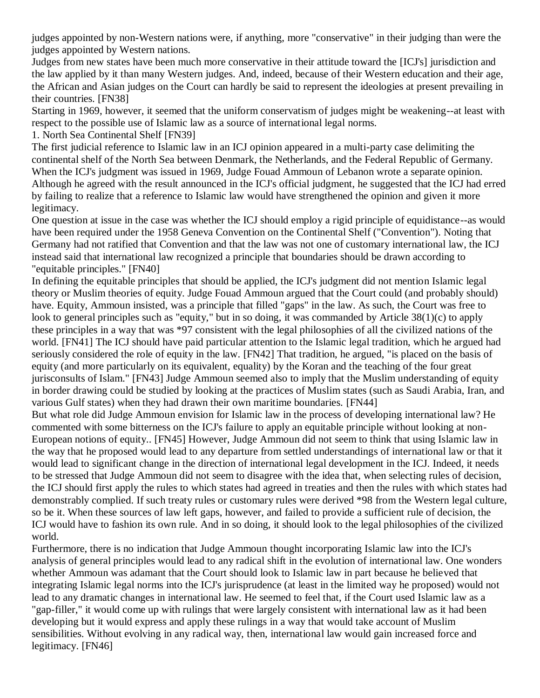judges appointed by non-Western nations were, if anything, more "conservative" in their judging than were the judges appointed by Western nations.

Judges from new states have been much more conservative in their attitude toward the [ICJ's] jurisdiction and the law applied by it than many Western judges. And, indeed, because of their Western education and their age, the African and Asian judges on the Court can hardly be said to represent the ideologies at present prevailing in their countries. [\[FN38\]](http://web2.westlaw.com/result/documenttext.aspx?clvl=RCC&rltdb=CLID_DB27399224&effdate=1%2f1%2f0001+12%3a00%3a00+AM&db=JLR%2cAMJUR%2cABAJ%2cALR%2cTP-ALL%2cFEDRLAW&service=Search&sskey=CLID_SSSA27399224&fmqv=s&rlti=1&sv=Split&cnm=Search_5&fn=_top&rs=WLW8.04&cxt=DC&method=TNC&origin=Search&query=%22ISLAMIC+LAW%22++%26++%22INTERNATIONAL+HUMAN+RIGHTS%22&mt=LawSchoolPractitioner&eq=Welcome%2fLawSchoolPractitioner&vr=2.0&rlt=CLID_QRYRLT33399224&n=34&rp=%2fWelcome%2fLawSchoolPractitioner%2fdefault.wl&cnt=DOC&cfid=1&scxt=WL&ssrc=0&ss=CNT#FN;F38#FN;F38)

Starting in 1969, however, it seemed that the uniform conservatism of judges might be weakening--at least with respect to the possible use of Islamic law as a source of international legal norms.

1. North Sea Continental Shelf [\[FN39\]](http://web2.westlaw.com/result/documenttext.aspx?clvl=RCC&rltdb=CLID_DB27399224&effdate=1%2f1%2f0001+12%3a00%3a00+AM&db=JLR%2cAMJUR%2cABAJ%2cALR%2cTP-ALL%2cFEDRLAW&service=Search&sskey=CLID_SSSA27399224&fmqv=s&rlti=1&sv=Split&cnm=Search_5&fn=_top&rs=WLW8.04&cxt=DC&method=TNC&origin=Search&query=%22ISLAMIC+LAW%22++%26++%22INTERNATIONAL+HUMAN+RIGHTS%22&mt=LawSchoolPractitioner&eq=Welcome%2fLawSchoolPractitioner&vr=2.0&rlt=CLID_QRYRLT33399224&n=34&rp=%2fWelcome%2fLawSchoolPractitioner%2fdefault.wl&cnt=DOC&cfid=1&scxt=WL&ssrc=0&ss=CNT#FN;F39#FN;F39)

The first judicial reference to Islamic law in an ICJ opinion appeared in a multi-party case delimiting the continental shelf of the North Sea between Denmark, the Netherlands, and the Federal Republic of Germany. When the ICJ's judgment was issued in 1969, Judge Fouad Ammoun of Lebanon wrote a separate opinion. Although he agreed with the result announced in the ICJ's official judgment, he suggested that the ICJ had erred by failing to realize that a reference to Islamic law would have strengthened the opinion and given it more legitimacy.

One question at issue in the case was whether the ICJ should employ a rigid principle of equidistance--as would have been required under the 1958 Geneva Convention on the Continental Shelf ("Convention"). Noting that Germany had not ratified that Convention and that the law was not one of customary international law, the ICJ instead said that international law recognized a principle that boundaries should be drawn according to "equitable principles." [\[FN40\]](http://web2.westlaw.com/result/documenttext.aspx?clvl=RCC&rltdb=CLID_DB27399224&effdate=1%2f1%2f0001+12%3a00%3a00+AM&db=JLR%2cAMJUR%2cABAJ%2cALR%2cTP-ALL%2cFEDRLAW&service=Search&sskey=CLID_SSSA27399224&fmqv=s&rlti=1&sv=Split&cnm=Search_5&fn=_top&rs=WLW8.04&cxt=DC&method=TNC&origin=Search&query=%22ISLAMIC+LAW%22++%26++%22INTERNATIONAL+HUMAN+RIGHTS%22&mt=LawSchoolPractitioner&eq=Welcome%2fLawSchoolPractitioner&vr=2.0&rlt=CLID_QRYRLT33399224&n=34&rp=%2fWelcome%2fLawSchoolPractitioner%2fdefault.wl&cnt=DOC&cfid=1&scxt=WL&ssrc=0&ss=CNT#FN;F40#FN;F40)

In defining the equitable principles that should be applied, the ICJ's judgment did not mention Islamic legal theory or Muslim theories of equity. Judge Fouad Ammoun argued that the Court could (and probably should) have. Equity, Ammoun insisted, was a principle that filled "gaps" in the law. As such, the Court was free to look to general principles such as "equity," but in so doing, it was commanded by Article 38(1)(c) to apply these principles in a way that was \*97 consistent with the legal philosophies of all the civilized nations of the world. [\[FN41\]](http://web2.westlaw.com/result/documenttext.aspx?clvl=RCC&rltdb=CLID_DB27399224&effdate=1%2f1%2f0001+12%3a00%3a00+AM&db=JLR%2cAMJUR%2cABAJ%2cALR%2cTP-ALL%2cFEDRLAW&service=Search&sskey=CLID_SSSA27399224&fmqv=s&rlti=1&sv=Split&cnm=Search_5&fn=_top&rs=WLW8.04&cxt=DC&method=TNC&origin=Search&query=%22ISLAMIC+LAW%22++%26++%22INTERNATIONAL+HUMAN+RIGHTS%22&mt=LawSchoolPractitioner&eq=Welcome%2fLawSchoolPractitioner&vr=2.0&rlt=CLID_QRYRLT33399224&n=34&rp=%2fWelcome%2fLawSchoolPractitioner%2fdefault.wl&cnt=DOC&cfid=1&scxt=WL&ssrc=0&ss=CNT#FN;F41#FN;F41) The ICJ should have paid particular attention to the Islamic legal tradition, which he argued had seriously considered the role of equity in the law. [\[FN42\]](http://web2.westlaw.com/result/documenttext.aspx?clvl=RCC&rltdb=CLID_DB27399224&effdate=1%2f1%2f0001+12%3a00%3a00+AM&db=JLR%2cAMJUR%2cABAJ%2cALR%2cTP-ALL%2cFEDRLAW&service=Search&sskey=CLID_SSSA27399224&fmqv=s&rlti=1&sv=Split&cnm=Search_5&fn=_top&rs=WLW8.04&cxt=DC&method=TNC&origin=Search&query=%22ISLAMIC+LAW%22++%26++%22INTERNATIONAL+HUMAN+RIGHTS%22&mt=LawSchoolPractitioner&eq=Welcome%2fLawSchoolPractitioner&vr=2.0&rlt=CLID_QRYRLT33399224&n=34&rp=%2fWelcome%2fLawSchoolPractitioner%2fdefault.wl&cnt=DOC&cfid=1&scxt=WL&ssrc=0&ss=CNT#FN;F42#FN;F42) That tradition, he argued, "is placed on the basis of equity (and more particularly on its equivalent, equality) by the Koran and the teaching of the four great jurisconsults of Islam." [\[FN43\]](http://web2.westlaw.com/result/documenttext.aspx?clvl=RCC&rltdb=CLID_DB27399224&effdate=1%2f1%2f0001+12%3a00%3a00+AM&db=JLR%2cAMJUR%2cABAJ%2cALR%2cTP-ALL%2cFEDRLAW&service=Search&sskey=CLID_SSSA27399224&fmqv=s&rlti=1&sv=Split&cnm=Search_5&fn=_top&rs=WLW8.04&cxt=DC&method=TNC&origin=Search&query=%22ISLAMIC+LAW%22++%26++%22INTERNATIONAL+HUMAN+RIGHTS%22&mt=LawSchoolPractitioner&eq=Welcome%2fLawSchoolPractitioner&vr=2.0&rlt=CLID_QRYRLT33399224&n=34&rp=%2fWelcome%2fLawSchoolPractitioner%2fdefault.wl&cnt=DOC&cfid=1&scxt=WL&ssrc=0&ss=CNT#FN;F43#FN;F43) Judge Ammoun seemed also to imply that the Muslim understanding of equity in border drawing could be studied by looking at the practices of Muslim states (such as Saudi Arabia, Iran, and various Gulf states) when they had drawn their own maritime boundaries. [\[FN44\]](http://web2.westlaw.com/result/documenttext.aspx?clvl=RCC&rltdb=CLID_DB27399224&effdate=1%2f1%2f0001+12%3a00%3a00+AM&db=JLR%2cAMJUR%2cABAJ%2cALR%2cTP-ALL%2cFEDRLAW&service=Search&sskey=CLID_SSSA27399224&fmqv=s&rlti=1&sv=Split&cnm=Search_5&fn=_top&rs=WLW8.04&cxt=DC&method=TNC&origin=Search&query=%22ISLAMIC+LAW%22++%26++%22INTERNATIONAL+HUMAN+RIGHTS%22&mt=LawSchoolPractitioner&eq=Welcome%2fLawSchoolPractitioner&vr=2.0&rlt=CLID_QRYRLT33399224&n=34&rp=%2fWelcome%2fLawSchoolPractitioner%2fdefault.wl&cnt=DOC&cfid=1&scxt=WL&ssrc=0&ss=CNT#FN;F44#FN;F44)

But what role did Judge Ammoun envision for Islamic law in the process of developing international law? He commented with some bitterness on the ICJ's failure to apply an equitable principle without looking at non-European notions of equity.. [\[FN45\]](http://web2.westlaw.com/result/documenttext.aspx?clvl=RCC&rltdb=CLID_DB27399224&effdate=1%2f1%2f0001+12%3a00%3a00+AM&db=JLR%2cAMJUR%2cABAJ%2cALR%2cTP-ALL%2cFEDRLAW&service=Search&sskey=CLID_SSSA27399224&fmqv=s&rlti=1&sv=Split&cnm=Search_5&fn=_top&rs=WLW8.04&cxt=DC&method=TNC&origin=Search&query=%22ISLAMIC+LAW%22++%26++%22INTERNATIONAL+HUMAN+RIGHTS%22&mt=LawSchoolPractitioner&eq=Welcome%2fLawSchoolPractitioner&vr=2.0&rlt=CLID_QRYRLT33399224&n=34&rp=%2fWelcome%2fLawSchoolPractitioner%2fdefault.wl&cnt=DOC&cfid=1&scxt=WL&ssrc=0&ss=CNT#FN;F45#FN;F45) However, Judge Ammoun did not seem to think that using Islamic law in the way that he proposed would lead to any departure from settled understandings of international law or that it would lead to significant change in the direction of international legal development in the ICJ. Indeed, it needs to be stressed that Judge Ammoun did not seem to disagree with the idea that, when selecting rules of decision, the ICJ should first apply the rules to which states had agreed in treaties and then the rules with which states had demonstrably complied. If such treaty rules or customary rules were derived \*98 from the Western legal culture, so be it. When these sources of law left gaps, however, and failed to provide a sufficient rule of decision, the ICJ would have to fashion its own rule. And in so doing, it should look to the legal philosophies of the civilized world.

Furthermore, there is no indication that Judge Ammoun thought incorporating Islamic law into the ICJ's analysis of general principles would lead to any radical shift in the evolution of international law. One wonders whether Ammoun was adamant that the Court should look to Islamic law in part because he believed that integrating Islamic legal norms into the ICJ's jurisprudence (at least in the limited way he proposed) would not lead to any dramatic changes in international law. He seemed to feel that, if the Court used Islamic law as a "gap-filler," it would come up with rulings that were largely consistent with international law as it had been developing but it would express and apply these rulings in a way that would take account of Muslim sensibilities. Without evolving in any radical way, then, international law would gain increased force and legitimacy. [\[FN46\]](http://web2.westlaw.com/result/documenttext.aspx?clvl=RCC&rltdb=CLID_DB27399224&effdate=1%2f1%2f0001+12%3a00%3a00+AM&db=JLR%2cAMJUR%2cABAJ%2cALR%2cTP-ALL%2cFEDRLAW&service=Search&sskey=CLID_SSSA27399224&fmqv=s&rlti=1&sv=Split&cnm=Search_5&fn=_top&rs=WLW8.04&cxt=DC&method=TNC&origin=Search&query=%22ISLAMIC+LAW%22++%26++%22INTERNATIONAL+HUMAN+RIGHTS%22&mt=LawSchoolPractitioner&eq=Welcome%2fLawSchoolPractitioner&vr=2.0&rlt=CLID_QRYRLT33399224&n=34&rp=%2fWelcome%2fLawSchoolPractitioner%2fdefault.wl&cnt=DOC&cfid=1&scxt=WL&ssrc=0&ss=CNT#FN;F46#FN;F46)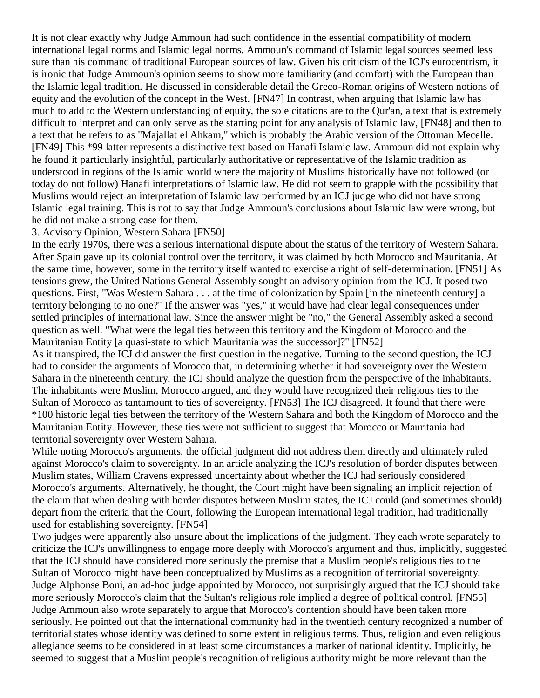It is not clear exactly why Judge Ammoun had such confidence in the essential compatibility of modern international legal norms and Islamic legal norms. Ammoun's command of Islamic legal sources seemed less sure than his command of traditional European sources of law. Given his criticism of the ICJ's eurocentrism, it is ironic that Judge Ammoun's opinion seems to show more familiarity (and comfort) with the European than the Islamic legal tradition. He discussed in considerable detail the Greco-Roman origins of Western notions of equity and the evolution of the concept in the West. [\[FN47\]](http://web2.westlaw.com/result/documenttext.aspx?clvl=RCC&rltdb=CLID_DB27399224&effdate=1%2f1%2f0001+12%3a00%3a00+AM&db=JLR%2cAMJUR%2cABAJ%2cALR%2cTP-ALL%2cFEDRLAW&service=Search&sskey=CLID_SSSA27399224&fmqv=s&rlti=1&sv=Split&cnm=Search_5&fn=_top&rs=WLW8.04&cxt=DC&method=TNC&origin=Search&query=%22ISLAMIC+LAW%22++%26++%22INTERNATIONAL+HUMAN+RIGHTS%22&mt=LawSchoolPractitioner&eq=Welcome%2fLawSchoolPractitioner&vr=2.0&rlt=CLID_QRYRLT33399224&n=34&rp=%2fWelcome%2fLawSchoolPractitioner%2fdefault.wl&cnt=DOC&cfid=1&scxt=WL&ssrc=0&ss=CNT#FN;F47#FN;F47) In contrast, when arguing that Islamic law has much to add to the Western understanding of equity, the sole citations are to the Qur'an, a text that is extremely difficult to interpret and can only serve as the starting point for any analysis of Islamic law, [\[FN48\]](http://web2.westlaw.com/result/documenttext.aspx?clvl=RCC&rltdb=CLID_DB27399224&effdate=1%2f1%2f0001+12%3a00%3a00+AM&db=JLR%2cAMJUR%2cABAJ%2cALR%2cTP-ALL%2cFEDRLAW&service=Search&sskey=CLID_SSSA27399224&fmqv=s&rlti=1&sv=Split&cnm=Search_5&fn=_top&rs=WLW8.04&cxt=DC&method=TNC&origin=Search&query=%22ISLAMIC+LAW%22++%26++%22INTERNATIONAL+HUMAN+RIGHTS%22&mt=LawSchoolPractitioner&eq=Welcome%2fLawSchoolPractitioner&vr=2.0&rlt=CLID_QRYRLT33399224&n=34&rp=%2fWelcome%2fLawSchoolPractitioner%2fdefault.wl&cnt=DOC&cfid=1&scxt=WL&ssrc=0&ss=CNT#FN;F48#FN;F48) and then to a text that he refers to as "Majallat el Ahkam," which is probably the Arabic version of the Ottoman Mecelle. [\[FN49\]](http://web2.westlaw.com/result/documenttext.aspx?clvl=RCC&rltdb=CLID_DB27399224&effdate=1%2f1%2f0001+12%3a00%3a00+AM&db=JLR%2cAMJUR%2cABAJ%2cALR%2cTP-ALL%2cFEDRLAW&service=Search&sskey=CLID_SSSA27399224&fmqv=s&rlti=1&sv=Split&cnm=Search_5&fn=_top&rs=WLW8.04&cxt=DC&method=TNC&origin=Search&query=%22ISLAMIC+LAW%22++%26++%22INTERNATIONAL+HUMAN+RIGHTS%22&mt=LawSchoolPractitioner&eq=Welcome%2fLawSchoolPractitioner&vr=2.0&rlt=CLID_QRYRLT33399224&n=34&rp=%2fWelcome%2fLawSchoolPractitioner%2fdefault.wl&cnt=DOC&cfid=1&scxt=WL&ssrc=0&ss=CNT#FN;F49#FN;F49) This \*99 latter represents a distinctive text based on Hanafi Islamic law. Ammoun did not explain why he found it particularly insightful, particularly authoritative or representative of the Islamic tradition as understood in regions of the Islamic world where the majority of Muslims historically have not followed (or today do not follow) Hanafi interpretations of Islamic law. He did not seem to grapple with the possibility that Muslims would reject an interpretation of Islamic law performed by an ICJ judge who did not have strong Islamic legal training. This is not to say that Judge Ammoun's conclusions about Islamic law were wrong, but he did not make a strong case for them.

#### 3. Advisory Opinion, Western Sahara [\[FN50\]](http://web2.westlaw.com/result/documenttext.aspx?clvl=RCC&rltdb=CLID_DB27399224&effdate=1%2f1%2f0001+12%3a00%3a00+AM&db=JLR%2cAMJUR%2cABAJ%2cALR%2cTP-ALL%2cFEDRLAW&service=Search&sskey=CLID_SSSA27399224&fmqv=s&rlti=1&sv=Split&cnm=Search_5&fn=_top&rs=WLW8.04&cxt=DC&method=TNC&origin=Search&query=%22ISLAMIC+LAW%22++%26++%22INTERNATIONAL+HUMAN+RIGHTS%22&mt=LawSchoolPractitioner&eq=Welcome%2fLawSchoolPractitioner&vr=2.0&rlt=CLID_QRYRLT33399224&n=34&rp=%2fWelcome%2fLawSchoolPractitioner%2fdefault.wl&cnt=DOC&cfid=1&scxt=WL&ssrc=0&ss=CNT#FN;F50#FN;F50)

In the early 1970s, there was a serious international dispute about the status of the territory of Western Sahara. After Spain gave up its colonial control over the territory, it was claimed by both Morocco and Mauritania. At the same time, however, some in the territory itself wanted to exercise a right of self-determination. [\[FN51\]](http://web2.westlaw.com/result/documenttext.aspx?clvl=RCC&rltdb=CLID_DB27399224&effdate=1%2f1%2f0001+12%3a00%3a00+AM&db=JLR%2cAMJUR%2cABAJ%2cALR%2cTP-ALL%2cFEDRLAW&service=Search&sskey=CLID_SSSA27399224&fmqv=s&rlti=1&sv=Split&cnm=Search_5&fn=_top&rs=WLW8.04&cxt=DC&method=TNC&origin=Search&query=%22ISLAMIC+LAW%22++%26++%22INTERNATIONAL+HUMAN+RIGHTS%22&mt=LawSchoolPractitioner&eq=Welcome%2fLawSchoolPractitioner&vr=2.0&rlt=CLID_QRYRLT33399224&n=34&rp=%2fWelcome%2fLawSchoolPractitioner%2fdefault.wl&cnt=DOC&cfid=1&scxt=WL&ssrc=0&ss=CNT#FN;F51#FN;F51) As tensions grew, the United Nations General Assembly sought an advisory opinion from the ICJ. It posed two questions. First, "Was Western Sahara . . . at the time of colonization by Spain [in the nineteenth century] a territory belonging to no one?" If the answer was "yes," it would have had clear legal consequences under settled principles of international law. Since the answer might be "no," the General Assembly asked a second question as well: "What were the legal ties between this territory and the Kingdom of Morocco and the Mauritanian Entity [a quasi-state to which Mauritania was the successor]?" [\[FN52\]](http://web2.westlaw.com/result/documenttext.aspx?clvl=RCC&rltdb=CLID_DB27399224&effdate=1%2f1%2f0001+12%3a00%3a00+AM&db=JLR%2cAMJUR%2cABAJ%2cALR%2cTP-ALL%2cFEDRLAW&service=Search&sskey=CLID_SSSA27399224&fmqv=s&rlti=1&sv=Split&cnm=Search_5&fn=_top&rs=WLW8.04&cxt=DC&method=TNC&origin=Search&query=%22ISLAMIC+LAW%22++%26++%22INTERNATIONAL+HUMAN+RIGHTS%22&mt=LawSchoolPractitioner&eq=Welcome%2fLawSchoolPractitioner&vr=2.0&rlt=CLID_QRYRLT33399224&n=34&rp=%2fWelcome%2fLawSchoolPractitioner%2fdefault.wl&cnt=DOC&cfid=1&scxt=WL&ssrc=0&ss=CNT#FN;F52#FN;F52)

As it transpired, the ICJ did answer the first question in the negative. Turning to the second question, the ICJ had to consider the arguments of Morocco that, in determining whether it had sovereignty over the Western Sahara in the nineteenth century, the ICJ should analyze the question from the perspective of the inhabitants. The inhabitants were Muslim, Morocco argued, and they would have recognized their religious ties to the Sultan of Morocco as tantamount to ties of sovereignty. [\[FN53\]](http://web2.westlaw.com/result/documenttext.aspx?clvl=RCC&rltdb=CLID_DB27399224&effdate=1%2f1%2f0001+12%3a00%3a00+AM&db=JLR%2cAMJUR%2cABAJ%2cALR%2cTP-ALL%2cFEDRLAW&service=Search&sskey=CLID_SSSA27399224&fmqv=s&rlti=1&sv=Split&cnm=Search_5&fn=_top&rs=WLW8.04&cxt=DC&method=TNC&origin=Search&query=%22ISLAMIC+LAW%22++%26++%22INTERNATIONAL+HUMAN+RIGHTS%22&mt=LawSchoolPractitioner&eq=Welcome%2fLawSchoolPractitioner&vr=2.0&rlt=CLID_QRYRLT33399224&n=34&rp=%2fWelcome%2fLawSchoolPractitioner%2fdefault.wl&cnt=DOC&cfid=1&scxt=WL&ssrc=0&ss=CNT#FN;F53#FN;F53) The ICJ disagreed. It found that there were \*100 historic legal ties between the territory of the Western Sahara and both the Kingdom of Morocco and the Mauritanian Entity. However, these ties were not sufficient to suggest that Morocco or Mauritania had territorial sovereignty over Western Sahara.

While noting Morocco's arguments, the official judgment did not address them directly and ultimately ruled against Morocco's claim to sovereignty. In an article analyzing the ICJ's resolution of border disputes between Muslim states, William Cravens expressed uncertainty about whether the ICJ had seriously considered Morocco's arguments. Alternatively, he thought, the Court might have been signaling an implicit rejection of the claim that when dealing with border disputes between Muslim states, the ICJ could (and sometimes should) depart from the criteria that the Court, following the European international legal tradition, had traditionally used for establishing sovereignty. [\[FN54\]](http://web2.westlaw.com/result/documenttext.aspx?clvl=RCC&rltdb=CLID_DB27399224&effdate=1%2f1%2f0001+12%3a00%3a00+AM&db=JLR%2cAMJUR%2cABAJ%2cALR%2cTP-ALL%2cFEDRLAW&service=Search&sskey=CLID_SSSA27399224&fmqv=s&rlti=1&sv=Split&cnm=Search_5&fn=_top&rs=WLW8.04&cxt=DC&method=TNC&origin=Search&query=%22ISLAMIC+LAW%22++%26++%22INTERNATIONAL+HUMAN+RIGHTS%22&mt=LawSchoolPractitioner&eq=Welcome%2fLawSchoolPractitioner&vr=2.0&rlt=CLID_QRYRLT33399224&n=34&rp=%2fWelcome%2fLawSchoolPractitioner%2fdefault.wl&cnt=DOC&cfid=1&scxt=WL&ssrc=0&ss=CNT#FN;F54#FN;F54)

Two judges were apparently also unsure about the implications of the judgment. They each wrote separately to criticize the ICJ's unwillingness to engage more deeply with Morocco's argument and thus, implicitly, suggested that the ICJ should have considered more seriously the premise that a Muslim people's religious ties to the Sultan of Morocco might have been conceptualized by Muslims as a recognition of territorial sovereignty. Judge Alphonse Boni, an ad-hoc judge appointed by Morocco, not surprisingly argued that the ICJ should take more seriously Morocco's claim that the Sultan's religious role implied a degree of political control. [\[FN55\]](http://web2.westlaw.com/result/documenttext.aspx?clvl=RCC&rltdb=CLID_DB27399224&effdate=1%2f1%2f0001+12%3a00%3a00+AM&db=JLR%2cAMJUR%2cABAJ%2cALR%2cTP-ALL%2cFEDRLAW&service=Search&sskey=CLID_SSSA27399224&fmqv=s&rlti=1&sv=Split&cnm=Search_5&fn=_top&rs=WLW8.04&cxt=DC&method=TNC&origin=Search&query=%22ISLAMIC+LAW%22++%26++%22INTERNATIONAL+HUMAN+RIGHTS%22&mt=LawSchoolPractitioner&eq=Welcome%2fLawSchoolPractitioner&vr=2.0&rlt=CLID_QRYRLT33399224&n=34&rp=%2fWelcome%2fLawSchoolPractitioner%2fdefault.wl&cnt=DOC&cfid=1&scxt=WL&ssrc=0&ss=CNT#FN;F55#FN;F55) Judge Ammoun also wrote separately to argue that Morocco's contention should have been taken more seriously. He pointed out that the international community had in the twentieth century recognized a number of territorial states whose identity was defined to some extent in religious terms. Thus, religion and even religious allegiance seems to be considered in at least some circumstances a marker of national identity. Implicitly, he seemed to suggest that a Muslim people's recognition of religious authority might be more relevant than the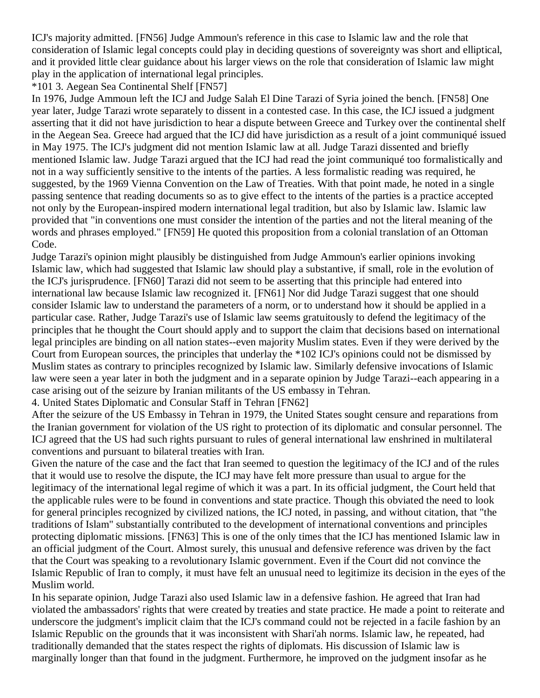ICJ's majority admitted. [\[FN56\]](http://web2.westlaw.com/result/documenttext.aspx?clvl=RCC&rltdb=CLID_DB27399224&effdate=1%2f1%2f0001+12%3a00%3a00+AM&db=JLR%2cAMJUR%2cABAJ%2cALR%2cTP-ALL%2cFEDRLAW&service=Search&sskey=CLID_SSSA27399224&fmqv=s&rlti=1&sv=Split&cnm=Search_5&fn=_top&rs=WLW8.04&cxt=DC&method=TNC&origin=Search&query=%22ISLAMIC+LAW%22++%26++%22INTERNATIONAL+HUMAN+RIGHTS%22&mt=LawSchoolPractitioner&eq=Welcome%2fLawSchoolPractitioner&vr=2.0&rlt=CLID_QRYRLT33399224&n=34&rp=%2fWelcome%2fLawSchoolPractitioner%2fdefault.wl&cnt=DOC&cfid=1&scxt=WL&ssrc=0&ss=CNT#FN;F56#FN;F56) Judge Ammoun's reference in this case to Islamic law and the role that consideration of Islamic legal concepts could play in deciding questions of sovereignty was short and elliptical, and it provided little clear guidance about his larger views on the role that consideration of Islamic law might play in the application of international legal principles.

### \*101 3. Aegean Sea Continental Shelf [\[FN57\]](http://web2.westlaw.com/result/documenttext.aspx?clvl=RCC&rltdb=CLID_DB27399224&effdate=1%2f1%2f0001+12%3a00%3a00+AM&db=JLR%2cAMJUR%2cABAJ%2cALR%2cTP-ALL%2cFEDRLAW&service=Search&sskey=CLID_SSSA27399224&fmqv=s&rlti=1&sv=Split&cnm=Search_5&fn=_top&rs=WLW8.04&cxt=DC&method=TNC&origin=Search&query=%22ISLAMIC+LAW%22++%26++%22INTERNATIONAL+HUMAN+RIGHTS%22&mt=LawSchoolPractitioner&eq=Welcome%2fLawSchoolPractitioner&vr=2.0&rlt=CLID_QRYRLT33399224&n=34&rp=%2fWelcome%2fLawSchoolPractitioner%2fdefault.wl&cnt=DOC&cfid=1&scxt=WL&ssrc=0&ss=CNT#FN;F57#FN;F57)

In 1976, Judge Ammoun left the ICJ and Judge Salah El Dine Tarazi of Syria joined the bench. [\[FN58\]](http://web2.westlaw.com/result/documenttext.aspx?clvl=RCC&rltdb=CLID_DB27399224&effdate=1%2f1%2f0001+12%3a00%3a00+AM&db=JLR%2cAMJUR%2cABAJ%2cALR%2cTP-ALL%2cFEDRLAW&service=Search&sskey=CLID_SSSA27399224&fmqv=s&rlti=1&sv=Split&cnm=Search_5&fn=_top&rs=WLW8.04&cxt=DC&method=TNC&origin=Search&query=%22ISLAMIC+LAW%22++%26++%22INTERNATIONAL+HUMAN+RIGHTS%22&mt=LawSchoolPractitioner&eq=Welcome%2fLawSchoolPractitioner&vr=2.0&rlt=CLID_QRYRLT33399224&n=34&rp=%2fWelcome%2fLawSchoolPractitioner%2fdefault.wl&cnt=DOC&cfid=1&scxt=WL&ssrc=0&ss=CNT#FN;F58#FN;F58) One year later, Judge Tarazi wrote separately to dissent in a contested case. In this case, the ICJ issued a judgment asserting that it did not have jurisdiction to hear a dispute between Greece and Turkey over the continental shelf in the Aegean Sea. Greece had argued that the ICJ did have jurisdiction as a result of a joint communiqué issued in May 1975. The ICJ's judgment did not mention Islamic law at all. Judge Tarazi dissented and briefly mentioned Islamic law. Judge Tarazi argued that the ICJ had read the joint communiqué too formalistically and not in a way sufficiently sensitive to the intents of the parties. A less formalistic reading was required, he suggested, by the 1969 Vienna Convention on the Law of Treaties. With that point made, he noted in a single passing sentence that reading documents so as to give effect to the intents of the parties is a practice accepted not only by the European-inspired modern international legal tradition, but also by Islamic law. Islamic law provided that "in conventions one must consider the intention of the parties and not the literal meaning of the words and phrases employed." [\[FN59\]](http://web2.westlaw.com/result/documenttext.aspx?clvl=RCC&rltdb=CLID_DB27399224&effdate=1%2f1%2f0001+12%3a00%3a00+AM&db=JLR%2cAMJUR%2cABAJ%2cALR%2cTP-ALL%2cFEDRLAW&service=Search&sskey=CLID_SSSA27399224&fmqv=s&rlti=1&sv=Split&cnm=Search_5&fn=_top&rs=WLW8.04&cxt=DC&method=TNC&origin=Search&query=%22ISLAMIC+LAW%22++%26++%22INTERNATIONAL+HUMAN+RIGHTS%22&mt=LawSchoolPractitioner&eq=Welcome%2fLawSchoolPractitioner&vr=2.0&rlt=CLID_QRYRLT33399224&n=34&rp=%2fWelcome%2fLawSchoolPractitioner%2fdefault.wl&cnt=DOC&cfid=1&scxt=WL&ssrc=0&ss=CNT#FN;F59#FN;F59) He quoted this proposition from a colonial translation of an Ottoman Code.

Judge Tarazi's opinion might plausibly be distinguished from Judge Ammoun's earlier opinions invoking Islamic law, which had suggested that Islamic law should play a substantive, if small, role in the evolution of the ICJ's jurisprudence. [\[FN60\]](http://web2.westlaw.com/result/documenttext.aspx?clvl=RCC&rltdb=CLID_DB27399224&effdate=1%2f1%2f0001+12%3a00%3a00+AM&db=JLR%2cAMJUR%2cABAJ%2cALR%2cTP-ALL%2cFEDRLAW&service=Search&sskey=CLID_SSSA27399224&fmqv=s&rlti=1&sv=Split&cnm=Search_5&fn=_top&rs=WLW8.04&cxt=DC&method=TNC&origin=Search&query=%22ISLAMIC+LAW%22++%26++%22INTERNATIONAL+HUMAN+RIGHTS%22&mt=LawSchoolPractitioner&eq=Welcome%2fLawSchoolPractitioner&vr=2.0&rlt=CLID_QRYRLT33399224&n=34&rp=%2fWelcome%2fLawSchoolPractitioner%2fdefault.wl&cnt=DOC&cfid=1&scxt=WL&ssrc=0&ss=CNT#FN;F60#FN;F60) Tarazi did not seem to be asserting that this principle had entered into international law because Islamic law recognized it. [\[FN61\]](http://web2.westlaw.com/result/documenttext.aspx?clvl=RCC&rltdb=CLID_DB27399224&effdate=1%2f1%2f0001+12%3a00%3a00+AM&db=JLR%2cAMJUR%2cABAJ%2cALR%2cTP-ALL%2cFEDRLAW&service=Search&sskey=CLID_SSSA27399224&fmqv=s&rlti=1&sv=Split&cnm=Search_5&fn=_top&rs=WLW8.04&cxt=DC&method=TNC&origin=Search&query=%22ISLAMIC+LAW%22++%26++%22INTERNATIONAL+HUMAN+RIGHTS%22&mt=LawSchoolPractitioner&eq=Welcome%2fLawSchoolPractitioner&vr=2.0&rlt=CLID_QRYRLT33399224&n=34&rp=%2fWelcome%2fLawSchoolPractitioner%2fdefault.wl&cnt=DOC&cfid=1&scxt=WL&ssrc=0&ss=CNT#FN;F61#FN;F61) Nor did Judge Tarazi suggest that one should consider Islamic law to understand the parameters of a norm, or to understand how it should be applied in a particular case. Rather, Judge Tarazi's use of Islamic law seems gratuitously to defend the legitimacy of the principles that he thought the Court should apply and to support the claim that decisions based on international legal principles are binding on all nation states--even majority Muslim states. Even if they were derived by the Court from European sources, the principles that underlay the \*102 ICJ's opinions could not be dismissed by Muslim states as contrary to principles recognized by Islamic law. Similarly defensive invocations of Islamic law were seen a year later in both the judgment and in a separate opinion by Judge Tarazi--each appearing in a case arising out of the seizure by Iranian militants of the US embassy in Tehran.

4. United States Diplomatic and Consular Staff in Tehran [\[FN62\]](http://web2.westlaw.com/result/documenttext.aspx?clvl=RCC&rltdb=CLID_DB27399224&effdate=1%2f1%2f0001+12%3a00%3a00+AM&db=JLR%2cAMJUR%2cABAJ%2cALR%2cTP-ALL%2cFEDRLAW&service=Search&sskey=CLID_SSSA27399224&fmqv=s&rlti=1&sv=Split&cnm=Search_5&fn=_top&rs=WLW8.04&cxt=DC&method=TNC&origin=Search&query=%22ISLAMIC+LAW%22++%26++%22INTERNATIONAL+HUMAN+RIGHTS%22&mt=LawSchoolPractitioner&eq=Welcome%2fLawSchoolPractitioner&vr=2.0&rlt=CLID_QRYRLT33399224&n=34&rp=%2fWelcome%2fLawSchoolPractitioner%2fdefault.wl&cnt=DOC&cfid=1&scxt=WL&ssrc=0&ss=CNT#FN;F62#FN;F62)

After the seizure of the US Embassy in Tehran in 1979, the United States sought censure and reparations from the Iranian government for violation of the US right to protection of its diplomatic and consular personnel. The ICJ agreed that the US had such rights pursuant to rules of general international law enshrined in multilateral conventions and pursuant to bilateral treaties with Iran.

Given the nature of the case and the fact that Iran seemed to question the legitimacy of the ICJ and of the rules that it would use to resolve the dispute, the ICJ may have felt more pressure than usual to argue for the legitimacy of the international legal regime of which it was a part. In its official judgment, the Court held that the applicable rules were to be found in conventions and state practice. Though this obviated the need to look for general principles recognized by civilized nations, the ICJ noted, in passing, and without citation, that "the traditions of Islam" substantially contributed to the development of international conventions and principles protecting diplomatic missions. [\[FN63\]](http://web2.westlaw.com/result/documenttext.aspx?clvl=RCC&rltdb=CLID_DB27399224&effdate=1%2f1%2f0001+12%3a00%3a00+AM&db=JLR%2cAMJUR%2cABAJ%2cALR%2cTP-ALL%2cFEDRLAW&service=Search&sskey=CLID_SSSA27399224&fmqv=s&rlti=1&sv=Split&cnm=Search_5&fn=_top&rs=WLW8.04&cxt=DC&method=TNC&origin=Search&query=%22ISLAMIC+LAW%22++%26++%22INTERNATIONAL+HUMAN+RIGHTS%22&mt=LawSchoolPractitioner&eq=Welcome%2fLawSchoolPractitioner&vr=2.0&rlt=CLID_QRYRLT33399224&n=34&rp=%2fWelcome%2fLawSchoolPractitioner%2fdefault.wl&cnt=DOC&cfid=1&scxt=WL&ssrc=0&ss=CNT#FN;F63#FN;F63) This is one of the only times that the ICJ has mentioned Islamic law in an official judgment of the Court. Almost surely, this unusual and defensive reference was driven by the fact that the Court was speaking to a revolutionary Islamic government. Even if the Court did not convince the Islamic Republic of Iran to comply, it must have felt an unusual need to legitimize its decision in the eyes of the Muslim world.

In his separate opinion, Judge Tarazi also used Islamic law in a defensive fashion. He agreed that Iran had violated the ambassadors' rights that were created by treaties and state practice. He made a point to reiterate and underscore the judgment's implicit claim that the ICJ's command could not be rejected in a facile fashion by an Islamic Republic on the grounds that it was inconsistent with Shari'ah norms. Islamic law, he repeated, had traditionally demanded that the states respect the rights of diplomats. His discussion of Islamic law is marginally longer than that found in the judgment. Furthermore, he improved on the judgment insofar as he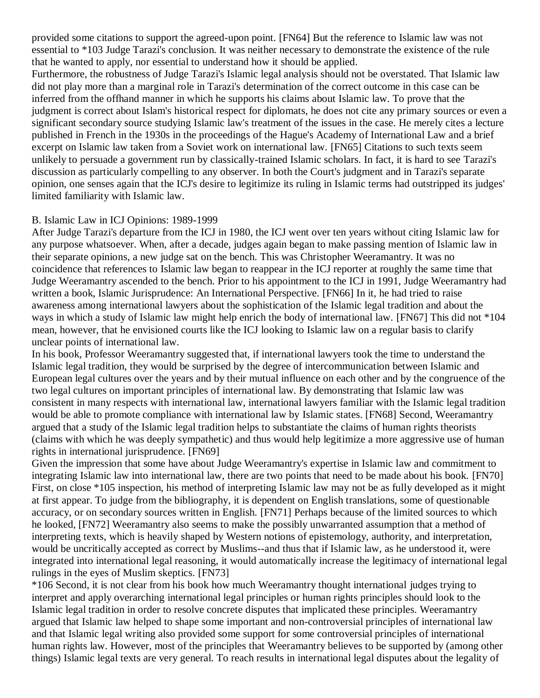provided some citations to support the agreed-upon point. [\[FN64\]](http://web2.westlaw.com/result/documenttext.aspx?clvl=RCC&rltdb=CLID_DB27399224&effdate=1%2f1%2f0001+12%3a00%3a00+AM&db=JLR%2cAMJUR%2cABAJ%2cALR%2cTP-ALL%2cFEDRLAW&service=Search&sskey=CLID_SSSA27399224&fmqv=s&rlti=1&sv=Split&cnm=Search_5&fn=_top&rs=WLW8.04&cxt=DC&method=TNC&origin=Search&query=%22ISLAMIC+LAW%22++%26++%22INTERNATIONAL+HUMAN+RIGHTS%22&mt=LawSchoolPractitioner&eq=Welcome%2fLawSchoolPractitioner&vr=2.0&rlt=CLID_QRYRLT33399224&n=34&rp=%2fWelcome%2fLawSchoolPractitioner%2fdefault.wl&cnt=DOC&cfid=1&scxt=WL&ssrc=0&ss=CNT#FN;F64#FN;F64) But the reference to Islamic law was not essential to \*103 Judge Tarazi's conclusion. It was neither necessary to demonstrate the existence of the rule that he wanted to apply, nor essential to understand how it should be applied.

Furthermore, the robustness of Judge Tarazi's Islamic legal analysis should not be overstated. That Islamic law did not play more than a marginal role in Tarazi's determination of the correct outcome in this case can be inferred from the offhand manner in which he supports his claims about Islamic law. To prove that the judgment is correct about Islam's historical respect for diplomats, he does not cite any primary sources or even a significant secondary source studying Islamic law's treatment of the issues in the case. He merely cites a lecture published in French in the 1930s in the proceedings of the Hague's Academy of International Law and a brief excerpt on Islamic law taken from a Soviet work on international law. [\[FN65\]](http://web2.westlaw.com/result/documenttext.aspx?clvl=RCC&rltdb=CLID_DB27399224&effdate=1%2f1%2f0001+12%3a00%3a00+AM&db=JLR%2cAMJUR%2cABAJ%2cALR%2cTP-ALL%2cFEDRLAW&service=Search&sskey=CLID_SSSA27399224&fmqv=s&rlti=1&sv=Split&cnm=Search_5&fn=_top&rs=WLW8.04&cxt=DC&method=TNC&origin=Search&query=%22ISLAMIC+LAW%22++%26++%22INTERNATIONAL+HUMAN+RIGHTS%22&mt=LawSchoolPractitioner&eq=Welcome%2fLawSchoolPractitioner&vr=2.0&rlt=CLID_QRYRLT33399224&n=34&rp=%2fWelcome%2fLawSchoolPractitioner%2fdefault.wl&cnt=DOC&cfid=1&scxt=WL&ssrc=0&ss=CNT#FN;F65#FN;F65) Citations to such texts seem unlikely to persuade a government run by classically-trained Islamic scholars. In fact, it is hard to see Tarazi's discussion as particularly compelling to any observer. In both the Court's judgment and in Tarazi's separate opinion, one senses again that the ICJ's desire to legitimize its ruling in Islamic terms had outstripped its judges' limited familiarity with Islamic law.

### B. Islamic Law in ICJ Opinions: 1989-1999

After Judge Tarazi's departure from the ICJ in 1980, the ICJ went over ten years without citing Islamic law for any purpose whatsoever. When, after a decade, judges again began to make passing mention of Islamic law in their separate opinions, a new judge sat on the bench. This was Christopher Weeramantry. It was no coincidence that references to Islamic law began to reappear in the ICJ reporter at roughly the same time that Judge Weeramantry ascended to the bench. Prior to his appointment to the ICJ in 1991, Judge Weeramantry had written a book, Islamic Jurisprudence: An International Perspective. [\[FN66\]](http://web2.westlaw.com/result/documenttext.aspx?clvl=RCC&rltdb=CLID_DB27399224&effdate=1%2f1%2f0001+12%3a00%3a00+AM&db=JLR%2cAMJUR%2cABAJ%2cALR%2cTP-ALL%2cFEDRLAW&service=Search&sskey=CLID_SSSA27399224&fmqv=s&rlti=1&sv=Split&cnm=Search_5&fn=_top&rs=WLW8.04&cxt=DC&method=TNC&origin=Search&query=%22ISLAMIC+LAW%22++%26++%22INTERNATIONAL+HUMAN+RIGHTS%22&mt=LawSchoolPractitioner&eq=Welcome%2fLawSchoolPractitioner&vr=2.0&rlt=CLID_QRYRLT33399224&n=34&rp=%2fWelcome%2fLawSchoolPractitioner%2fdefault.wl&cnt=DOC&cfid=1&scxt=WL&ssrc=0&ss=CNT#FN;F66#FN;F66) In it, he had tried to raise awareness among international lawyers about the sophistication of the Islamic legal tradition and about the ways in which a study of Islamic law might help enrich the body of international law. [\[FN67\]](http://web2.westlaw.com/result/documenttext.aspx?clvl=RCC&rltdb=CLID_DB27399224&effdate=1%2f1%2f0001+12%3a00%3a00+AM&db=JLR%2cAMJUR%2cABAJ%2cALR%2cTP-ALL%2cFEDRLAW&service=Search&sskey=CLID_SSSA27399224&fmqv=s&rlti=1&sv=Split&cnm=Search_5&fn=_top&rs=WLW8.04&cxt=DC&method=TNC&origin=Search&query=%22ISLAMIC+LAW%22++%26++%22INTERNATIONAL+HUMAN+RIGHTS%22&mt=LawSchoolPractitioner&eq=Welcome%2fLawSchoolPractitioner&vr=2.0&rlt=CLID_QRYRLT33399224&n=34&rp=%2fWelcome%2fLawSchoolPractitioner%2fdefault.wl&cnt=DOC&cfid=1&scxt=WL&ssrc=0&ss=CNT#FN;F67#FN;F67) This did not \*104 mean, however, that he envisioned courts like the ICJ looking to Islamic law on a regular basis to clarify unclear points of international law.

In his book, Professor Weeramantry suggested that, if international lawyers took the time to understand the Islamic legal tradition, they would be surprised by the degree of intercommunication between Islamic and European legal cultures over the years and by their mutual influence on each other and by the congruence of the two legal cultures on important principles of international law. By demonstrating that Islamic law was consistent in many respects with international law, international lawyers familiar with the Islamic legal tradition would be able to promote compliance with international law by Islamic states. [\[FN68\]](http://web2.westlaw.com/result/documenttext.aspx?clvl=RCC&rltdb=CLID_DB27399224&effdate=1%2f1%2f0001+12%3a00%3a00+AM&db=JLR%2cAMJUR%2cABAJ%2cALR%2cTP-ALL%2cFEDRLAW&service=Search&sskey=CLID_SSSA27399224&fmqv=s&rlti=1&sv=Split&cnm=Search_5&fn=_top&rs=WLW8.04&cxt=DC&method=TNC&origin=Search&query=%22ISLAMIC+LAW%22++%26++%22INTERNATIONAL+HUMAN+RIGHTS%22&mt=LawSchoolPractitioner&eq=Welcome%2fLawSchoolPractitioner&vr=2.0&rlt=CLID_QRYRLT33399224&n=34&rp=%2fWelcome%2fLawSchoolPractitioner%2fdefault.wl&cnt=DOC&cfid=1&scxt=WL&ssrc=0&ss=CNT#FN;F68#FN;F68) Second, Weeramantry argued that a study of the Islamic legal tradition helps to substantiate the claims of human rights theorists (claims with which he was deeply sympathetic) and thus would help legitimize a more aggressive use of human rights in international jurisprudence. [\[FN69\]](http://web2.westlaw.com/result/documenttext.aspx?clvl=RCC&rltdb=CLID_DB27399224&effdate=1%2f1%2f0001+12%3a00%3a00+AM&db=JLR%2cAMJUR%2cABAJ%2cALR%2cTP-ALL%2cFEDRLAW&service=Search&sskey=CLID_SSSA27399224&fmqv=s&rlti=1&sv=Split&cnm=Search_5&fn=_top&rs=WLW8.04&cxt=DC&method=TNC&origin=Search&query=%22ISLAMIC+LAW%22++%26++%22INTERNATIONAL+HUMAN+RIGHTS%22&mt=LawSchoolPractitioner&eq=Welcome%2fLawSchoolPractitioner&vr=2.0&rlt=CLID_QRYRLT33399224&n=34&rp=%2fWelcome%2fLawSchoolPractitioner%2fdefault.wl&cnt=DOC&cfid=1&scxt=WL&ssrc=0&ss=CNT#FN;F69#FN;F69)

Given the impression that some have about Judge Weeramantry's expertise in Islamic law and commitment to integrating Islamic law into international law, there are two points that need to be made about his book. [\[FN70\]](http://web2.westlaw.com/result/documenttext.aspx?clvl=RCC&rltdb=CLID_DB27399224&effdate=1%2f1%2f0001+12%3a00%3a00+AM&db=JLR%2cAMJUR%2cABAJ%2cALR%2cTP-ALL%2cFEDRLAW&service=Search&sskey=CLID_SSSA27399224&fmqv=s&rlti=1&sv=Split&cnm=Search_5&fn=_top&rs=WLW8.04&cxt=DC&method=TNC&origin=Search&query=%22ISLAMIC+LAW%22++%26++%22INTERNATIONAL+HUMAN+RIGHTS%22&mt=LawSchoolPractitioner&eq=Welcome%2fLawSchoolPractitioner&vr=2.0&rlt=CLID_QRYRLT33399224&n=34&rp=%2fWelcome%2fLawSchoolPractitioner%2fdefault.wl&cnt=DOC&cfid=1&scxt=WL&ssrc=0&ss=CNT#FN;F70#FN;F70) First, on close \*105 inspection, his method of interpreting Islamic law may not be as fully developed as it might at first appear. To judge from the bibliography, it is dependent on English translations, some of questionable accuracy, or on secondary sources written in English. [\[FN71\]](http://web2.westlaw.com/result/documenttext.aspx?clvl=RCC&rltdb=CLID_DB27399224&effdate=1%2f1%2f0001+12%3a00%3a00+AM&db=JLR%2cAMJUR%2cABAJ%2cALR%2cTP-ALL%2cFEDRLAW&service=Search&sskey=CLID_SSSA27399224&fmqv=s&rlti=1&sv=Split&cnm=Search_5&fn=_top&rs=WLW8.04&cxt=DC&method=TNC&origin=Search&query=%22ISLAMIC+LAW%22++%26++%22INTERNATIONAL+HUMAN+RIGHTS%22&mt=LawSchoolPractitioner&eq=Welcome%2fLawSchoolPractitioner&vr=2.0&rlt=CLID_QRYRLT33399224&n=34&rp=%2fWelcome%2fLawSchoolPractitioner%2fdefault.wl&cnt=DOC&cfid=1&scxt=WL&ssrc=0&ss=CNT#FN;F71#FN;F71) Perhaps because of the limited sources to which he looked, [\[FN72\]](http://web2.westlaw.com/result/documenttext.aspx?clvl=RCC&rltdb=CLID_DB27399224&effdate=1%2f1%2f0001+12%3a00%3a00+AM&db=JLR%2cAMJUR%2cABAJ%2cALR%2cTP-ALL%2cFEDRLAW&service=Search&sskey=CLID_SSSA27399224&fmqv=s&rlti=1&sv=Split&cnm=Search_5&fn=_top&rs=WLW8.04&cxt=DC&method=TNC&origin=Search&query=%22ISLAMIC+LAW%22++%26++%22INTERNATIONAL+HUMAN+RIGHTS%22&mt=LawSchoolPractitioner&eq=Welcome%2fLawSchoolPractitioner&vr=2.0&rlt=CLID_QRYRLT33399224&n=34&rp=%2fWelcome%2fLawSchoolPractitioner%2fdefault.wl&cnt=DOC&cfid=1&scxt=WL&ssrc=0&ss=CNT#FN;F72#FN;F72) Weeramantry also seems to make the possibly unwarranted assumption that a method of interpreting texts, which is heavily shaped by Western notions of epistemology, authority, and interpretation, would be uncritically accepted as correct by Muslims--and thus that if Islamic law, as he understood it, were integrated into international legal reasoning, it would automatically increase the legitimacy of international legal rulings in the eyes of Muslim skeptics. [\[FN73\]](http://web2.westlaw.com/result/documenttext.aspx?clvl=RCC&rltdb=CLID_DB27399224&effdate=1%2f1%2f0001+12%3a00%3a00+AM&db=JLR%2cAMJUR%2cABAJ%2cALR%2cTP-ALL%2cFEDRLAW&service=Search&sskey=CLID_SSSA27399224&fmqv=s&rlti=1&sv=Split&cnm=Search_5&fn=_top&rs=WLW8.04&cxt=DC&method=TNC&origin=Search&query=%22ISLAMIC+LAW%22++%26++%22INTERNATIONAL+HUMAN+RIGHTS%22&mt=LawSchoolPractitioner&eq=Welcome%2fLawSchoolPractitioner&vr=2.0&rlt=CLID_QRYRLT33399224&n=34&rp=%2fWelcome%2fLawSchoolPractitioner%2fdefault.wl&cnt=DOC&cfid=1&scxt=WL&ssrc=0&ss=CNT#FN;F73#FN;F73)

\*106 Second, it is not clear from his book how much Weeramantry thought international judges trying to interpret and apply overarching international legal principles or human rights principles should look to the Islamic legal tradition in order to resolve concrete disputes that implicated these principles. Weeramantry argued that Islamic law helped to shape some important and non-controversial principles of international law and that Islamic legal writing also provided some support for some controversial principles of international human rights law. However, most of the principles that Weeramantry believes to be supported by (among other things) Islamic legal texts are very general. To reach results in international legal disputes about the legality of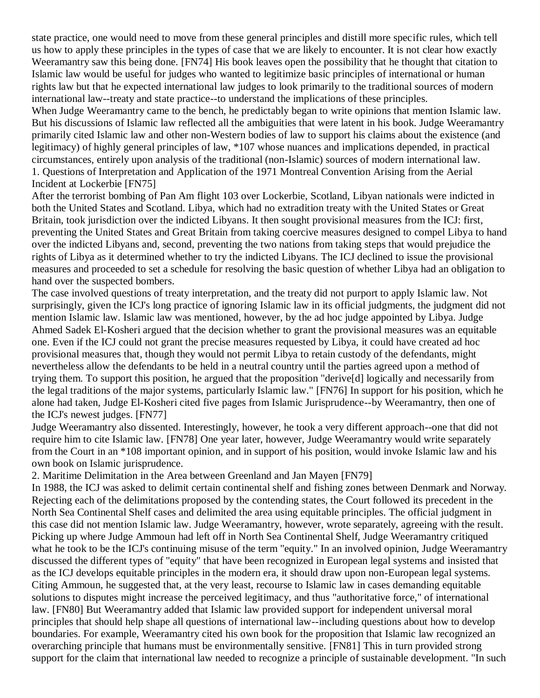state practice, one would need to move from these general principles and distill more specific rules, which tell us how to apply these principles in the types of case that we are likely to encounter. It is not clear how exactly Weeramantry saw this being done. [\[FN74\]](http://web2.westlaw.com/result/documenttext.aspx?clvl=RCC&rltdb=CLID_DB27399224&effdate=1%2f1%2f0001+12%3a00%3a00+AM&db=JLR%2cAMJUR%2cABAJ%2cALR%2cTP-ALL%2cFEDRLAW&service=Search&sskey=CLID_SSSA27399224&fmqv=s&rlti=1&sv=Split&cnm=Search_5&fn=_top&rs=WLW8.04&cxt=DC&method=TNC&origin=Search&query=%22ISLAMIC+LAW%22++%26++%22INTERNATIONAL+HUMAN+RIGHTS%22&mt=LawSchoolPractitioner&eq=Welcome%2fLawSchoolPractitioner&vr=2.0&rlt=CLID_QRYRLT33399224&n=34&rp=%2fWelcome%2fLawSchoolPractitioner%2fdefault.wl&cnt=DOC&cfid=1&scxt=WL&ssrc=0&ss=CNT#FN;F74#FN;F74) His book leaves open the possibility that he thought that citation to Islamic law would be useful for judges who wanted to legitimize basic principles of international or human rights law but that he expected international law judges to look primarily to the traditional sources of modern international law--treaty and state practice--to understand the implications of these principles.

When Judge Weeramantry came to the bench, he predictably began to write opinions that mention Islamic law. But his discussions of Islamic law reflected all the ambiguities that were latent in his book. Judge Weeramantry primarily cited Islamic law and other non-Western bodies of law to support his claims about the existence (and legitimacy) of highly general principles of law, \*107 whose nuances and implications depended, in practical circumstances, entirely upon analysis of the traditional (non-Islamic) sources of modern international law. 1. Questions of Interpretation and Application of the 1971 Montreal Convention Arising from the Aerial Incident at Lockerbie [\[FN75\]](http://web2.westlaw.com/result/documenttext.aspx?clvl=RCC&rltdb=CLID_DB27399224&effdate=1%2f1%2f0001+12%3a00%3a00+AM&db=JLR%2cAMJUR%2cABAJ%2cALR%2cTP-ALL%2cFEDRLAW&service=Search&sskey=CLID_SSSA27399224&fmqv=s&rlti=1&sv=Split&cnm=Search_5&fn=_top&rs=WLW8.04&cxt=DC&method=TNC&origin=Search&query=%22ISLAMIC+LAW%22++%26++%22INTERNATIONAL+HUMAN+RIGHTS%22&mt=LawSchoolPractitioner&eq=Welcome%2fLawSchoolPractitioner&vr=2.0&rlt=CLID_QRYRLT33399224&n=34&rp=%2fWelcome%2fLawSchoolPractitioner%2fdefault.wl&cnt=DOC&cfid=1&scxt=WL&ssrc=0&ss=CNT#FN;F75#FN;F75)

After the terrorist bombing of Pan Am flight 103 over Lockerbie, Scotland, Libyan nationals were indicted in both the United States and Scotland. Libya, which had no extradition treaty with the United States or Great Britain, took jurisdiction over the indicted Libyans. It then sought provisional measures from the ICJ: first, preventing the United States and Great Britain from taking coercive measures designed to compel Libya to hand over the indicted Libyans and, second, preventing the two nations from taking steps that would prejudice the rights of Libya as it determined whether to try the indicted Libyans. The ICJ declined to issue the provisional measures and proceeded to set a schedule for resolving the basic question of whether Libya had an obligation to hand over the suspected bombers.

The case involved questions of treaty interpretation, and the treaty did not purport to apply Islamic law. Not surprisingly, given the ICJ's long practice of ignoring Islamic law in its official judgments, the judgment did not mention Islamic law. Islamic law was mentioned, however, by the ad hoc judge appointed by Libya. Judge Ahmed Sadek El-Kosheri argued that the decision whether to grant the provisional measures was an equitable one. Even if the ICJ could not grant the precise measures requested by Libya, it could have created ad hoc provisional measures that, though they would not permit Libya to retain custody of the defendants, might nevertheless allow the defendants to be held in a neutral country until the parties agreed upon a method of trying them. To support this position, he argued that the proposition "derive[d] logically and necessarily from the legal traditions of the major systems, particularly Islamic law." [\[FN76\]](http://web2.westlaw.com/result/documenttext.aspx?clvl=RCC&rltdb=CLID_DB27399224&effdate=1%2f1%2f0001+12%3a00%3a00+AM&db=JLR%2cAMJUR%2cABAJ%2cALR%2cTP-ALL%2cFEDRLAW&service=Search&sskey=CLID_SSSA27399224&fmqv=s&rlti=1&sv=Split&cnm=Search_5&fn=_top&rs=WLW8.04&cxt=DC&method=TNC&origin=Search&query=%22ISLAMIC+LAW%22++%26++%22INTERNATIONAL+HUMAN+RIGHTS%22&mt=LawSchoolPractitioner&eq=Welcome%2fLawSchoolPractitioner&vr=2.0&rlt=CLID_QRYRLT33399224&n=34&rp=%2fWelcome%2fLawSchoolPractitioner%2fdefault.wl&cnt=DOC&cfid=1&scxt=WL&ssrc=0&ss=CNT#FN;F76#FN;F76) In support for his position, which he alone had taken, Judge El-Kosheri cited five pages from Islamic Jurisprudence--by Weeramantry, then one of the ICJ's newest judges. [\[FN77\]](http://web2.westlaw.com/result/documenttext.aspx?clvl=RCC&rltdb=CLID_DB27399224&effdate=1%2f1%2f0001+12%3a00%3a00+AM&db=JLR%2cAMJUR%2cABAJ%2cALR%2cTP-ALL%2cFEDRLAW&service=Search&sskey=CLID_SSSA27399224&fmqv=s&rlti=1&sv=Split&cnm=Search_5&fn=_top&rs=WLW8.04&cxt=DC&method=TNC&origin=Search&query=%22ISLAMIC+LAW%22++%26++%22INTERNATIONAL+HUMAN+RIGHTS%22&mt=LawSchoolPractitioner&eq=Welcome%2fLawSchoolPractitioner&vr=2.0&rlt=CLID_QRYRLT33399224&n=34&rp=%2fWelcome%2fLawSchoolPractitioner%2fdefault.wl&cnt=DOC&cfid=1&scxt=WL&ssrc=0&ss=CNT#FN;F77#FN;F77)

Judge Weeramantry also dissented. Interestingly, however, he took a very different approach--one that did not require him to cite Islamic law. [\[FN78\]](http://web2.westlaw.com/result/documenttext.aspx?clvl=RCC&rltdb=CLID_DB27399224&effdate=1%2f1%2f0001+12%3a00%3a00+AM&db=JLR%2cAMJUR%2cABAJ%2cALR%2cTP-ALL%2cFEDRLAW&service=Search&sskey=CLID_SSSA27399224&fmqv=s&rlti=1&sv=Split&cnm=Search_5&fn=_top&rs=WLW8.04&cxt=DC&method=TNC&origin=Search&query=%22ISLAMIC+LAW%22++%26++%22INTERNATIONAL+HUMAN+RIGHTS%22&mt=LawSchoolPractitioner&eq=Welcome%2fLawSchoolPractitioner&vr=2.0&rlt=CLID_QRYRLT33399224&n=34&rp=%2fWelcome%2fLawSchoolPractitioner%2fdefault.wl&cnt=DOC&cfid=1&scxt=WL&ssrc=0&ss=CNT#FN;F78#FN;F78) One year later, however, Judge Weeramantry would write separately from the Court in an \*108 important opinion, and in support of his position, would invoke Islamic law and his own book on Islamic jurisprudence.

2. Maritime Delimitation in the Area between Greenland and Jan Mayen [\[FN79\]](http://web2.westlaw.com/result/documenttext.aspx?clvl=RCC&rltdb=CLID_DB27399224&effdate=1%2f1%2f0001+12%3a00%3a00+AM&db=JLR%2cAMJUR%2cABAJ%2cALR%2cTP-ALL%2cFEDRLAW&service=Search&sskey=CLID_SSSA27399224&fmqv=s&rlti=1&sv=Split&cnm=Search_5&fn=_top&rs=WLW8.04&cxt=DC&method=TNC&origin=Search&query=%22ISLAMIC+LAW%22++%26++%22INTERNATIONAL+HUMAN+RIGHTS%22&mt=LawSchoolPractitioner&eq=Welcome%2fLawSchoolPractitioner&vr=2.0&rlt=CLID_QRYRLT33399224&n=34&rp=%2fWelcome%2fLawSchoolPractitioner%2fdefault.wl&cnt=DOC&cfid=1&scxt=WL&ssrc=0&ss=CNT#FN;F79#FN;F79)

In 1988, the ICJ was asked to delimit certain continental shelf and fishing zones between Denmark and Norway. Rejecting each of the delimitations proposed by the contending states, the Court followed its precedent in the North Sea Continental Shelf cases and delimited the area using equitable principles. The official judgment in this case did not mention Islamic law. Judge Weeramantry, however, wrote separately, agreeing with the result. Picking up where Judge Ammoun had left off in North Sea Continental Shelf, Judge Weeramantry critiqued what he took to be the ICJ's continuing misuse of the term "equity." In an involved opinion, Judge Weeramantry discussed the different types of "equity" that have been recognized in European legal systems and insisted that as the ICJ develops equitable principles in the modern era, it should draw upon non-European legal systems. Citing Ammoun, he suggested that, at the very least, recourse to Islamic law in cases demanding equitable solutions to disputes might increase the perceived legitimacy, and thus "authoritative force," of international law. [\[FN80\]](http://web2.westlaw.com/result/documenttext.aspx?clvl=RCC&rltdb=CLID_DB27399224&effdate=1%2f1%2f0001+12%3a00%3a00+AM&db=JLR%2cAMJUR%2cABAJ%2cALR%2cTP-ALL%2cFEDRLAW&service=Search&sskey=CLID_SSSA27399224&fmqv=s&rlti=1&sv=Split&cnm=Search_5&fn=_top&rs=WLW8.04&cxt=DC&method=TNC&origin=Search&query=%22ISLAMIC+LAW%22++%26++%22INTERNATIONAL+HUMAN+RIGHTS%22&mt=LawSchoolPractitioner&eq=Welcome%2fLawSchoolPractitioner&vr=2.0&rlt=CLID_QRYRLT33399224&n=34&rp=%2fWelcome%2fLawSchoolPractitioner%2fdefault.wl&cnt=DOC&cfid=1&scxt=WL&ssrc=0&ss=CNT#FN;F80#FN;F80) But Weeramantry added that Islamic law provided support for independent universal moral principles that should help shape all questions of international law--including questions about how to develop boundaries. For example, Weeramantry cited his own book for the proposition that Islamic law recognized an overarching principle that humans must be environmentally sensitive. [\[FN81\]](http://web2.westlaw.com/result/documenttext.aspx?clvl=RCC&rltdb=CLID_DB27399224&effdate=1%2f1%2f0001+12%3a00%3a00+AM&db=JLR%2cAMJUR%2cABAJ%2cALR%2cTP-ALL%2cFEDRLAW&service=Search&sskey=CLID_SSSA27399224&fmqv=s&rlti=1&sv=Split&cnm=Search_5&fn=_top&rs=WLW8.04&cxt=DC&method=TNC&origin=Search&query=%22ISLAMIC+LAW%22++%26++%22INTERNATIONAL+HUMAN+RIGHTS%22&mt=LawSchoolPractitioner&eq=Welcome%2fLawSchoolPractitioner&vr=2.0&rlt=CLID_QRYRLT33399224&n=34&rp=%2fWelcome%2fLawSchoolPractitioner%2fdefault.wl&cnt=DOC&cfid=1&scxt=WL&ssrc=0&ss=CNT#FN;F81#FN;F81) This in turn provided strong support for the claim that international law needed to recognize a principle of sustainable development. "In such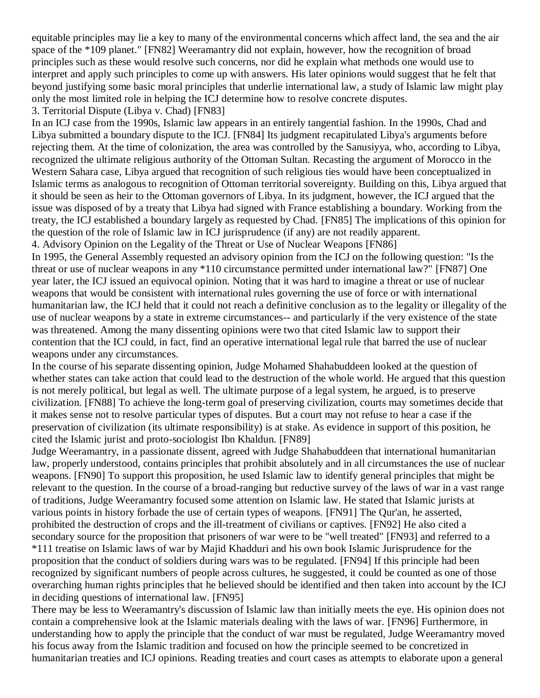equitable principles may lie a key to many of the environmental concerns which affect land, the sea and the air space of the \*109 planet." [\[FN82\]](http://web2.westlaw.com/result/documenttext.aspx?clvl=RCC&rltdb=CLID_DB27399224&effdate=1%2f1%2f0001+12%3a00%3a00+AM&db=JLR%2cAMJUR%2cABAJ%2cALR%2cTP-ALL%2cFEDRLAW&service=Search&sskey=CLID_SSSA27399224&fmqv=s&rlti=1&sv=Split&cnm=Search_5&fn=_top&rs=WLW8.04&cxt=DC&method=TNC&origin=Search&query=%22ISLAMIC+LAW%22++%26++%22INTERNATIONAL+HUMAN+RIGHTS%22&mt=LawSchoolPractitioner&eq=Welcome%2fLawSchoolPractitioner&vr=2.0&rlt=CLID_QRYRLT33399224&n=34&rp=%2fWelcome%2fLawSchoolPractitioner%2fdefault.wl&cnt=DOC&cfid=1&scxt=WL&ssrc=0&ss=CNT#FN;F82#FN;F82) Weeramantry did not explain, however, how the recognition of broad principles such as these would resolve such concerns, nor did he explain what methods one would use to interpret and apply such principles to come up with answers. His later opinions would suggest that he felt that beyond justifying some basic moral principles that underlie international law, a study of Islamic law might play only the most limited role in helping the ICJ determine how to resolve concrete disputes. 3. Territorial Dispute (Libya v. Chad) [\[FN83\]](http://web2.westlaw.com/result/documenttext.aspx?clvl=RCC&rltdb=CLID_DB27399224&effdate=1%2f1%2f0001+12%3a00%3a00+AM&db=JLR%2cAMJUR%2cABAJ%2cALR%2cTP-ALL%2cFEDRLAW&service=Search&sskey=CLID_SSSA27399224&fmqv=s&rlti=1&sv=Split&cnm=Search_5&fn=_top&rs=WLW8.04&cxt=DC&method=TNC&origin=Search&query=%22ISLAMIC+LAW%22++%26++%22INTERNATIONAL+HUMAN+RIGHTS%22&mt=LawSchoolPractitioner&eq=Welcome%2fLawSchoolPractitioner&vr=2.0&rlt=CLID_QRYRLT33399224&n=34&rp=%2fWelcome%2fLawSchoolPractitioner%2fdefault.wl&cnt=DOC&cfid=1&scxt=WL&ssrc=0&ss=CNT#FN;F83#FN;F83)

In an ICJ case from the 1990s, Islamic law appears in an entirely tangential fashion. In the 1990s, Chad and Libya submitted a boundary dispute to the ICJ. [\[FN84\]](http://web2.westlaw.com/result/documenttext.aspx?clvl=RCC&rltdb=CLID_DB27399224&effdate=1%2f1%2f0001+12%3a00%3a00+AM&db=JLR%2cAMJUR%2cABAJ%2cALR%2cTP-ALL%2cFEDRLAW&service=Search&sskey=CLID_SSSA27399224&fmqv=s&rlti=1&sv=Split&cnm=Search_5&fn=_top&rs=WLW8.04&cxt=DC&method=TNC&origin=Search&query=%22ISLAMIC+LAW%22++%26++%22INTERNATIONAL+HUMAN+RIGHTS%22&mt=LawSchoolPractitioner&eq=Welcome%2fLawSchoolPractitioner&vr=2.0&rlt=CLID_QRYRLT33399224&n=34&rp=%2fWelcome%2fLawSchoolPractitioner%2fdefault.wl&cnt=DOC&cfid=1&scxt=WL&ssrc=0&ss=CNT#FN;F84#FN;F84) Its judgment recapitulated Libya's arguments before rejecting them. At the time of colonization, the area was controlled by the Sanusiyya, who, according to Libya, recognized the ultimate religious authority of the Ottoman Sultan. Recasting the argument of Morocco in the Western Sahara case, Libya argued that recognition of such religious ties would have been conceptualized in Islamic terms as analogous to recognition of Ottoman territorial sovereignty. Building on this, Libya argued that it should be seen as heir to the Ottoman governors of Libya. In its judgment, however, the ICJ argued that the issue was disposed of by a treaty that Libya had signed with France establishing a boundary. Working from the treaty, the ICJ established a boundary largely as requested by Chad. [\[FN85\]](http://web2.westlaw.com/result/documenttext.aspx?clvl=RCC&rltdb=CLID_DB27399224&effdate=1%2f1%2f0001+12%3a00%3a00+AM&db=JLR%2cAMJUR%2cABAJ%2cALR%2cTP-ALL%2cFEDRLAW&service=Search&sskey=CLID_SSSA27399224&fmqv=s&rlti=1&sv=Split&cnm=Search_5&fn=_top&rs=WLW8.04&cxt=DC&method=TNC&origin=Search&query=%22ISLAMIC+LAW%22++%26++%22INTERNATIONAL+HUMAN+RIGHTS%22&mt=LawSchoolPractitioner&eq=Welcome%2fLawSchoolPractitioner&vr=2.0&rlt=CLID_QRYRLT33399224&n=34&rp=%2fWelcome%2fLawSchoolPractitioner%2fdefault.wl&cnt=DOC&cfid=1&scxt=WL&ssrc=0&ss=CNT#FN;F85#FN;F85) The implications of this opinion for the question of the role of Islamic law in ICJ jurisprudence (if any) are not readily apparent. 4. Advisory Opinion on the Legality of the Threat or Use of Nuclear Weapons [\[FN86\]](http://web2.westlaw.com/result/documenttext.aspx?clvl=RCC&rltdb=CLID_DB27399224&effdate=1%2f1%2f0001+12%3a00%3a00+AM&db=JLR%2cAMJUR%2cABAJ%2cALR%2cTP-ALL%2cFEDRLAW&service=Search&sskey=CLID_SSSA27399224&fmqv=s&rlti=1&sv=Split&cnm=Search_5&fn=_top&rs=WLW8.04&cxt=DC&method=TNC&origin=Search&query=%22ISLAMIC+LAW%22++%26++%22INTERNATIONAL+HUMAN+RIGHTS%22&mt=LawSchoolPractitioner&eq=Welcome%2fLawSchoolPractitioner&vr=2.0&rlt=CLID_QRYRLT33399224&n=34&rp=%2fWelcome%2fLawSchoolPractitioner%2fdefault.wl&cnt=DOC&cfid=1&scxt=WL&ssrc=0&ss=CNT#FN;F86#FN;F86)

In 1995, the General Assembly requested an advisory opinion from the ICJ on the following question: "Is the threat or use of nuclear weapons in any \*110 circumstance permitted under international law?" [\[FN87\]](http://web2.westlaw.com/result/documenttext.aspx?clvl=RCC&rltdb=CLID_DB27399224&effdate=1%2f1%2f0001+12%3a00%3a00+AM&db=JLR%2cAMJUR%2cABAJ%2cALR%2cTP-ALL%2cFEDRLAW&service=Search&sskey=CLID_SSSA27399224&fmqv=s&rlti=1&sv=Split&cnm=Search_5&fn=_top&rs=WLW8.04&cxt=DC&method=TNC&origin=Search&query=%22ISLAMIC+LAW%22++%26++%22INTERNATIONAL+HUMAN+RIGHTS%22&mt=LawSchoolPractitioner&eq=Welcome%2fLawSchoolPractitioner&vr=2.0&rlt=CLID_QRYRLT33399224&n=34&rp=%2fWelcome%2fLawSchoolPractitioner%2fdefault.wl&cnt=DOC&cfid=1&scxt=WL&ssrc=0&ss=CNT#FN;F87#FN;F87) One year later, the ICJ issued an equivocal opinion. Noting that it was hard to imagine a threat or use of nuclear weapons that would be consistent with international rules governing the use of force or with international humanitarian law, the ICJ held that it could not reach a definitive conclusion as to the legality or illegality of the use of nuclear weapons by a state in extreme circumstances-- and particularly if the very existence of the state was threatened. Among the many dissenting opinions were two that cited Islamic law to support their contention that the ICJ could, in fact, find an operative international legal rule that barred the use of nuclear weapons under any circumstances.

In the course of his separate dissenting opinion, Judge Mohamed Shahabuddeen looked at the question of whether states can take action that could lead to the destruction of the whole world. He argued that this question is not merely political, but legal as well. The ultimate purpose of a legal system, he argued, is to preserve civilization. [\[FN88\]](http://web2.westlaw.com/result/documenttext.aspx?clvl=RCC&rltdb=CLID_DB27399224&effdate=1%2f1%2f0001+12%3a00%3a00+AM&db=JLR%2cAMJUR%2cABAJ%2cALR%2cTP-ALL%2cFEDRLAW&service=Search&sskey=CLID_SSSA27399224&fmqv=s&rlti=1&sv=Split&cnm=Search_5&fn=_top&rs=WLW8.04&cxt=DC&method=TNC&origin=Search&query=%22ISLAMIC+LAW%22++%26++%22INTERNATIONAL+HUMAN+RIGHTS%22&mt=LawSchoolPractitioner&eq=Welcome%2fLawSchoolPractitioner&vr=2.0&rlt=CLID_QRYRLT33399224&n=34&rp=%2fWelcome%2fLawSchoolPractitioner%2fdefault.wl&cnt=DOC&cfid=1&scxt=WL&ssrc=0&ss=CNT#FN;F88#FN;F88) To achieve the long-term goal of preserving civilization, courts may sometimes decide that it makes sense not to resolve particular types of disputes. But a court may not refuse to hear a case if the preservation of civilization (its ultimate responsibility) is at stake. As evidence in support of this position, he cited the Islamic jurist and proto-sociologist Ibn Khaldun. [\[FN89\]](http://web2.westlaw.com/result/documenttext.aspx?clvl=RCC&rltdb=CLID_DB27399224&effdate=1%2f1%2f0001+12%3a00%3a00+AM&db=JLR%2cAMJUR%2cABAJ%2cALR%2cTP-ALL%2cFEDRLAW&service=Search&sskey=CLID_SSSA27399224&fmqv=s&rlti=1&sv=Split&cnm=Search_5&fn=_top&rs=WLW8.04&cxt=DC&method=TNC&origin=Search&query=%22ISLAMIC+LAW%22++%26++%22INTERNATIONAL+HUMAN+RIGHTS%22&mt=LawSchoolPractitioner&eq=Welcome%2fLawSchoolPractitioner&vr=2.0&rlt=CLID_QRYRLT33399224&n=34&rp=%2fWelcome%2fLawSchoolPractitioner%2fdefault.wl&cnt=DOC&cfid=1&scxt=WL&ssrc=0&ss=CNT#FN;F89#FN;F89)

Judge Weeramantry, in a passionate dissent, agreed with Judge Shahabuddeen that international humanitarian law, properly understood, contains principles that prohibit absolutely and in all circumstances the use of nuclear weapons. [\[FN90\]](http://web2.westlaw.com/result/documenttext.aspx?clvl=RCC&rltdb=CLID_DB27399224&effdate=1%2f1%2f0001+12%3a00%3a00+AM&db=JLR%2cAMJUR%2cABAJ%2cALR%2cTP-ALL%2cFEDRLAW&service=Search&sskey=CLID_SSSA27399224&fmqv=s&rlti=1&sv=Split&cnm=Search_5&fn=_top&rs=WLW8.04&cxt=DC&method=TNC&origin=Search&query=%22ISLAMIC+LAW%22++%26++%22INTERNATIONAL+HUMAN+RIGHTS%22&mt=LawSchoolPractitioner&eq=Welcome%2fLawSchoolPractitioner&vr=2.0&rlt=CLID_QRYRLT33399224&n=34&rp=%2fWelcome%2fLawSchoolPractitioner%2fdefault.wl&cnt=DOC&cfid=1&scxt=WL&ssrc=0&ss=CNT#FN;F90#FN;F90) To support this proposition, he used Islamic law to identify general principles that might be relevant to the question. In the course of a broad-ranging but reductive survey of the laws of war in a vast range of traditions, Judge Weeramantry focused some attention on Islamic law. He stated that Islamic jurists at various points in history forbade the use of certain types of weapons. [\[FN91\]](http://web2.westlaw.com/result/documenttext.aspx?clvl=RCC&rltdb=CLID_DB27399224&effdate=1%2f1%2f0001+12%3a00%3a00+AM&db=JLR%2cAMJUR%2cABAJ%2cALR%2cTP-ALL%2cFEDRLAW&service=Search&sskey=CLID_SSSA27399224&fmqv=s&rlti=1&sv=Split&cnm=Search_5&fn=_top&rs=WLW8.04&cxt=DC&method=TNC&origin=Search&query=%22ISLAMIC+LAW%22++%26++%22INTERNATIONAL+HUMAN+RIGHTS%22&mt=LawSchoolPractitioner&eq=Welcome%2fLawSchoolPractitioner&vr=2.0&rlt=CLID_QRYRLT33399224&n=34&rp=%2fWelcome%2fLawSchoolPractitioner%2fdefault.wl&cnt=DOC&cfid=1&scxt=WL&ssrc=0&ss=CNT#FN;F91#FN;F91) The Qur'an, he asserted, prohibited the destruction of crops and the ill-treatment of civilians or captives. [\[FN92\]](http://web2.westlaw.com/result/documenttext.aspx?clvl=RCC&rltdb=CLID_DB27399224&effdate=1%2f1%2f0001+12%3a00%3a00+AM&db=JLR%2cAMJUR%2cABAJ%2cALR%2cTP-ALL%2cFEDRLAW&service=Search&sskey=CLID_SSSA27399224&fmqv=s&rlti=1&sv=Split&cnm=Search_5&fn=_top&rs=WLW8.04&cxt=DC&method=TNC&origin=Search&query=%22ISLAMIC+LAW%22++%26++%22INTERNATIONAL+HUMAN+RIGHTS%22&mt=LawSchoolPractitioner&eq=Welcome%2fLawSchoolPractitioner&vr=2.0&rlt=CLID_QRYRLT33399224&n=34&rp=%2fWelcome%2fLawSchoolPractitioner%2fdefault.wl&cnt=DOC&cfid=1&scxt=WL&ssrc=0&ss=CNT#FN;F92#FN;F92) He also cited a secondary source for the proposition that prisoners of war were to be "well treated" [\[FN93\]](http://web2.westlaw.com/result/documenttext.aspx?clvl=RCC&rltdb=CLID_DB27399224&effdate=1%2f1%2f0001+12%3a00%3a00+AM&db=JLR%2cAMJUR%2cABAJ%2cALR%2cTP-ALL%2cFEDRLAW&service=Search&sskey=CLID_SSSA27399224&fmqv=s&rlti=1&sv=Split&cnm=Search_5&fn=_top&rs=WLW8.04&cxt=DC&method=TNC&origin=Search&query=%22ISLAMIC+LAW%22++%26++%22INTERNATIONAL+HUMAN+RIGHTS%22&mt=LawSchoolPractitioner&eq=Welcome%2fLawSchoolPractitioner&vr=2.0&rlt=CLID_QRYRLT33399224&n=34&rp=%2fWelcome%2fLawSchoolPractitioner%2fdefault.wl&cnt=DOC&cfid=1&scxt=WL&ssrc=0&ss=CNT#FN;F93#FN;F93) and referred to a \*111 treatise on Islamic laws of war by Majid Khadduri and his own book Islamic Jurisprudence for the proposition that the conduct of soldiers during wars was to be regulated. [\[FN94\]](http://web2.westlaw.com/result/documenttext.aspx?clvl=RCC&rltdb=CLID_DB27399224&effdate=1%2f1%2f0001+12%3a00%3a00+AM&db=JLR%2cAMJUR%2cABAJ%2cALR%2cTP-ALL%2cFEDRLAW&service=Search&sskey=CLID_SSSA27399224&fmqv=s&rlti=1&sv=Split&cnm=Search_5&fn=_top&rs=WLW8.04&cxt=DC&method=TNC&origin=Search&query=%22ISLAMIC+LAW%22++%26++%22INTERNATIONAL+HUMAN+RIGHTS%22&mt=LawSchoolPractitioner&eq=Welcome%2fLawSchoolPractitioner&vr=2.0&rlt=CLID_QRYRLT33399224&n=34&rp=%2fWelcome%2fLawSchoolPractitioner%2fdefault.wl&cnt=DOC&cfid=1&scxt=WL&ssrc=0&ss=CNT#FN;F94#FN;F94) If this principle had been recognized by significant numbers of people across cultures, he suggested, it could be counted as one of those overarching human rights principles that he believed should be identified and then taken into account by the ICJ in deciding questions of international law. [\[FN95\]](http://web2.westlaw.com/result/documenttext.aspx?clvl=RCC&rltdb=CLID_DB27399224&effdate=1%2f1%2f0001+12%3a00%3a00+AM&db=JLR%2cAMJUR%2cABAJ%2cALR%2cTP-ALL%2cFEDRLAW&service=Search&sskey=CLID_SSSA27399224&fmqv=s&rlti=1&sv=Split&cnm=Search_5&fn=_top&rs=WLW8.04&cxt=DC&method=TNC&origin=Search&query=%22ISLAMIC+LAW%22++%26++%22INTERNATIONAL+HUMAN+RIGHTS%22&mt=LawSchoolPractitioner&eq=Welcome%2fLawSchoolPractitioner&vr=2.0&rlt=CLID_QRYRLT33399224&n=34&rp=%2fWelcome%2fLawSchoolPractitioner%2fdefault.wl&cnt=DOC&cfid=1&scxt=WL&ssrc=0&ss=CNT#FN;F95#FN;F95)

There may be less to Weeramantry's discussion of Islamic law than initially meets the eye. His opinion does not contain a comprehensive look at the Islamic materials dealing with the laws of war. [\[FN96\]](http://web2.westlaw.com/result/documenttext.aspx?clvl=RCC&rltdb=CLID_DB27399224&effdate=1%2f1%2f0001+12%3a00%3a00+AM&db=JLR%2cAMJUR%2cABAJ%2cALR%2cTP-ALL%2cFEDRLAW&service=Search&sskey=CLID_SSSA27399224&fmqv=s&rlti=1&sv=Split&cnm=Search_5&fn=_top&rs=WLW8.04&cxt=DC&method=TNC&origin=Search&query=%22ISLAMIC+LAW%22++%26++%22INTERNATIONAL+HUMAN+RIGHTS%22&mt=LawSchoolPractitioner&eq=Welcome%2fLawSchoolPractitioner&vr=2.0&rlt=CLID_QRYRLT33399224&n=34&rp=%2fWelcome%2fLawSchoolPractitioner%2fdefault.wl&cnt=DOC&cfid=1&scxt=WL&ssrc=0&ss=CNT#FN;F96#FN;F96) Furthermore, in understanding how to apply the principle that the conduct of war must be regulated, Judge Weeramantry moved his focus away from the Islamic tradition and focused on how the principle seemed to be concretized in humanitarian treaties and ICJ opinions. Reading treaties and court cases as attempts to elaborate upon a general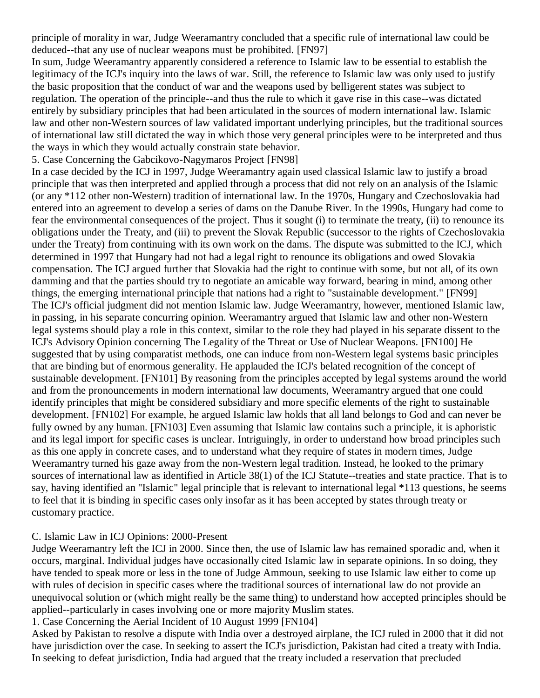principle of morality in war, Judge Weeramantry concluded that a specific rule of international law could be deduced--that any use of nuclear weapons must be prohibited. [\[FN97\]](http://web2.westlaw.com/result/documenttext.aspx?clvl=RCC&rltdb=CLID_DB27399224&effdate=1%2f1%2f0001+12%3a00%3a00+AM&db=JLR%2cAMJUR%2cABAJ%2cALR%2cTP-ALL%2cFEDRLAW&service=Search&sskey=CLID_SSSA27399224&fmqv=s&rlti=1&sv=Split&cnm=Search_5&fn=_top&rs=WLW8.04&cxt=DC&method=TNC&origin=Search&query=%22ISLAMIC+LAW%22++%26++%22INTERNATIONAL+HUMAN+RIGHTS%22&mt=LawSchoolPractitioner&eq=Welcome%2fLawSchoolPractitioner&vr=2.0&rlt=CLID_QRYRLT33399224&n=34&rp=%2fWelcome%2fLawSchoolPractitioner%2fdefault.wl&cnt=DOC&cfid=1&scxt=WL&ssrc=0&ss=CNT#FN;F97#FN;F97)

In sum, Judge Weeramantry apparently considered a reference to Islamic law to be essential to establish the legitimacy of the ICJ's inquiry into the laws of war. Still, the reference to Islamic law was only used to justify the basic proposition that the conduct of war and the weapons used by belligerent states was subject to regulation. The operation of the principle--and thus the rule to which it gave rise in this case--was dictated entirely by subsidiary principles that had been articulated in the sources of modern international law. Islamic law and other non-Western sources of law validated important underlying principles, but the traditional sources of international law still dictated the way in which those very general principles were to be interpreted and thus the ways in which they would actually constrain state behavior.

5. Case Concerning the Gabcikovo-Nagymaros Project [\[FN98\]](http://web2.westlaw.com/result/documenttext.aspx?clvl=RCC&rltdb=CLID_DB27399224&effdate=1%2f1%2f0001+12%3a00%3a00+AM&db=JLR%2cAMJUR%2cABAJ%2cALR%2cTP-ALL%2cFEDRLAW&service=Search&sskey=CLID_SSSA27399224&fmqv=s&rlti=1&sv=Split&cnm=Search_5&fn=_top&rs=WLW8.04&cxt=DC&method=TNC&origin=Search&query=%22ISLAMIC+LAW%22++%26++%22INTERNATIONAL+HUMAN+RIGHTS%22&mt=LawSchoolPractitioner&eq=Welcome%2fLawSchoolPractitioner&vr=2.0&rlt=CLID_QRYRLT33399224&n=34&rp=%2fWelcome%2fLawSchoolPractitioner%2fdefault.wl&cnt=DOC&cfid=1&scxt=WL&ssrc=0&ss=CNT#FN;F98#FN;F98)

In a case decided by the ICJ in 1997, Judge Weeramantry again used classical Islamic law to justify a broad principle that was then interpreted and applied through a process that did not rely on an analysis of the Islamic (or any \*112 other non-Western) tradition of international law. In the 1970s, Hungary and Czechoslovakia had entered into an agreement to develop a series of dams on the Danube River. In the 1990s, Hungary had come to fear the environmental consequences of the project. Thus it sought (i) to terminate the treaty, (ii) to renounce its obligations under the Treaty, and (iii) to prevent the Slovak Republic (successor to the rights of Czechoslovakia under the Treaty) from continuing with its own work on the dams. The dispute was submitted to the ICJ, which determined in 1997 that Hungary had not had a legal right to renounce its obligations and owed Slovakia compensation. The ICJ argued further that Slovakia had the right to continue with some, but not all, of its own damming and that the parties should try to negotiate an amicable way forward, bearing in mind, among other things, the emerging international principle that nations had a right to "sustainable development." [\[FN99\]](http://web2.westlaw.com/result/documenttext.aspx?clvl=RCC&rltdb=CLID_DB27399224&effdate=1%2f1%2f0001+12%3a00%3a00+AM&db=JLR%2cAMJUR%2cABAJ%2cALR%2cTP-ALL%2cFEDRLAW&service=Search&sskey=CLID_SSSA27399224&fmqv=s&rlti=1&sv=Split&cnm=Search_5&fn=_top&rs=WLW8.04&cxt=DC&method=TNC&origin=Search&query=%22ISLAMIC+LAW%22++%26++%22INTERNATIONAL+HUMAN+RIGHTS%22&mt=LawSchoolPractitioner&eq=Welcome%2fLawSchoolPractitioner&vr=2.0&rlt=CLID_QRYRLT33399224&n=34&rp=%2fWelcome%2fLawSchoolPractitioner%2fdefault.wl&cnt=DOC&cfid=1&scxt=WL&ssrc=0&ss=CNT#FN;F99#FN;F99) The ICJ's official judgment did not mention Islamic law. Judge Weeramantry, however, mentioned Islamic law, in passing, in his separate concurring opinion. Weeramantry argued that Islamic law and other non-Western legal systems should play a role in this context, similar to the role they had played in his separate dissent to the ICJ's Advisory Opinion concerning The Legality of the Threat or Use of Nuclear Weapons. [\[FN100\]](http://web2.westlaw.com/result/documenttext.aspx?clvl=RCC&rltdb=CLID_DB27399224&effdate=1%2f1%2f0001+12%3a00%3a00+AM&db=JLR%2cAMJUR%2cABAJ%2cALR%2cTP-ALL%2cFEDRLAW&service=Search&sskey=CLID_SSSA27399224&fmqv=s&rlti=1&sv=Split&cnm=Search_5&fn=_top&rs=WLW8.04&cxt=DC&method=TNC&origin=Search&query=%22ISLAMIC+LAW%22++%26++%22INTERNATIONAL+HUMAN+RIGHTS%22&mt=LawSchoolPractitioner&eq=Welcome%2fLawSchoolPractitioner&vr=2.0&rlt=CLID_QRYRLT33399224&n=34&rp=%2fWelcome%2fLawSchoolPractitioner%2fdefault.wl&cnt=DOC&cfid=1&scxt=WL&ssrc=0&ss=CNT#FN;F100#FN;F100) He suggested that by using comparatist methods, one can induce from non-Western legal systems basic principles that are binding but of enormous generality. He applauded the ICJ's belated recognition of the concept of sustainable development. [\[FN101\]](http://web2.westlaw.com/result/documenttext.aspx?clvl=RCC&rltdb=CLID_DB27399224&effdate=1%2f1%2f0001+12%3a00%3a00+AM&db=JLR%2cAMJUR%2cABAJ%2cALR%2cTP-ALL%2cFEDRLAW&service=Search&sskey=CLID_SSSA27399224&fmqv=s&rlti=1&sv=Split&cnm=Search_5&fn=_top&rs=WLW8.04&cxt=DC&method=TNC&origin=Search&query=%22ISLAMIC+LAW%22++%26++%22INTERNATIONAL+HUMAN+RIGHTS%22&mt=LawSchoolPractitioner&eq=Welcome%2fLawSchoolPractitioner&vr=2.0&rlt=CLID_QRYRLT33399224&n=34&rp=%2fWelcome%2fLawSchoolPractitioner%2fdefault.wl&cnt=DOC&cfid=1&scxt=WL&ssrc=0&ss=CNT#FN;F101#FN;F101) By reasoning from the principles accepted by legal systems around the world and from the pronouncements in modern international law documents, Weeramantry argued that one could identify principles that might be considered subsidiary and more specific elements of the right to sustainable development. [\[FN102\]](http://web2.westlaw.com/result/documenttext.aspx?clvl=RCC&rltdb=CLID_DB27399224&effdate=1%2f1%2f0001+12%3a00%3a00+AM&db=JLR%2cAMJUR%2cABAJ%2cALR%2cTP-ALL%2cFEDRLAW&service=Search&sskey=CLID_SSSA27399224&fmqv=s&rlti=1&sv=Split&cnm=Search_5&fn=_top&rs=WLW8.04&cxt=DC&method=TNC&origin=Search&query=%22ISLAMIC+LAW%22++%26++%22INTERNATIONAL+HUMAN+RIGHTS%22&mt=LawSchoolPractitioner&eq=Welcome%2fLawSchoolPractitioner&vr=2.0&rlt=CLID_QRYRLT33399224&n=34&rp=%2fWelcome%2fLawSchoolPractitioner%2fdefault.wl&cnt=DOC&cfid=1&scxt=WL&ssrc=0&ss=CNT#FN;F102#FN;F102) For example, he argued Islamic law holds that all land belongs to God and can never be fully owned by any human. [\[FN103\]](http://web2.westlaw.com/result/documenttext.aspx?clvl=RCC&rltdb=CLID_DB27399224&effdate=1%2f1%2f0001+12%3a00%3a00+AM&db=JLR%2cAMJUR%2cABAJ%2cALR%2cTP-ALL%2cFEDRLAW&service=Search&sskey=CLID_SSSA27399224&fmqv=s&rlti=1&sv=Split&cnm=Search_5&fn=_top&rs=WLW8.04&cxt=DC&method=TNC&origin=Search&query=%22ISLAMIC+LAW%22++%26++%22INTERNATIONAL+HUMAN+RIGHTS%22&mt=LawSchoolPractitioner&eq=Welcome%2fLawSchoolPractitioner&vr=2.0&rlt=CLID_QRYRLT33399224&n=34&rp=%2fWelcome%2fLawSchoolPractitioner%2fdefault.wl&cnt=DOC&cfid=1&scxt=WL&ssrc=0&ss=CNT#FN;F103#FN;F103) Even assuming that Islamic law contains such a principle, it is aphoristic and its legal import for specific cases is unclear. Intriguingly, in order to understand how broad principles such as this one apply in concrete cases, and to understand what they require of states in modern times, Judge Weeramantry turned his gaze away from the non-Western legal tradition. Instead, he looked to the primary sources of international law as identified in Article 38(1) of the ICJ Statute--treaties and state practice. That is to say, having identified an "Islamic" legal principle that is relevant to international legal \*113 questions, he seems to feel that it is binding in specific cases only insofar as it has been accepted by states through treaty or customary practice.

#### C. Islamic Law in ICJ Opinions: 2000-Present

Judge Weeramantry left the ICJ in 2000. Since then, the use of Islamic law has remained sporadic and, when it occurs, marginal. Individual judges have occasionally cited Islamic law in separate opinions. In so doing, they have tended to speak more or less in the tone of Judge Ammoun, seeking to use Islamic law either to come up with rules of decision in specific cases where the traditional sources of international law do not provide an unequivocal solution or (which might really be the same thing) to understand how accepted principles should be applied--particularly in cases involving one or more majority Muslim states.

#### 1. Case Concerning the Aerial Incident of 10 August 1999 [\[FN104\]](http://web2.westlaw.com/result/documenttext.aspx?clvl=RCC&rltdb=CLID_DB27399224&effdate=1%2f1%2f0001+12%3a00%3a00+AM&db=JLR%2cAMJUR%2cABAJ%2cALR%2cTP-ALL%2cFEDRLAW&service=Search&sskey=CLID_SSSA27399224&fmqv=s&rlti=1&sv=Split&cnm=Search_5&fn=_top&rs=WLW8.04&cxt=DC&method=TNC&origin=Search&query=%22ISLAMIC+LAW%22++%26++%22INTERNATIONAL+HUMAN+RIGHTS%22&mt=LawSchoolPractitioner&eq=Welcome%2fLawSchoolPractitioner&vr=2.0&rlt=CLID_QRYRLT33399224&n=34&rp=%2fWelcome%2fLawSchoolPractitioner%2fdefault.wl&cnt=DOC&cfid=1&scxt=WL&ssrc=0&ss=CNT#FN;F104#FN;F104)

Asked by Pakistan to resolve a dispute with India over a destroyed airplane, the ICJ ruled in 2000 that it did not have jurisdiction over the case. In seeking to assert the ICJ's jurisdiction, Pakistan had cited a treaty with India. In seeking to defeat jurisdiction, India had argued that the treaty included a reservation that precluded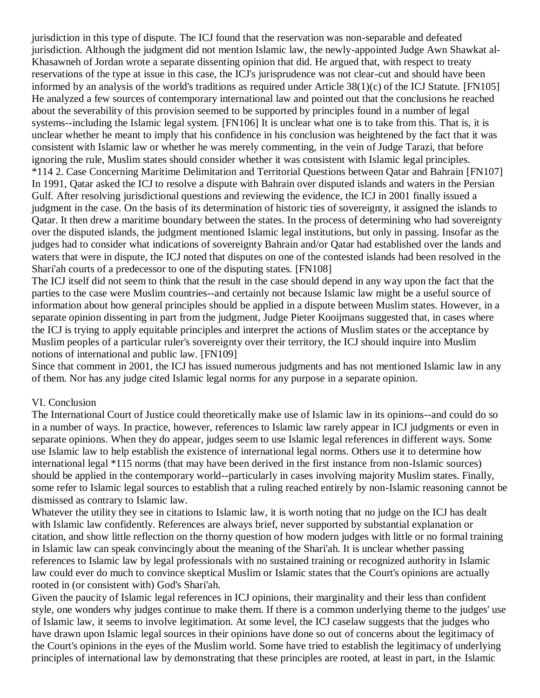jurisdiction in this type of dispute. The ICJ found that the reservation was non-separable and defeated jurisdiction. Although the judgment did not mention Islamic law, the newly-appointed Judge Awn Shawkat al-Khasawneh of Jordan wrote a separate dissenting opinion that did. He argued that, with respect to treaty reservations of the type at issue in this case, the ICJ's jurisprudence was not clear-cut and should have been informed by an analysis of the world's traditions as required under Article 38(1)(c) of the ICJ Statute. [\[FN105\]](http://web2.westlaw.com/result/documenttext.aspx?clvl=RCC&rltdb=CLID_DB27399224&effdate=1%2f1%2f0001+12%3a00%3a00+AM&db=JLR%2cAMJUR%2cABAJ%2cALR%2cTP-ALL%2cFEDRLAW&service=Search&sskey=CLID_SSSA27399224&fmqv=s&rlti=1&sv=Split&cnm=Search_5&fn=_top&rs=WLW8.04&cxt=DC&method=TNC&origin=Search&query=%22ISLAMIC+LAW%22++%26++%22INTERNATIONAL+HUMAN+RIGHTS%22&mt=LawSchoolPractitioner&eq=Welcome%2fLawSchoolPractitioner&vr=2.0&rlt=CLID_QRYRLT33399224&n=34&rp=%2fWelcome%2fLawSchoolPractitioner%2fdefault.wl&cnt=DOC&cfid=1&scxt=WL&ssrc=0&ss=CNT#FN;F105#FN;F105) He analyzed a few sources of contemporary international law and pointed out that the conclusions he reached about the severability of this provision seemed to be supported by principles found in a number of legal systems--including the Islamic legal system. [\[FN106\]](http://web2.westlaw.com/result/documenttext.aspx?clvl=RCC&rltdb=CLID_DB27399224&effdate=1%2f1%2f0001+12%3a00%3a00+AM&db=JLR%2cAMJUR%2cABAJ%2cALR%2cTP-ALL%2cFEDRLAW&service=Search&sskey=CLID_SSSA27399224&fmqv=s&rlti=1&sv=Split&cnm=Search_5&fn=_top&rs=WLW8.04&cxt=DC&method=TNC&origin=Search&query=%22ISLAMIC+LAW%22++%26++%22INTERNATIONAL+HUMAN+RIGHTS%22&mt=LawSchoolPractitioner&eq=Welcome%2fLawSchoolPractitioner&vr=2.0&rlt=CLID_QRYRLT33399224&n=34&rp=%2fWelcome%2fLawSchoolPractitioner%2fdefault.wl&cnt=DOC&cfid=1&scxt=WL&ssrc=0&ss=CNT#FN;F106#FN;F106) It is unclear what one is to take from this. That is, it is unclear whether he meant to imply that his confidence in his conclusion was heightened by the fact that it was consistent with Islamic law or whether he was merely commenting, in the vein of Judge Tarazi, that before ignoring the rule, Muslim states should consider whether it was consistent with Islamic legal principles. \*114 2. Case Concerning Maritime Delimitation and Territorial Questions between Qatar and Bahrain [\[FN107\]](http://web2.westlaw.com/result/documenttext.aspx?clvl=RCC&rltdb=CLID_DB27399224&effdate=1%2f1%2f0001+12%3a00%3a00+AM&db=JLR%2cAMJUR%2cABAJ%2cALR%2cTP-ALL%2cFEDRLAW&service=Search&sskey=CLID_SSSA27399224&fmqv=s&rlti=1&sv=Split&cnm=Search_5&fn=_top&rs=WLW8.04&cxt=DC&method=TNC&origin=Search&query=%22ISLAMIC+LAW%22++%26++%22INTERNATIONAL+HUMAN+RIGHTS%22&mt=LawSchoolPractitioner&eq=Welcome%2fLawSchoolPractitioner&vr=2.0&rlt=CLID_QRYRLT33399224&n=34&rp=%2fWelcome%2fLawSchoolPractitioner%2fdefault.wl&cnt=DOC&cfid=1&scxt=WL&ssrc=0&ss=CNT#FN;F107#FN;F107) In 1991, Qatar asked the ICJ to resolve a dispute with Bahrain over disputed islands and waters in the Persian Gulf. After resolving jurisdictional questions and reviewing the evidence, the ICJ in 2001 finally issued a judgment in the case. On the basis of its determination of historic ties of sovereignty, it assigned the islands to Qatar. It then drew a maritime boundary between the states. In the process of determining who had sovereignty over the disputed islands, the judgment mentioned Islamic legal institutions, but only in passing. Insofar as the judges had to consider what indications of sovereignty Bahrain and/or Qatar had established over the lands and waters that were in dispute, the ICJ noted that disputes on one of the contested islands had been resolved in the Shari'ah courts of a predecessor to one of the disputing states. [\[FN108\]](http://web2.westlaw.com/result/documenttext.aspx?clvl=RCC&rltdb=CLID_DB27399224&effdate=1%2f1%2f0001+12%3a00%3a00+AM&db=JLR%2cAMJUR%2cABAJ%2cALR%2cTP-ALL%2cFEDRLAW&service=Search&sskey=CLID_SSSA27399224&fmqv=s&rlti=1&sv=Split&cnm=Search_5&fn=_top&rs=WLW8.04&cxt=DC&method=TNC&origin=Search&query=%22ISLAMIC+LAW%22++%26++%22INTERNATIONAL+HUMAN+RIGHTS%22&mt=LawSchoolPractitioner&eq=Welcome%2fLawSchoolPractitioner&vr=2.0&rlt=CLID_QRYRLT33399224&n=34&rp=%2fWelcome%2fLawSchoolPractitioner%2fdefault.wl&cnt=DOC&cfid=1&scxt=WL&ssrc=0&ss=CNT#FN;F108#FN;F108)

The ICJ itself did not seem to think that the result in the case should depend in any way upon the fact that the parties to the case were Muslim countries--and certainly not because Islamic law might be a useful source of information about how general principles should be applied in a dispute between Muslim states. However, in a separate opinion dissenting in part from the judgment, Judge Pieter Kooijmans suggested that, in cases where the ICJ is trying to apply equitable principles and interpret the actions of Muslim states or the acceptance by Muslim peoples of a particular ruler's sovereignty over their territory, the ICJ should inquire into Muslim notions of international and public law. [\[FN109\]](http://web2.westlaw.com/result/documenttext.aspx?clvl=RCC&rltdb=CLID_DB27399224&effdate=1%2f1%2f0001+12%3a00%3a00+AM&db=JLR%2cAMJUR%2cABAJ%2cALR%2cTP-ALL%2cFEDRLAW&service=Search&sskey=CLID_SSSA27399224&fmqv=s&rlti=1&sv=Split&cnm=Search_5&fn=_top&rs=WLW8.04&cxt=DC&method=TNC&origin=Search&query=%22ISLAMIC+LAW%22++%26++%22INTERNATIONAL+HUMAN+RIGHTS%22&mt=LawSchoolPractitioner&eq=Welcome%2fLawSchoolPractitioner&vr=2.0&rlt=CLID_QRYRLT33399224&n=34&rp=%2fWelcome%2fLawSchoolPractitioner%2fdefault.wl&cnt=DOC&cfid=1&scxt=WL&ssrc=0&ss=CNT#FN;F109#FN;F109)

Since that comment in 2001, the ICJ has issued numerous judgments and has not mentioned Islamic law in any of them. Nor has any judge cited Islamic legal norms for any purpose in a separate opinion.

#### VI. Conclusion

The International Court of Justice could theoretically make use of Islamic law in its opinions--and could do so in a number of ways. In practice, however, references to Islamic law rarely appear in ICJ judgments or even in separate opinions. When they do appear, judges seem to use Islamic legal references in different ways. Some use Islamic law to help establish the existence of international legal norms. Others use it to determine how international legal \*115 norms (that may have been derived in the first instance from non-Islamic sources) should be applied in the contemporary world--particularly in cases involving majority Muslim states. Finally, some refer to Islamic legal sources to establish that a ruling reached entirely by non-Islamic reasoning cannot be dismissed as contrary to Islamic law.

Whatever the utility they see in citations to Islamic law, it is worth noting that no judge on the ICJ has dealt with Islamic law confidently. References are always brief, never supported by substantial explanation or citation, and show little reflection on the thorny question of how modern judges with little or no formal training in Islamic law can speak convincingly about the meaning of the Shari'ah. It is unclear whether passing references to Islamic law by legal professionals with no sustained training or recognized authority in Islamic law could ever do much to convince skeptical Muslim or Islamic states that the Court's opinions are actually rooted in (or consistent with) God's Shari'ah.

Given the paucity of Islamic legal references in ICJ opinions, their marginality and their less than confident style, one wonders why judges continue to make them. If there is a common underlying theme to the judges' use of Islamic law, it seems to involve legitimation. At some level, the ICJ caselaw suggests that the judges who have drawn upon Islamic legal sources in their opinions have done so out of concerns about the legitimacy of the Court's opinions in the eyes of the Muslim world. Some have tried to establish the legitimacy of underlying principles of international law by demonstrating that these principles are rooted, at least in part, in the Islamic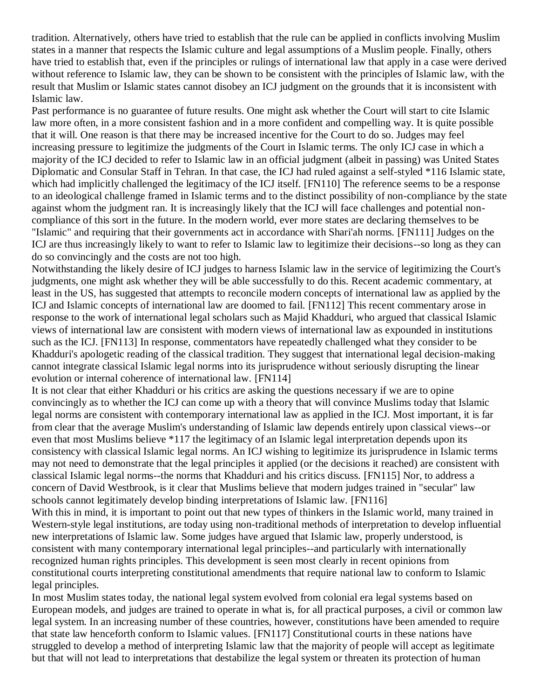tradition. Alternatively, others have tried to establish that the rule can be applied in conflicts involving Muslim states in a manner that respects the Islamic culture and legal assumptions of a Muslim people. Finally, others have tried to establish that, even if the principles or rulings of international law that apply in a case were derived without reference to Islamic law, they can be shown to be consistent with the principles of Islamic law, with the result that Muslim or Islamic states cannot disobey an ICJ judgment on the grounds that it is inconsistent with Islamic law.

Past performance is no guarantee of future results. One might ask whether the Court will start to cite Islamic law more often, in a more consistent fashion and in a more confident and compelling way. It is quite possible that it will. One reason is that there may be increased incentive for the Court to do so. Judges may feel increasing pressure to legitimize the judgments of the Court in Islamic terms. The only ICJ case in which a majority of the ICJ decided to refer to Islamic law in an official judgment (albeit in passing) was United States Diplomatic and Consular Staff in Tehran. In that case, the ICJ had ruled against a self-styled \*116 Islamic state, which had implicitly challenged the legitimacy of the ICJ itself. [\[FN110\]](http://web2.westlaw.com/result/documenttext.aspx?clvl=RCC&rltdb=CLID_DB27399224&effdate=1%2f1%2f0001+12%3a00%3a00+AM&db=JLR%2cAMJUR%2cABAJ%2cALR%2cTP-ALL%2cFEDRLAW&service=Search&sskey=CLID_SSSA27399224&fmqv=s&rlti=1&sv=Split&cnm=Search_5&fn=_top&rs=WLW8.04&cxt=DC&method=TNC&origin=Search&query=%22ISLAMIC+LAW%22++%26++%22INTERNATIONAL+HUMAN+RIGHTS%22&mt=LawSchoolPractitioner&eq=Welcome%2fLawSchoolPractitioner&vr=2.0&rlt=CLID_QRYRLT33399224&n=34&rp=%2fWelcome%2fLawSchoolPractitioner%2fdefault.wl&cnt=DOC&cfid=1&scxt=WL&ssrc=0&ss=CNT#FN;F110#FN;F110) The reference seems to be a response to an ideological challenge framed in Islamic terms and to the distinct possibility of non-compliance by the state against whom the judgment ran. It is increasingly likely that the ICJ will face challenges and potential noncompliance of this sort in the future. In the modern world, ever more states are declaring themselves to be "Islamic" and requiring that their governments act in accordance with Shari'ah norms. [\[FN111\]](http://web2.westlaw.com/result/documenttext.aspx?clvl=RCC&rltdb=CLID_DB27399224&effdate=1%2f1%2f0001+12%3a00%3a00+AM&db=JLR%2cAMJUR%2cABAJ%2cALR%2cTP-ALL%2cFEDRLAW&service=Search&sskey=CLID_SSSA27399224&fmqv=s&rlti=1&sv=Split&cnm=Search_5&fn=_top&rs=WLW8.04&cxt=DC&method=TNC&origin=Search&query=%22ISLAMIC+LAW%22++%26++%22INTERNATIONAL+HUMAN+RIGHTS%22&mt=LawSchoolPractitioner&eq=Welcome%2fLawSchoolPractitioner&vr=2.0&rlt=CLID_QRYRLT33399224&n=34&rp=%2fWelcome%2fLawSchoolPractitioner%2fdefault.wl&cnt=DOC&cfid=1&scxt=WL&ssrc=0&ss=CNT#FN;F111#FN;F111) Judges on the ICJ are thus increasingly likely to want to refer to Islamic law to legitimize their decisions--so long as they can do so convincingly and the costs are not too high.

Notwithstanding the likely desire of ICJ judges to harness Islamic law in the service of legitimizing the Court's judgments, one might ask whether they will be able successfully to do this. Recent academic commentary, at least in the US, has suggested that attempts to reconcile modern concepts of international law as applied by the ICJ and Islamic concepts of international law are doomed to fail. [\[FN112\]](http://web2.westlaw.com/result/documenttext.aspx?clvl=RCC&rltdb=CLID_DB27399224&effdate=1%2f1%2f0001+12%3a00%3a00+AM&db=JLR%2cAMJUR%2cABAJ%2cALR%2cTP-ALL%2cFEDRLAW&service=Search&sskey=CLID_SSSA27399224&fmqv=s&rlti=1&sv=Split&cnm=Search_5&fn=_top&rs=WLW8.04&cxt=DC&method=TNC&origin=Search&query=%22ISLAMIC+LAW%22++%26++%22INTERNATIONAL+HUMAN+RIGHTS%22&mt=LawSchoolPractitioner&eq=Welcome%2fLawSchoolPractitioner&vr=2.0&rlt=CLID_QRYRLT33399224&n=34&rp=%2fWelcome%2fLawSchoolPractitioner%2fdefault.wl&cnt=DOC&cfid=1&scxt=WL&ssrc=0&ss=CNT#FN;F112#FN;F112) This recent commentary arose in response to the work of international legal scholars such as Majid Khadduri, who argued that classical Islamic views of international law are consistent with modern views of international law as expounded in institutions such as the ICJ. [\[FN113\]](http://web2.westlaw.com/result/documenttext.aspx?clvl=RCC&rltdb=CLID_DB27399224&effdate=1%2f1%2f0001+12%3a00%3a00+AM&db=JLR%2cAMJUR%2cABAJ%2cALR%2cTP-ALL%2cFEDRLAW&service=Search&sskey=CLID_SSSA27399224&fmqv=s&rlti=1&sv=Split&cnm=Search_5&fn=_top&rs=WLW8.04&cxt=DC&method=TNC&origin=Search&query=%22ISLAMIC+LAW%22++%26++%22INTERNATIONAL+HUMAN+RIGHTS%22&mt=LawSchoolPractitioner&eq=Welcome%2fLawSchoolPractitioner&vr=2.0&rlt=CLID_QRYRLT33399224&n=34&rp=%2fWelcome%2fLawSchoolPractitioner%2fdefault.wl&cnt=DOC&cfid=1&scxt=WL&ssrc=0&ss=CNT#FN;F113#FN;F113) In response, commentators have repeatedly challenged what they consider to be Khadduri's apologetic reading of the classical tradition. They suggest that international legal decision-making cannot integrate classical Islamic legal norms into its jurisprudence without seriously disrupting the linear evolution or internal coherence of international law. [\[FN114\]](http://web2.westlaw.com/result/documenttext.aspx?clvl=RCC&rltdb=CLID_DB27399224&effdate=1%2f1%2f0001+12%3a00%3a00+AM&db=JLR%2cAMJUR%2cABAJ%2cALR%2cTP-ALL%2cFEDRLAW&service=Search&sskey=CLID_SSSA27399224&fmqv=s&rlti=1&sv=Split&cnm=Search_5&fn=_top&rs=WLW8.04&cxt=DC&method=TNC&origin=Search&query=%22ISLAMIC+LAW%22++%26++%22INTERNATIONAL+HUMAN+RIGHTS%22&mt=LawSchoolPractitioner&eq=Welcome%2fLawSchoolPractitioner&vr=2.0&rlt=CLID_QRYRLT33399224&n=34&rp=%2fWelcome%2fLawSchoolPractitioner%2fdefault.wl&cnt=DOC&cfid=1&scxt=WL&ssrc=0&ss=CNT#FN;F114#FN;F114)

It is not clear that either Khadduri or his critics are asking the questions necessary if we are to opine convincingly as to whether the ICJ can come up with a theory that will convince Muslims today that Islamic legal norms are consistent with contemporary international law as applied in the ICJ. Most important, it is far from clear that the average Muslim's understanding of Islamic law depends entirely upon classical views--or even that most Muslims believe \*117 the legitimacy of an Islamic legal interpretation depends upon its consistency with classical Islamic legal norms. An ICJ wishing to legitimize its jurisprudence in Islamic terms may not need to demonstrate that the legal principles it applied (or the decisions it reached) are consistent with classical Islamic legal norms--the norms that Khadduri and his critics discuss. [\[FN115\]](http://web2.westlaw.com/result/documenttext.aspx?clvl=RCC&rltdb=CLID_DB27399224&effdate=1%2f1%2f0001+12%3a00%3a00+AM&db=JLR%2cAMJUR%2cABAJ%2cALR%2cTP-ALL%2cFEDRLAW&service=Search&sskey=CLID_SSSA27399224&fmqv=s&rlti=1&sv=Split&cnm=Search_5&fn=_top&rs=WLW8.04&cxt=DC&method=TNC&origin=Search&query=%22ISLAMIC+LAW%22++%26++%22INTERNATIONAL+HUMAN+RIGHTS%22&mt=LawSchoolPractitioner&eq=Welcome%2fLawSchoolPractitioner&vr=2.0&rlt=CLID_QRYRLT33399224&n=34&rp=%2fWelcome%2fLawSchoolPractitioner%2fdefault.wl&cnt=DOC&cfid=1&scxt=WL&ssrc=0&ss=CNT#FN;F115#FN;F115) Nor, to address a concern of David Westbrook, is it clear that Muslims believe that modern judges trained in "secular" law schools cannot legitimately develop binding interpretations of Islamic law. [\[FN116\]](http://web2.westlaw.com/result/documenttext.aspx?clvl=RCC&rltdb=CLID_DB27399224&effdate=1%2f1%2f0001+12%3a00%3a00+AM&db=JLR%2cAMJUR%2cABAJ%2cALR%2cTP-ALL%2cFEDRLAW&service=Search&sskey=CLID_SSSA27399224&fmqv=s&rlti=1&sv=Split&cnm=Search_5&fn=_top&rs=WLW8.04&cxt=DC&method=TNC&origin=Search&query=%22ISLAMIC+LAW%22++%26++%22INTERNATIONAL+HUMAN+RIGHTS%22&mt=LawSchoolPractitioner&eq=Welcome%2fLawSchoolPractitioner&vr=2.0&rlt=CLID_QRYRLT33399224&n=34&rp=%2fWelcome%2fLawSchoolPractitioner%2fdefault.wl&cnt=DOC&cfid=1&scxt=WL&ssrc=0&ss=CNT#FN;F116#FN;F116)

With this in mind, it is important to point out that new types of thinkers in the Islamic world, many trained in Western-style legal institutions, are today using non-traditional methods of interpretation to develop influential new interpretations of Islamic law. Some judges have argued that Islamic law, properly understood, is consistent with many contemporary international legal principles--and particularly with internationally recognized human rights principles. This development is seen most clearly in recent opinions from constitutional courts interpreting constitutional amendments that require national law to conform to Islamic legal principles.

In most Muslim states today, the national legal system evolved from colonial era legal systems based on European models, and judges are trained to operate in what is, for all practical purposes, a civil or common law legal system. In an increasing number of these countries, however, constitutions have been amended to require that state law henceforth conform to Islamic values. [\[FN117\]](http://web2.westlaw.com/result/documenttext.aspx?clvl=RCC&rltdb=CLID_DB27399224&effdate=1%2f1%2f0001+12%3a00%3a00+AM&db=JLR%2cAMJUR%2cABAJ%2cALR%2cTP-ALL%2cFEDRLAW&service=Search&sskey=CLID_SSSA27399224&fmqv=s&rlti=1&sv=Split&cnm=Search_5&fn=_top&rs=WLW8.04&cxt=DC&method=TNC&origin=Search&query=%22ISLAMIC+LAW%22++%26++%22INTERNATIONAL+HUMAN+RIGHTS%22&mt=LawSchoolPractitioner&eq=Welcome%2fLawSchoolPractitioner&vr=2.0&rlt=CLID_QRYRLT33399224&n=34&rp=%2fWelcome%2fLawSchoolPractitioner%2fdefault.wl&cnt=DOC&cfid=1&scxt=WL&ssrc=0&ss=CNT#FN;F117#FN;F117) Constitutional courts in these nations have struggled to develop a method of interpreting Islamic law that the majority of people will accept as legitimate but that will not lead to interpretations that destabilize the legal system or threaten its protection of human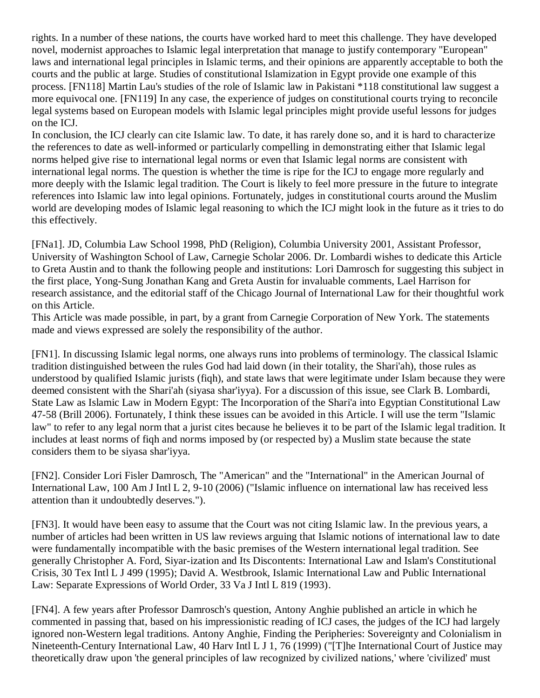rights. In a number of these nations, the courts have worked hard to meet this challenge. They have developed novel, modernist approaches to Islamic legal interpretation that manage to justify contemporary "European" laws and international legal principles in Islamic terms, and their opinions are apparently acceptable to both the courts and the public at large. Studies of constitutional Islamization in Egypt provide one example of this process. [\[FN118\]](http://web2.westlaw.com/result/documenttext.aspx?clvl=RCC&rltdb=CLID_DB27399224&effdate=1%2f1%2f0001+12%3a00%3a00+AM&db=JLR%2cAMJUR%2cABAJ%2cALR%2cTP-ALL%2cFEDRLAW&service=Search&sskey=CLID_SSSA27399224&fmqv=s&rlti=1&sv=Split&cnm=Search_5&fn=_top&rs=WLW8.04&cxt=DC&method=TNC&origin=Search&query=%22ISLAMIC+LAW%22++%26++%22INTERNATIONAL+HUMAN+RIGHTS%22&mt=LawSchoolPractitioner&eq=Welcome%2fLawSchoolPractitioner&vr=2.0&rlt=CLID_QRYRLT33399224&n=34&rp=%2fWelcome%2fLawSchoolPractitioner%2fdefault.wl&cnt=DOC&cfid=1&scxt=WL&ssrc=0&ss=CNT#FN;F118#FN;F118) Martin Lau's studies of the role of Islamic law in Pakistani \*118 constitutional law suggest a more equivocal one. [\[FN119\]](http://web2.westlaw.com/result/documenttext.aspx?clvl=RCC&rltdb=CLID_DB27399224&effdate=1%2f1%2f0001+12%3a00%3a00+AM&db=JLR%2cAMJUR%2cABAJ%2cALR%2cTP-ALL%2cFEDRLAW&service=Search&sskey=CLID_SSSA27399224&fmqv=s&rlti=1&sv=Split&cnm=Search_5&fn=_top&rs=WLW8.04&cxt=DC&method=TNC&origin=Search&query=%22ISLAMIC+LAW%22++%26++%22INTERNATIONAL+HUMAN+RIGHTS%22&mt=LawSchoolPractitioner&eq=Welcome%2fLawSchoolPractitioner&vr=2.0&rlt=CLID_QRYRLT33399224&n=34&rp=%2fWelcome%2fLawSchoolPractitioner%2fdefault.wl&cnt=DOC&cfid=1&scxt=WL&ssrc=0&ss=CNT#FN;F119#FN;F119) In any case, the experience of judges on constitutional courts trying to reconcile legal systems based on European models with Islamic legal principles might provide useful lessons for judges on the ICJ.

In conclusion, the ICJ clearly can cite Islamic law. To date, it has rarely done so, and it is hard to characterize the references to date as well-informed or particularly compelling in demonstrating either that Islamic legal norms helped give rise to international legal norms or even that Islamic legal norms are consistent with international legal norms. The question is whether the time is ripe for the ICJ to engage more regularly and more deeply with the Islamic legal tradition. The Court is likely to feel more pressure in the future to integrate references into Islamic law into legal opinions. Fortunately, judges in constitutional courts around the Muslim world are developing modes of Islamic legal reasoning to which the ICJ might look in the future as it tries to do this effectively.

[\[FNa1\].](http://web2.westlaw.com/result/documenttext.aspx?clvl=RCC&rltdb=CLID_DB27399224&effdate=1%2f1%2f0001+12%3a00%3a00+AM&db=JLR%2cAMJUR%2cABAJ%2cALR%2cTP-ALL%2cFEDRLAW&service=Search&sskey=CLID_SSSA27399224&fmqv=s&rlti=1&sv=Split&cnm=Search_5&fn=_top&rs=WLW8.04&cxt=DC&method=TNC&origin=Search&query=%22ISLAMIC+LAW%22++%26++%22INTERNATIONAL+HUMAN+RIGHTS%22&mt=LawSchoolPractitioner&eq=Welcome%2fLawSchoolPractitioner&vr=2.0&rlt=CLID_QRYRLT33399224&n=34&rp=%2fWelcome%2fLawSchoolPractitioner%2fdefault.wl&cnt=DOC&cfid=1&scxt=WL&ssrc=0&ss=CNT#FN;Ba1#FN;Ba1) JD, Columbia Law School 1998, PhD (Religion), Columbia University 2001, Assistant Professor, University of Washington School of Law, Carnegie Scholar 2006. Dr. Lombardi wishes to dedicate this Article to Greta Austin and to thank the following people and institutions: Lori Damrosch for suggesting this subject in the first place, Yong-Sung Jonathan Kang and Greta Austin for invaluable comments, Lael Harrison for research assistance, and the editorial staff of the Chicago Journal of International Law for their thoughtful work on this Article.

This Article was made possible, in part, by a grant from Carnegie Corporation of New York. The statements made and views expressed are solely the responsibility of the author.

[\[FN1\].](http://web2.westlaw.com/result/documenttext.aspx?clvl=RCC&rltdb=CLID_DB27399224&effdate=1%2f1%2f0001+12%3a00%3a00+AM&db=JLR%2cAMJUR%2cABAJ%2cALR%2cTP-ALL%2cFEDRLAW&service=Search&sskey=CLID_SSSA27399224&fmqv=s&rlti=1&sv=Split&cnm=Search_5&fn=_top&rs=WLW8.04&cxt=DC&method=TNC&origin=Search&query=%22ISLAMIC+LAW%22++%26++%22INTERNATIONAL+HUMAN+RIGHTS%22&mt=LawSchoolPractitioner&eq=Welcome%2fLawSchoolPractitioner&vr=2.0&rlt=CLID_QRYRLT33399224&n=34&rp=%2fWelcome%2fLawSchoolPractitioner%2fdefault.wl&cnt=DOC&cfid=1&scxt=WL&ssrc=0&ss=CNT#FN;B1#FN;B1) In discussing Islamic legal norms, one always runs into problems of terminology. The classical Islamic tradition distinguished between the rules God had laid down (in their totality, the Shari'ah), those rules as understood by qualified Islamic jurists (fiqh), and state laws that were legitimate under Islam because they were deemed consistent with the Shari'ah (siyasa shar'iyya). For a discussion of this issue, see Clark B. Lombardi, State Law as Islamic Law in Modern Egypt: The Incorporation of the Shari'a into Egyptian Constitutional Law 47-58 (Brill 2006). Fortunately, I think these issues can be avoided in this Article. I will use the term "Islamic law" to refer to any legal norm that a jurist cites because he believes it to be part of the Islamic legal tradition. It includes at least norms of fiqh and norms imposed by (or respected by) a Muslim state because the state considers them to be siyasa shar'iyya.

[\[FN2\].](http://web2.westlaw.com/result/documenttext.aspx?clvl=RCC&rltdb=CLID_DB27399224&effdate=1%2f1%2f0001+12%3a00%3a00+AM&db=JLR%2cAMJUR%2cABAJ%2cALR%2cTP-ALL%2cFEDRLAW&service=Search&sskey=CLID_SSSA27399224&fmqv=s&rlti=1&sv=Split&cnm=Search_5&fn=_top&rs=WLW8.04&cxt=DC&method=TNC&origin=Search&query=%22ISLAMIC+LAW%22++%26++%22INTERNATIONAL+HUMAN+RIGHTS%22&mt=LawSchoolPractitioner&eq=Welcome%2fLawSchoolPractitioner&vr=2.0&rlt=CLID_QRYRLT33399224&n=34&rp=%2fWelcome%2fLawSchoolPractitioner%2fdefault.wl&cnt=DOC&cfid=1&scxt=WL&ssrc=0&ss=CNT#FN;B2#FN;B2) Consider Lori Fisler Damrosch, The ["American" and the "International" in the American Journal of](http://web2.westlaw.com/find/default.wl?rp=%2ffind%2fdefault.wl&vc=0&DB=3263&SerialNum=0312317977&FindType=Y&ReferencePositionType=S&ReferencePosition=9&AP=&fn=_top&rs=WLW8.04&mt=LawSchoolPractitioner&vr=2.0&sv=Split)  [International Law, 100 Am J Intl L 2, 9-10 \(2006\)](http://web2.westlaw.com/find/default.wl?rp=%2ffind%2fdefault.wl&vc=0&DB=3263&SerialNum=0312317977&FindType=Y&ReferencePositionType=S&ReferencePosition=9&AP=&fn=_top&rs=WLW8.04&mt=LawSchoolPractitioner&vr=2.0&sv=Split) ("Islamic influence on international law has received less attention than it undoubtedly deserves.").

[\[FN3\].](http://web2.westlaw.com/result/documenttext.aspx?clvl=RCC&rltdb=CLID_DB27399224&effdate=1%2f1%2f0001+12%3a00%3a00+AM&db=JLR%2cAMJUR%2cABAJ%2cALR%2cTP-ALL%2cFEDRLAW&service=Search&sskey=CLID_SSSA27399224&fmqv=s&rlti=1&sv=Split&cnm=Search_5&fn=_top&rs=WLW8.04&cxt=DC&method=TNC&origin=Search&query=%22ISLAMIC+LAW%22++%26++%22INTERNATIONAL+HUMAN+RIGHTS%22&mt=LawSchoolPractitioner&eq=Welcome%2fLawSchoolPractitioner&vr=2.0&rlt=CLID_QRYRLT33399224&n=34&rp=%2fWelcome%2fLawSchoolPractitioner%2fdefault.wl&cnt=DOC&cfid=1&scxt=WL&ssrc=0&ss=CNT#FN;B3#FN;B3) It would have been easy to assume that the Court was not citing Islamic law. In the previous years, a number of articles had been written in US law reviews arguing that Islamic notions of international law to date were fundamentally incompatible with the basic premises of the Western international legal tradition. See generally Christopher A. Ford, [Siyar-ization and Its Discontents: International Law and Islam's Constitutional](http://web2.westlaw.com/find/default.wl?rp=%2ffind%2fdefault.wl&vc=0&DB=1480&SerialNum=0106273524&FindType=Y&AP=&fn=_top&rs=WLW8.04&mt=LawSchoolPractitioner&vr=2.0&sv=Split)  [Crisis, 30 Tex Intl L J 499 \(1995\);](http://web2.westlaw.com/find/default.wl?rp=%2ffind%2fdefault.wl&vc=0&DB=1480&SerialNum=0106273524&FindType=Y&AP=&fn=_top&rs=WLW8.04&mt=LawSchoolPractitioner&vr=2.0&sv=Split) David A. Westbrook, [Islamic International Law and Public International](http://web2.westlaw.com/find/default.wl?rp=%2ffind%2fdefault.wl&vc=0&DB=1275&SerialNum=0104438282&FindType=Y&AP=&fn=_top&rs=WLW8.04&mt=LawSchoolPractitioner&vr=2.0&sv=Split)  [Law: Separate Expressions of World Order, 33 Va J Intl L 819 \(1993\).](http://web2.westlaw.com/find/default.wl?rp=%2ffind%2fdefault.wl&vc=0&DB=1275&SerialNum=0104438282&FindType=Y&AP=&fn=_top&rs=WLW8.04&mt=LawSchoolPractitioner&vr=2.0&sv=Split)

[\[FN4\].](http://web2.westlaw.com/result/documenttext.aspx?clvl=RCC&rltdb=CLID_DB27399224&effdate=1%2f1%2f0001+12%3a00%3a00+AM&db=JLR%2cAMJUR%2cABAJ%2cALR%2cTP-ALL%2cFEDRLAW&service=Search&sskey=CLID_SSSA27399224&fmqv=s&rlti=1&sv=Split&cnm=Search_5&fn=_top&rs=WLW8.04&cxt=DC&method=TNC&origin=Search&query=%22ISLAMIC+LAW%22++%26++%22INTERNATIONAL+HUMAN+RIGHTS%22&mt=LawSchoolPractitioner&eq=Welcome%2fLawSchoolPractitioner&vr=2.0&rlt=CLID_QRYRLT33399224&n=34&rp=%2fWelcome%2fLawSchoolPractitioner%2fdefault.wl&cnt=DOC&cfid=1&scxt=WL&ssrc=0&ss=CNT#FN;B4#FN;B4) A few years after Professor Damrosch's question, Antony Anghie published an article in which he commented in passing that, based on his impressionistic reading of ICJ cases, the judges of the ICJ had largely ignored non-Western legal traditions. Antony Anghie, [Finding the Peripheries: Sovereignty and Colonialism in](http://web2.westlaw.com/find/default.wl?rp=%2ffind%2fdefault.wl&vc=0&DB=1153&SerialNum=0110677000&FindType=Y&ReferencePositionType=S&ReferencePosition=76&AP=&fn=_top&rs=WLW8.04&mt=LawSchoolPractitioner&vr=2.0&sv=Split)  [Nineteenth-Century International Law, 40 Harv Intl L J 1, 76 \(1999\)](http://web2.westlaw.com/find/default.wl?rp=%2ffind%2fdefault.wl&vc=0&DB=1153&SerialNum=0110677000&FindType=Y&ReferencePositionType=S&ReferencePosition=76&AP=&fn=_top&rs=WLW8.04&mt=LawSchoolPractitioner&vr=2.0&sv=Split) ("[T]he International Court of Justice may theoretically draw upon 'the general principles of law recognized by civilized nations,' where 'civilized' must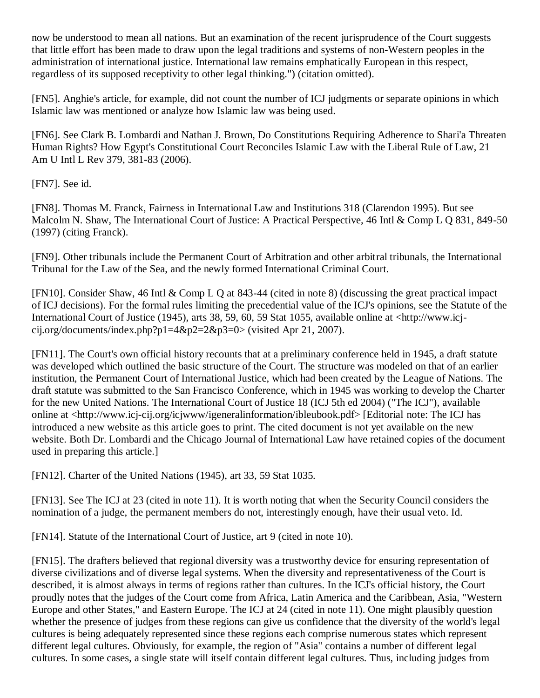now be understood to mean all nations. But an examination of the recent jurisprudence of the Court suggests that little effort has been made to draw upon the legal traditions and systems of non-Western peoples in the administration of international justice. International law remains emphatically European in this respect, regardless of its supposed receptivity to other legal thinking.") (citation omitted).

[\[FN5\].](http://web2.westlaw.com/result/documenttext.aspx?clvl=RCC&rltdb=CLID_DB27399224&effdate=1%2f1%2f0001+12%3a00%3a00+AM&db=JLR%2cAMJUR%2cABAJ%2cALR%2cTP-ALL%2cFEDRLAW&service=Search&sskey=CLID_SSSA27399224&fmqv=s&rlti=1&sv=Split&cnm=Search_5&fn=_top&rs=WLW8.04&cxt=DC&method=TNC&origin=Search&query=%22ISLAMIC+LAW%22++%26++%22INTERNATIONAL+HUMAN+RIGHTS%22&mt=LawSchoolPractitioner&eq=Welcome%2fLawSchoolPractitioner&vr=2.0&rlt=CLID_QRYRLT33399224&n=34&rp=%2fWelcome%2fLawSchoolPractitioner%2fdefault.wl&cnt=DOC&cfid=1&scxt=WL&ssrc=0&ss=CNT#FN;B5#FN;B5) Anghie's article, for example, did not count the number of ICJ judgments or separate opinions in which Islamic law was mentioned or analyze how Islamic law was being used.

[\[FN6\].](http://web2.westlaw.com/result/documenttext.aspx?clvl=RCC&rltdb=CLID_DB27399224&effdate=1%2f1%2f0001+12%3a00%3a00+AM&db=JLR%2cAMJUR%2cABAJ%2cALR%2cTP-ALL%2cFEDRLAW&service=Search&sskey=CLID_SSSA27399224&fmqv=s&rlti=1&sv=Split&cnm=Search_5&fn=_top&rs=WLW8.04&cxt=DC&method=TNC&origin=Search&query=%22ISLAMIC+LAW%22++%26++%22INTERNATIONAL+HUMAN+RIGHTS%22&mt=LawSchoolPractitioner&eq=Welcome%2fLawSchoolPractitioner&vr=2.0&rlt=CLID_QRYRLT33399224&n=34&rp=%2fWelcome%2fLawSchoolPractitioner%2fdefault.wl&cnt=DOC&cfid=1&scxt=WL&ssrc=0&ss=CNT#FN;B6#FN;B6) See Clark B. Lombardi and Nathan J. Brown, Do [Constitutions Requiring Adherence to Shari'a Threaten](http://web2.westlaw.com/find/default.wl?rp=%2ffind%2fdefault.wl&vc=0&DB=115964&SerialNum=0307793580&FindType=Y&ReferencePositionType=S&ReferencePosition=381&AP=&fn=_top&rs=WLW8.04&mt=LawSchoolPractitioner&vr=2.0&sv=Split)  [Human Rights? How Egypt's Constitutional Court Reconciles Islamic Law with the Liberal Rule of Law, 21](http://web2.westlaw.com/find/default.wl?rp=%2ffind%2fdefault.wl&vc=0&DB=115964&SerialNum=0307793580&FindType=Y&ReferencePositionType=S&ReferencePosition=381&AP=&fn=_top&rs=WLW8.04&mt=LawSchoolPractitioner&vr=2.0&sv=Split)  [Am U Intl L Rev 379, 381-83 \(2006\).](http://web2.westlaw.com/find/default.wl?rp=%2ffind%2fdefault.wl&vc=0&DB=115964&SerialNum=0307793580&FindType=Y&ReferencePositionType=S&ReferencePosition=381&AP=&fn=_top&rs=WLW8.04&mt=LawSchoolPractitioner&vr=2.0&sv=Split)

[\[FN7\].](http://web2.westlaw.com/result/documenttext.aspx?clvl=RCC&rltdb=CLID_DB27399224&effdate=1%2f1%2f0001+12%3a00%3a00+AM&db=JLR%2cAMJUR%2cABAJ%2cALR%2cTP-ALL%2cFEDRLAW&service=Search&sskey=CLID_SSSA27399224&fmqv=s&rlti=1&sv=Split&cnm=Search_5&fn=_top&rs=WLW8.04&cxt=DC&method=TNC&origin=Search&query=%22ISLAMIC+LAW%22++%26++%22INTERNATIONAL+HUMAN+RIGHTS%22&mt=LawSchoolPractitioner&eq=Welcome%2fLawSchoolPractitioner&vr=2.0&rlt=CLID_QRYRLT33399224&n=34&rp=%2fWelcome%2fLawSchoolPractitioner%2fdefault.wl&cnt=DOC&cfid=1&scxt=WL&ssrc=0&ss=CNT#FN;B7#FN;B7) See id.

[\[FN8\].](http://web2.westlaw.com/result/documenttext.aspx?clvl=RCC&rltdb=CLID_DB27399224&effdate=1%2f1%2f0001+12%3a00%3a00+AM&db=JLR%2cAMJUR%2cABAJ%2cALR%2cTP-ALL%2cFEDRLAW&service=Search&sskey=CLID_SSSA27399224&fmqv=s&rlti=1&sv=Split&cnm=Search_5&fn=_top&rs=WLW8.04&cxt=DC&method=TNC&origin=Search&query=%22ISLAMIC+LAW%22++%26++%22INTERNATIONAL+HUMAN+RIGHTS%22&mt=LawSchoolPractitioner&eq=Welcome%2fLawSchoolPractitioner&vr=2.0&rlt=CLID_QRYRLT33399224&n=34&rp=%2fWelcome%2fLawSchoolPractitioner%2fdefault.wl&cnt=DOC&cfid=1&scxt=WL&ssrc=0&ss=CNT#FN;B8#FN;B8) Thomas M. Franck, Fairness in International Law and Institutions 318 (Clarendon 1995). But see Malcolm N. Shaw, The International Court of Justice: A Practical Perspective, 46 Intl & Comp L O 831, 849-50 (1997) (citing Franck).

[\[FN9\].](http://web2.westlaw.com/result/documenttext.aspx?clvl=RCC&rltdb=CLID_DB27399224&effdate=1%2f1%2f0001+12%3a00%3a00+AM&db=JLR%2cAMJUR%2cABAJ%2cALR%2cTP-ALL%2cFEDRLAW&service=Search&sskey=CLID_SSSA27399224&fmqv=s&rlti=1&sv=Split&cnm=Search_5&fn=_top&rs=WLW8.04&cxt=DC&method=TNC&origin=Search&query=%22ISLAMIC+LAW%22++%26++%22INTERNATIONAL+HUMAN+RIGHTS%22&mt=LawSchoolPractitioner&eq=Welcome%2fLawSchoolPractitioner&vr=2.0&rlt=CLID_QRYRLT33399224&n=34&rp=%2fWelcome%2fLawSchoolPractitioner%2fdefault.wl&cnt=DOC&cfid=1&scxt=WL&ssrc=0&ss=CNT#FN;B9#FN;B9) Other tribunals include the Permanent Court of Arbitration and other arbitral tribunals, the International Tribunal for the Law of the Sea, and the newly formed International Criminal Court.

[\[FN10\].](http://web2.westlaw.com/result/documenttext.aspx?clvl=RCC&rltdb=CLID_DB27399224&effdate=1%2f1%2f0001+12%3a00%3a00+AM&db=JLR%2cAMJUR%2cABAJ%2cALR%2cTP-ALL%2cFEDRLAW&service=Search&sskey=CLID_SSSA27399224&fmqv=s&rlti=1&sv=Split&cnm=Search_5&fn=_top&rs=WLW8.04&cxt=DC&method=TNC&origin=Search&query=%22ISLAMIC+LAW%22++%26++%22INTERNATIONAL+HUMAN+RIGHTS%22&mt=LawSchoolPractitioner&eq=Welcome%2fLawSchoolPractitioner&vr=2.0&rlt=CLID_QRYRLT33399224&n=34&rp=%2fWelcome%2fLawSchoolPractitioner%2fdefault.wl&cnt=DOC&cfid=1&scxt=WL&ssrc=0&ss=CNT#FN;B10#FN;B10) Consider Shaw, 46 Intl & Comp L Q at 843-44 (cited in note 8) (discussing the great practical impact of ICJ decisions). For the formal rules limiting the precedential value of the ICJ's opinions, see the Statute of the International Court of Justice (1945), arts 38, 59, 60, 59 Stat 1055, available online at <http://www.icjcij.org/documents/index.php?p1=4&p2=2&p3=0> (visited Apr 21, 2007).

[\[FN11\].](http://web2.westlaw.com/result/documenttext.aspx?clvl=RCC&rltdb=CLID_DB27399224&effdate=1%2f1%2f0001+12%3a00%3a00+AM&db=JLR%2cAMJUR%2cABAJ%2cALR%2cTP-ALL%2cFEDRLAW&service=Search&sskey=CLID_SSSA27399224&fmqv=s&rlti=1&sv=Split&cnm=Search_5&fn=_top&rs=WLW8.04&cxt=DC&method=TNC&origin=Search&query=%22ISLAMIC+LAW%22++%26++%22INTERNATIONAL+HUMAN+RIGHTS%22&mt=LawSchoolPractitioner&eq=Welcome%2fLawSchoolPractitioner&vr=2.0&rlt=CLID_QRYRLT33399224&n=34&rp=%2fWelcome%2fLawSchoolPractitioner%2fdefault.wl&cnt=DOC&cfid=1&scxt=WL&ssrc=0&ss=CNT#FN;B11#FN;B11) The Court's own official history recounts that at a preliminary conference held in 1945, a draft statute was developed which outlined the basic structure of the Court. The structure was modeled on that of an earlier institution, the Permanent Court of International Justice, which had been created by the League of Nations. The draft statute was submitted to the San Francisco Conference, which in 1945 was working to develop the Charter for the new United Nations. The International Court of Justice 18 (ICJ 5th ed 2004) ("The ICJ"), available online at <http://www.icj-cij.org/icjwww/igeneralinformation/ibleubook.pdf> [Editorial note: The ICJ has introduced a new website as this article goes to print. The cited document is not yet available on the new website. Both Dr. Lombardi and the Chicago Journal of International Law have retained copies of the document used in preparing this article.]

[\[FN12\].](http://web2.westlaw.com/result/documenttext.aspx?clvl=RCC&rltdb=CLID_DB27399224&effdate=1%2f1%2f0001+12%3a00%3a00+AM&db=JLR%2cAMJUR%2cABAJ%2cALR%2cTP-ALL%2cFEDRLAW&service=Search&sskey=CLID_SSSA27399224&fmqv=s&rlti=1&sv=Split&cnm=Search_5&fn=_top&rs=WLW8.04&cxt=DC&method=TNC&origin=Search&query=%22ISLAMIC+LAW%22++%26++%22INTERNATIONAL+HUMAN+RIGHTS%22&mt=LawSchoolPractitioner&eq=Welcome%2fLawSchoolPractitioner&vr=2.0&rlt=CLID_QRYRLT33399224&n=34&rp=%2fWelcome%2fLawSchoolPractitioner%2fdefault.wl&cnt=DOC&cfid=1&scxt=WL&ssrc=0&ss=CNT#FN;B12#FN;B12) Charter of the United Nations (1945), art 33, 59 Stat 1035.

[\[FN13\].](http://web2.westlaw.com/result/documenttext.aspx?clvl=RCC&rltdb=CLID_DB27399224&effdate=1%2f1%2f0001+12%3a00%3a00+AM&db=JLR%2cAMJUR%2cABAJ%2cALR%2cTP-ALL%2cFEDRLAW&service=Search&sskey=CLID_SSSA27399224&fmqv=s&rlti=1&sv=Split&cnm=Search_5&fn=_top&rs=WLW8.04&cxt=DC&method=TNC&origin=Search&query=%22ISLAMIC+LAW%22++%26++%22INTERNATIONAL+HUMAN+RIGHTS%22&mt=LawSchoolPractitioner&eq=Welcome%2fLawSchoolPractitioner&vr=2.0&rlt=CLID_QRYRLT33399224&n=34&rp=%2fWelcome%2fLawSchoolPractitioner%2fdefault.wl&cnt=DOC&cfid=1&scxt=WL&ssrc=0&ss=CNT#FN;B13#FN;B13) See The ICJ at 23 (cited in note 11). It is worth noting that when the Security Council considers the nomination of a judge, the permanent members do not, interestingly enough, have their usual veto. Id.

[\[FN14\].](http://web2.westlaw.com/result/documenttext.aspx?clvl=RCC&rltdb=CLID_DB27399224&effdate=1%2f1%2f0001+12%3a00%3a00+AM&db=JLR%2cAMJUR%2cABAJ%2cALR%2cTP-ALL%2cFEDRLAW&service=Search&sskey=CLID_SSSA27399224&fmqv=s&rlti=1&sv=Split&cnm=Search_5&fn=_top&rs=WLW8.04&cxt=DC&method=TNC&origin=Search&query=%22ISLAMIC+LAW%22++%26++%22INTERNATIONAL+HUMAN+RIGHTS%22&mt=LawSchoolPractitioner&eq=Welcome%2fLawSchoolPractitioner&vr=2.0&rlt=CLID_QRYRLT33399224&n=34&rp=%2fWelcome%2fLawSchoolPractitioner%2fdefault.wl&cnt=DOC&cfid=1&scxt=WL&ssrc=0&ss=CNT#FN;B14#FN;B14) Statute of the International Court of Justice, art 9 (cited in note 10).

[\[FN15\].](http://web2.westlaw.com/result/documenttext.aspx?clvl=RCC&rltdb=CLID_DB27399224&effdate=1%2f1%2f0001+12%3a00%3a00+AM&db=JLR%2cAMJUR%2cABAJ%2cALR%2cTP-ALL%2cFEDRLAW&service=Search&sskey=CLID_SSSA27399224&fmqv=s&rlti=1&sv=Split&cnm=Search_5&fn=_top&rs=WLW8.04&cxt=DC&method=TNC&origin=Search&query=%22ISLAMIC+LAW%22++%26++%22INTERNATIONAL+HUMAN+RIGHTS%22&mt=LawSchoolPractitioner&eq=Welcome%2fLawSchoolPractitioner&vr=2.0&rlt=CLID_QRYRLT33399224&n=34&rp=%2fWelcome%2fLawSchoolPractitioner%2fdefault.wl&cnt=DOC&cfid=1&scxt=WL&ssrc=0&ss=CNT#FN;B15#FN;B15) The drafters believed that regional diversity was a trustworthy device for ensuring representation of diverse civilizations and of diverse legal systems. When the diversity and representativeness of the Court is described, it is almost always in terms of regions rather than cultures. In the ICJ's official history, the Court proudly notes that the judges of the Court come from Africa, Latin America and the Caribbean, Asia, "Western Europe and other States," and Eastern Europe. The ICJ at 24 (cited in note 11). One might plausibly question whether the presence of judges from these regions can give us confidence that the diversity of the world's legal cultures is being adequately represented since these regions each comprise numerous states which represent different legal cultures. Obviously, for example, the region of "Asia" contains a number of different legal cultures. In some cases, a single state will itself contain different legal cultures. Thus, including judges from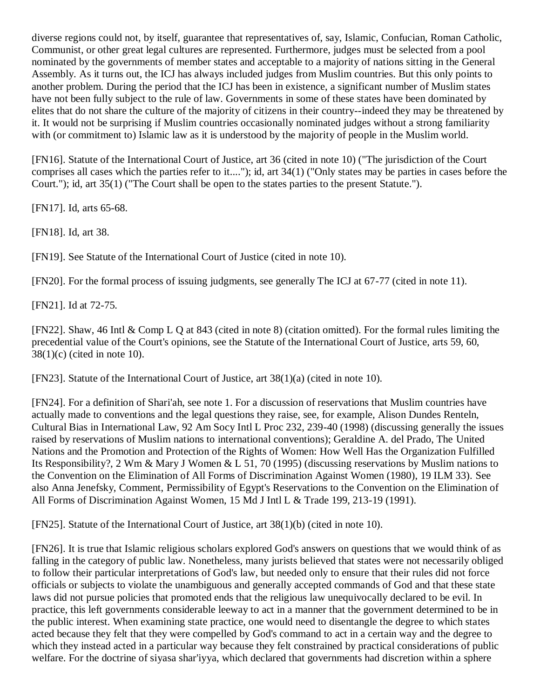diverse regions could not, by itself, guarantee that representatives of, say, Islamic, Confucian, Roman Catholic, Communist, or other great legal cultures are represented. Furthermore, judges must be selected from a pool nominated by the governments of member states and acceptable to a majority of nations sitting in the General Assembly. As it turns out, the ICJ has always included judges from Muslim countries. But this only points to another problem. During the period that the ICJ has been in existence, a significant number of Muslim states have not been fully subject to the rule of law. Governments in some of these states have been dominated by elites that do not share the culture of the majority of citizens in their country--indeed they may be threatened by it. It would not be surprising if Muslim countries occasionally nominated judges without a strong familiarity with (or commitment to) Islamic law as it is understood by the majority of people in the Muslim world.

[\[FN16\].](http://web2.westlaw.com/result/documenttext.aspx?clvl=RCC&rltdb=CLID_DB27399224&effdate=1%2f1%2f0001+12%3a00%3a00+AM&db=JLR%2cAMJUR%2cABAJ%2cALR%2cTP-ALL%2cFEDRLAW&service=Search&sskey=CLID_SSSA27399224&fmqv=s&rlti=1&sv=Split&cnm=Search_5&fn=_top&rs=WLW8.04&cxt=DC&method=TNC&origin=Search&query=%22ISLAMIC+LAW%22++%26++%22INTERNATIONAL+HUMAN+RIGHTS%22&mt=LawSchoolPractitioner&eq=Welcome%2fLawSchoolPractitioner&vr=2.0&rlt=CLID_QRYRLT33399224&n=34&rp=%2fWelcome%2fLawSchoolPractitioner%2fdefault.wl&cnt=DOC&cfid=1&scxt=WL&ssrc=0&ss=CNT#FN;B16#FN;B16) Statute of the International Court of Justice, art 36 (cited in note 10) ("The jurisdiction of the Court comprises all cases which the parties refer to it...."); id, art 34(1) ("Only states may be parties in cases before the Court."); id, art 35(1) ("The Court shall be open to the states parties to the present Statute.").

[\[FN17\].](http://web2.westlaw.com/result/documenttext.aspx?clvl=RCC&rltdb=CLID_DB27399224&effdate=1%2f1%2f0001+12%3a00%3a00+AM&db=JLR%2cAMJUR%2cABAJ%2cALR%2cTP-ALL%2cFEDRLAW&service=Search&sskey=CLID_SSSA27399224&fmqv=s&rlti=1&sv=Split&cnm=Search_5&fn=_top&rs=WLW8.04&cxt=DC&method=TNC&origin=Search&query=%22ISLAMIC+LAW%22++%26++%22INTERNATIONAL+HUMAN+RIGHTS%22&mt=LawSchoolPractitioner&eq=Welcome%2fLawSchoolPractitioner&vr=2.0&rlt=CLID_QRYRLT33399224&n=34&rp=%2fWelcome%2fLawSchoolPractitioner%2fdefault.wl&cnt=DOC&cfid=1&scxt=WL&ssrc=0&ss=CNT#FN;B17#FN;B17) Id, arts 65-68.

[\[FN18\].](http://web2.westlaw.com/result/documenttext.aspx?clvl=RCC&rltdb=CLID_DB27399224&effdate=1%2f1%2f0001+12%3a00%3a00+AM&db=JLR%2cAMJUR%2cABAJ%2cALR%2cTP-ALL%2cFEDRLAW&service=Search&sskey=CLID_SSSA27399224&fmqv=s&rlti=1&sv=Split&cnm=Search_5&fn=_top&rs=WLW8.04&cxt=DC&method=TNC&origin=Search&query=%22ISLAMIC+LAW%22++%26++%22INTERNATIONAL+HUMAN+RIGHTS%22&mt=LawSchoolPractitioner&eq=Welcome%2fLawSchoolPractitioner&vr=2.0&rlt=CLID_QRYRLT33399224&n=34&rp=%2fWelcome%2fLawSchoolPractitioner%2fdefault.wl&cnt=DOC&cfid=1&scxt=WL&ssrc=0&ss=CNT#FN;B18#FN;B18) Id, art 38.

[\[FN19\].](http://web2.westlaw.com/result/documenttext.aspx?clvl=RCC&rltdb=CLID_DB27399224&effdate=1%2f1%2f0001+12%3a00%3a00+AM&db=JLR%2cAMJUR%2cABAJ%2cALR%2cTP-ALL%2cFEDRLAW&service=Search&sskey=CLID_SSSA27399224&fmqv=s&rlti=1&sv=Split&cnm=Search_5&fn=_top&rs=WLW8.04&cxt=DC&method=TNC&origin=Search&query=%22ISLAMIC+LAW%22++%26++%22INTERNATIONAL+HUMAN+RIGHTS%22&mt=LawSchoolPractitioner&eq=Welcome%2fLawSchoolPractitioner&vr=2.0&rlt=CLID_QRYRLT33399224&n=34&rp=%2fWelcome%2fLawSchoolPractitioner%2fdefault.wl&cnt=DOC&cfid=1&scxt=WL&ssrc=0&ss=CNT#FN;B19#FN;B19) See Statute of the International Court of Justice (cited in note 10).

[\[FN20\].](http://web2.westlaw.com/result/documenttext.aspx?clvl=RCC&rltdb=CLID_DB27399224&effdate=1%2f1%2f0001+12%3a00%3a00+AM&db=JLR%2cAMJUR%2cABAJ%2cALR%2cTP-ALL%2cFEDRLAW&service=Search&sskey=CLID_SSSA27399224&fmqv=s&rlti=1&sv=Split&cnm=Search_5&fn=_top&rs=WLW8.04&cxt=DC&method=TNC&origin=Search&query=%22ISLAMIC+LAW%22++%26++%22INTERNATIONAL+HUMAN+RIGHTS%22&mt=LawSchoolPractitioner&eq=Welcome%2fLawSchoolPractitioner&vr=2.0&rlt=CLID_QRYRLT33399224&n=34&rp=%2fWelcome%2fLawSchoolPractitioner%2fdefault.wl&cnt=DOC&cfid=1&scxt=WL&ssrc=0&ss=CNT#FN;B20#FN;B20) For the formal process of issuing judgments, see generally The ICJ at 67-77 (cited in note 11).

[\[FN21\].](http://web2.westlaw.com/result/documenttext.aspx?clvl=RCC&rltdb=CLID_DB27399224&effdate=1%2f1%2f0001+12%3a00%3a00+AM&db=JLR%2cAMJUR%2cABAJ%2cALR%2cTP-ALL%2cFEDRLAW&service=Search&sskey=CLID_SSSA27399224&fmqv=s&rlti=1&sv=Split&cnm=Search_5&fn=_top&rs=WLW8.04&cxt=DC&method=TNC&origin=Search&query=%22ISLAMIC+LAW%22++%26++%22INTERNATIONAL+HUMAN+RIGHTS%22&mt=LawSchoolPractitioner&eq=Welcome%2fLawSchoolPractitioner&vr=2.0&rlt=CLID_QRYRLT33399224&n=34&rp=%2fWelcome%2fLawSchoolPractitioner%2fdefault.wl&cnt=DOC&cfid=1&scxt=WL&ssrc=0&ss=CNT#FN;B21#FN;B21) Id at 72-75.

[\[FN22\].](http://web2.westlaw.com/result/documenttext.aspx?clvl=RCC&rltdb=CLID_DB27399224&effdate=1%2f1%2f0001+12%3a00%3a00+AM&db=JLR%2cAMJUR%2cABAJ%2cALR%2cTP-ALL%2cFEDRLAW&service=Search&sskey=CLID_SSSA27399224&fmqv=s&rlti=1&sv=Split&cnm=Search_5&fn=_top&rs=WLW8.04&cxt=DC&method=TNC&origin=Search&query=%22ISLAMIC+LAW%22++%26++%22INTERNATIONAL+HUMAN+RIGHTS%22&mt=LawSchoolPractitioner&eq=Welcome%2fLawSchoolPractitioner&vr=2.0&rlt=CLID_QRYRLT33399224&n=34&rp=%2fWelcome%2fLawSchoolPractitioner%2fdefault.wl&cnt=DOC&cfid=1&scxt=WL&ssrc=0&ss=CNT#FN;B22#FN;B22) Shaw, 46 Intl & Comp L Q at 843 (cited in note 8) (citation omitted). For the formal rules limiting the precedential value of the Court's opinions, see the Statute of the International Court of Justice, arts 59, 60,  $38(1)(c)$  (cited in note 10).

[\[FN23\].](http://web2.westlaw.com/result/documenttext.aspx?clvl=RCC&rltdb=CLID_DB27399224&effdate=1%2f1%2f0001+12%3a00%3a00+AM&db=JLR%2cAMJUR%2cABAJ%2cALR%2cTP-ALL%2cFEDRLAW&service=Search&sskey=CLID_SSSA27399224&fmqv=s&rlti=1&sv=Split&cnm=Search_5&fn=_top&rs=WLW8.04&cxt=DC&method=TNC&origin=Search&query=%22ISLAMIC+LAW%22++%26++%22INTERNATIONAL+HUMAN+RIGHTS%22&mt=LawSchoolPractitioner&eq=Welcome%2fLawSchoolPractitioner&vr=2.0&rlt=CLID_QRYRLT33399224&n=34&rp=%2fWelcome%2fLawSchoolPractitioner%2fdefault.wl&cnt=DOC&cfid=1&scxt=WL&ssrc=0&ss=CNT#FN;B23#FN;B23) Statute of the International Court of Justice, art 38(1)(a) (cited in note 10).

[\[FN24\].](http://web2.westlaw.com/result/documenttext.aspx?clvl=RCC&rltdb=CLID_DB27399224&effdate=1%2f1%2f0001+12%3a00%3a00+AM&db=JLR%2cAMJUR%2cABAJ%2cALR%2cTP-ALL%2cFEDRLAW&service=Search&sskey=CLID_SSSA27399224&fmqv=s&rlti=1&sv=Split&cnm=Search_5&fn=_top&rs=WLW8.04&cxt=DC&method=TNC&origin=Search&query=%22ISLAMIC+LAW%22++%26++%22INTERNATIONAL+HUMAN+RIGHTS%22&mt=LawSchoolPractitioner&eq=Welcome%2fLawSchoolPractitioner&vr=2.0&rlt=CLID_QRYRLT33399224&n=34&rp=%2fWelcome%2fLawSchoolPractitioner%2fdefault.wl&cnt=DOC&cfid=1&scxt=WL&ssrc=0&ss=CNT#FN;B24#FN;B24) For a definition of Shari'ah, see note 1. For a discussion of reservations that Muslim countries have actually made to conventions and the legal questions they raise, see, for example, Alison Dundes Renteln, [Cultural Bias in International Law, 92 Am Socy Intl L Proc 232, 239-40 \(1998\)](http://web2.westlaw.com/find/default.wl?rp=%2ffind%2fdefault.wl&vc=0&DB=100201&SerialNum=0110393376&FindType=Y&ReferencePositionType=S&ReferencePosition=239&AP=&fn=_top&rs=WLW8.04&mt=LawSchoolPractitioner&vr=2.0&sv=Split) (discussing generally the issues raised by reservations of Muslim nations to international conventions); Geraldine A. del Prado, The [United](http://web2.westlaw.com/find/default.wl?rp=%2ffind%2fdefault.wl&vc=0&DB=111262&SerialNum=0106341511&FindType=Y&ReferencePositionType=S&ReferencePosition=70&AP=&fn=_top&rs=WLW8.04&mt=LawSchoolPractitioner&vr=2.0&sv=Split)  [Nations and the Promotion and Protection of the Rights of Women: How Well Has the Organization Fulfilled](http://web2.westlaw.com/find/default.wl?rp=%2ffind%2fdefault.wl&vc=0&DB=111262&SerialNum=0106341511&FindType=Y&ReferencePositionType=S&ReferencePosition=70&AP=&fn=_top&rs=WLW8.04&mt=LawSchoolPractitioner&vr=2.0&sv=Split)  [Its Responsibility?, 2 Wm & Mary J Women & L 51, 70 \(1995\)](http://web2.westlaw.com/find/default.wl?rp=%2ffind%2fdefault.wl&vc=0&DB=111262&SerialNum=0106341511&FindType=Y&ReferencePositionType=S&ReferencePosition=70&AP=&fn=_top&rs=WLW8.04&mt=LawSchoolPractitioner&vr=2.0&sv=Split) (discussing reservations by Muslim [nations to](http://web2.westlaw.com/find/default.wl?rp=%2ffind%2fdefault.wl&vc=0&DocName=19INTLLEGALMAT33&FindType=Y&AP=&fn=_top&rs=WLW8.04&mt=LawSchoolPractitioner&vr=2.0&sv=Split)  [the Convention on the Elimination of All Forms of Discrimination Against Women \(1980\), 19 ILM 33\).](http://web2.westlaw.com/find/default.wl?rp=%2ffind%2fdefault.wl&vc=0&DocName=19INTLLEGALMAT33&FindType=Y&AP=&fn=_top&rs=WLW8.04&mt=LawSchoolPractitioner&vr=2.0&sv=Split) See also Anna Jenefsky, Comment, [Permissibility of Egypt's Reservations to the Convention on the Elimination of](http://web2.westlaw.com/find/default.wl?rp=%2ffind%2fdefault.wl&vc=0&DB=1466&SerialNum=0101977145&FindType=Y&ReferencePositionType=S&ReferencePosition=213&AP=&fn=_top&rs=WLW8.04&mt=LawSchoolPractitioner&vr=2.0&sv=Split)  [All Forms of Discrimination Against Women,](http://web2.westlaw.com/find/default.wl?rp=%2ffind%2fdefault.wl&vc=0&DB=1466&SerialNum=0101977145&FindType=Y&ReferencePositionType=S&ReferencePosition=213&AP=&fn=_top&rs=WLW8.04&mt=LawSchoolPractitioner&vr=2.0&sv=Split) [15 Md J Intl L & Trade 199, 213-19 \(1991\).](http://web2.westlaw.com/find/default.wl?rp=%2ffind%2fdefault.wl&vc=0&DB=1466&SerialNum=0101977145&FindType=Y&ReferencePositionType=S&ReferencePosition=213&AP=&fn=_top&rs=WLW8.04&mt=LawSchoolPractitioner&vr=2.0&sv=Split)

[\[FN25\].](http://web2.westlaw.com/result/documenttext.aspx?clvl=RCC&rltdb=CLID_DB27399224&effdate=1%2f1%2f0001+12%3a00%3a00+AM&db=JLR%2cAMJUR%2cABAJ%2cALR%2cTP-ALL%2cFEDRLAW&service=Search&sskey=CLID_SSSA27399224&fmqv=s&rlti=1&sv=Split&cnm=Search_5&fn=_top&rs=WLW8.04&cxt=DC&method=TNC&origin=Search&query=%22ISLAMIC+LAW%22++%26++%22INTERNATIONAL+HUMAN+RIGHTS%22&mt=LawSchoolPractitioner&eq=Welcome%2fLawSchoolPractitioner&vr=2.0&rlt=CLID_QRYRLT33399224&n=34&rp=%2fWelcome%2fLawSchoolPractitioner%2fdefault.wl&cnt=DOC&cfid=1&scxt=WL&ssrc=0&ss=CNT#FN;B25#FN;B25) Statute of the International Court of Justice, art 38(1)(b) (cited in note 10).

[\[FN26\].](http://web2.westlaw.com/result/documenttext.aspx?clvl=RCC&rltdb=CLID_DB27399224&effdate=1%2f1%2f0001+12%3a00%3a00+AM&db=JLR%2cAMJUR%2cABAJ%2cALR%2cTP-ALL%2cFEDRLAW&service=Search&sskey=CLID_SSSA27399224&fmqv=s&rlti=1&sv=Split&cnm=Search_5&fn=_top&rs=WLW8.04&cxt=DC&method=TNC&origin=Search&query=%22ISLAMIC+LAW%22++%26++%22INTERNATIONAL+HUMAN+RIGHTS%22&mt=LawSchoolPractitioner&eq=Welcome%2fLawSchoolPractitioner&vr=2.0&rlt=CLID_QRYRLT33399224&n=34&rp=%2fWelcome%2fLawSchoolPractitioner%2fdefault.wl&cnt=DOC&cfid=1&scxt=WL&ssrc=0&ss=CNT#FN;B26#FN;B26) It is true that Islamic religious scholars explored God's answers on questions that we would think of as falling in the category of public law. Nonetheless, many jurists believed that states were not necessarily obliged to follow their particular interpretations of God's law, but needed only to ensure that their rules did not force officials or subjects to violate the unambiguous and generally accepted commands of God and that these state laws did not pursue policies that promoted ends that the religious law unequivocally declared to be evil. In practice, this left governments considerable leeway to act in a manner that the government determined to be in the public interest. When examining state practice, one would need to disentangle the degree to which states acted because they felt that they were compelled by God's command to act in a certain way and the degree to which they instead acted in a particular way because they felt constrained by practical considerations of public welfare. For the doctrine of siyasa shar'iyya, which declared that governments had discretion within a sphere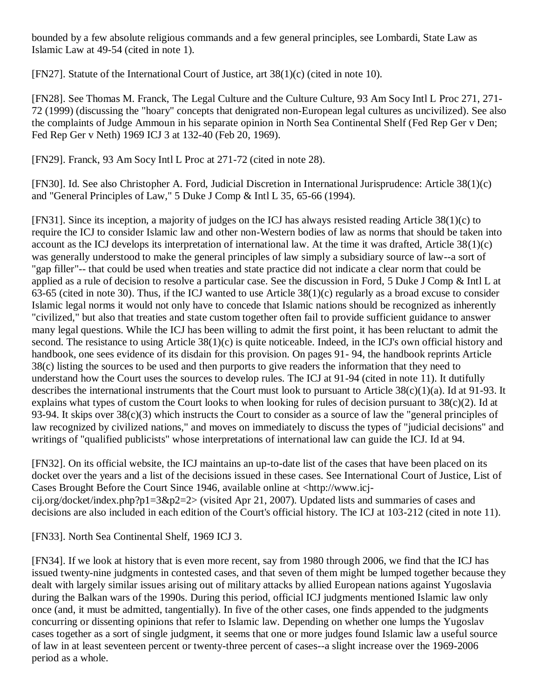bounded by a few absolute religious commands and a few general principles, see Lombardi, State Law as Islamic Law at 49-54 (cited in note 1).

[\[FN27\].](http://web2.westlaw.com/result/documenttext.aspx?clvl=RCC&rltdb=CLID_DB27399224&effdate=1%2f1%2f0001+12%3a00%3a00+AM&db=JLR%2cAMJUR%2cABAJ%2cALR%2cTP-ALL%2cFEDRLAW&service=Search&sskey=CLID_SSSA27399224&fmqv=s&rlti=1&sv=Split&cnm=Search_5&fn=_top&rs=WLW8.04&cxt=DC&method=TNC&origin=Search&query=%22ISLAMIC+LAW%22++%26++%22INTERNATIONAL+HUMAN+RIGHTS%22&mt=LawSchoolPractitioner&eq=Welcome%2fLawSchoolPractitioner&vr=2.0&rlt=CLID_QRYRLT33399224&n=34&rp=%2fWelcome%2fLawSchoolPractitioner%2fdefault.wl&cnt=DOC&cfid=1&scxt=WL&ssrc=0&ss=CNT#FN;B27#FN;B27) Statute of the International Court of Justice, art 38(1)(c) (cited in note 10).

[\[FN28\].](http://web2.westlaw.com/result/documenttext.aspx?clvl=RCC&rltdb=CLID_DB27399224&effdate=1%2f1%2f0001+12%3a00%3a00+AM&db=JLR%2cAMJUR%2cABAJ%2cALR%2cTP-ALL%2cFEDRLAW&service=Search&sskey=CLID_SSSA27399224&fmqv=s&rlti=1&sv=Split&cnm=Search_5&fn=_top&rs=WLW8.04&cxt=DC&method=TNC&origin=Search&query=%22ISLAMIC+LAW%22++%26++%22INTERNATIONAL+HUMAN+RIGHTS%22&mt=LawSchoolPractitioner&eq=Welcome%2fLawSchoolPractitioner&vr=2.0&rlt=CLID_QRYRLT33399224&n=34&rp=%2fWelcome%2fLawSchoolPractitioner%2fdefault.wl&cnt=DOC&cfid=1&scxt=WL&ssrc=0&ss=CNT#FN;B28#FN;B28) See Thomas M. Franck, The [Legal Culture and the Culture Culture, 93 Am Socy Intl L Proc 271, 271-](http://web2.westlaw.com/find/default.wl?rp=%2ffind%2fdefault.wl&vc=0&DB=100201&SerialNum=0288727834&FindType=Y&ReferencePositionType=S&ReferencePosition=271&AP=&fn=_top&rs=WLW8.04&mt=LawSchoolPractitioner&vr=2.0&sv=Split) [72 \(1999\)](http://web2.westlaw.com/find/default.wl?rp=%2ffind%2fdefault.wl&vc=0&DB=100201&SerialNum=0288727834&FindType=Y&ReferencePositionType=S&ReferencePosition=271&AP=&fn=_top&rs=WLW8.04&mt=LawSchoolPractitioner&vr=2.0&sv=Split) (discussing the "hoary" concepts that denigrated non-European legal cultures as uncivilized). See also the complaints of Judge Ammoun in his separate opinion in North Sea Continental Shelf (Fed Rep Ger v Den; [Fed Rep Ger v Neth\) 1969 ICJ 3 at 132-40 \(Feb 20, 1969\).](http://web2.westlaw.com/find/default.wl?rp=%2ffind%2fdefault.wl&vc=0&DB=147&SerialNum=1969000190&FindType=Y&ReferencePositionType=S&ReferencePosition=132&AP=&fn=_top&rs=WLW8.04&mt=LawSchoolPractitioner&vr=2.0&sv=Split)

[\[FN29\].](http://web2.westlaw.com/result/documenttext.aspx?clvl=RCC&rltdb=CLID_DB27399224&effdate=1%2f1%2f0001+12%3a00%3a00+AM&db=JLR%2cAMJUR%2cABAJ%2cALR%2cTP-ALL%2cFEDRLAW&service=Search&sskey=CLID_SSSA27399224&fmqv=s&rlti=1&sv=Split&cnm=Search_5&fn=_top&rs=WLW8.04&cxt=DC&method=TNC&origin=Search&query=%22ISLAMIC+LAW%22++%26++%22INTERNATIONAL+HUMAN+RIGHTS%22&mt=LawSchoolPractitioner&eq=Welcome%2fLawSchoolPractitioner&vr=2.0&rlt=CLID_QRYRLT33399224&n=34&rp=%2fWelcome%2fLawSchoolPractitioner%2fdefault.wl&cnt=DOC&cfid=1&scxt=WL&ssrc=0&ss=CNT#FN;B29#FN;B29) Franck, [93 Am Socy Intl L Proc at 271-72 \(cited in note 28\).](http://web2.westlaw.com/find/default.wl?rp=%2ffind%2fdefault.wl&vc=0&DB=100201&SerialNum=0288727834&FindType=Y&ReferencePositionType=S&ReferencePosition=271&AP=&fn=_top&rs=WLW8.04&mt=LawSchoolPractitioner&vr=2.0&sv=Split)

[\[FN30\].](http://web2.westlaw.com/result/documenttext.aspx?clvl=RCC&rltdb=CLID_DB27399224&effdate=1%2f1%2f0001+12%3a00%3a00+AM&db=JLR%2cAMJUR%2cABAJ%2cALR%2cTP-ALL%2cFEDRLAW&service=Search&sskey=CLID_SSSA27399224&fmqv=s&rlti=1&sv=Split&cnm=Search_5&fn=_top&rs=WLW8.04&cxt=DC&method=TNC&origin=Search&query=%22ISLAMIC+LAW%22++%26++%22INTERNATIONAL+HUMAN+RIGHTS%22&mt=LawSchoolPractitioner&eq=Welcome%2fLawSchoolPractitioner&vr=2.0&rlt=CLID_QRYRLT33399224&n=34&rp=%2fWelcome%2fLawSchoolPractitioner%2fdefault.wl&cnt=DOC&cfid=1&scxt=WL&ssrc=0&ss=CNT#FN;B30#FN;B30) Id. See also Christopher A. Ford, [Judicial Discretion in International Jurisprudence: Article 38\(1\)\(c\)](http://web2.westlaw.com/find/default.wl?rp=%2ffind%2fdefault.wl&vc=0&DB=101272&SerialNum=0104949717&FindType=Y&ReferencePositionType=S&ReferencePosition=65&AP=&fn=_top&rs=WLW8.04&mt=LawSchoolPractitioner&vr=2.0&sv=Split)  [and "General Principles of Law," 5 Duke J Comp & Intl L 35, 65-66 \(1994\).](http://web2.westlaw.com/find/default.wl?rp=%2ffind%2fdefault.wl&vc=0&DB=101272&SerialNum=0104949717&FindType=Y&ReferencePositionType=S&ReferencePosition=65&AP=&fn=_top&rs=WLW8.04&mt=LawSchoolPractitioner&vr=2.0&sv=Split)

[\[FN31\].](http://web2.westlaw.com/result/documenttext.aspx?clvl=RCC&rltdb=CLID_DB27399224&effdate=1%2f1%2f0001+12%3a00%3a00+AM&db=JLR%2cAMJUR%2cABAJ%2cALR%2cTP-ALL%2cFEDRLAW&service=Search&sskey=CLID_SSSA27399224&fmqv=s&rlti=1&sv=Split&cnm=Search_5&fn=_top&rs=WLW8.04&cxt=DC&method=TNC&origin=Search&query=%22ISLAMIC+LAW%22++%26++%22INTERNATIONAL+HUMAN+RIGHTS%22&mt=LawSchoolPractitioner&eq=Welcome%2fLawSchoolPractitioner&vr=2.0&rlt=CLID_QRYRLT33399224&n=34&rp=%2fWelcome%2fLawSchoolPractitioner%2fdefault.wl&cnt=DOC&cfid=1&scxt=WL&ssrc=0&ss=CNT#FN;B31#FN;B31) Since its inception, a majority of judges on the ICJ has always resisted reading Article 38(1)(c) to require the ICJ to consider Islamic law and other non-Western bodies of law as norms that should be taken into account as the ICJ develops its interpretation of international law. At the time it was drafted, Article 38(1)(c) was generally understood to make the general principles of law simply a subsidiary source of law--a sort of "gap filler"-- that could be used when treaties and state practice did not indicate a clear norm that could be applied as a rule of decision to resolve a particular case. See the discussion in Ford, [5 Duke J Comp & Intl L at](http://web2.westlaw.com/find/default.wl?rp=%2ffind%2fdefault.wl&vc=0&DB=101272&SerialNum=0104949717&FindType=Y&ReferencePositionType=S&ReferencePosition=63&AP=&fn=_top&rs=WLW8.04&mt=LawSchoolPractitioner&vr=2.0&sv=Split)  [63-65 \(cited in note 30\).](http://web2.westlaw.com/find/default.wl?rp=%2ffind%2fdefault.wl&vc=0&DB=101272&SerialNum=0104949717&FindType=Y&ReferencePositionType=S&ReferencePosition=63&AP=&fn=_top&rs=WLW8.04&mt=LawSchoolPractitioner&vr=2.0&sv=Split) Thus, if the ICJ wanted to use Article 38(1)(c) regularly as a broad excuse to consider Islamic legal norms it would not only have to concede that Islamic nations should be recognized as inherently "civilized," but also that treaties and state custom together often fail to provide sufficient guidance to answer many legal questions. While the ICJ has been willing to admit the first point, it has been reluctant to admit the second. The resistance to using Article 38(1)(c) is quite noticeable. Indeed, in the ICJ's own official history and handbook, one sees evidence of its disdain for this provision. On pages 91- 94, the handbook reprints Article 38(c) listing the sources to be used and then purports to give readers the information that they need to understand how the Court uses the sources to develop rules. The ICJ at 91-94 (cited in note 11). It dutifully describes the international instruments that the Court must look to pursuant to Article 38(c)(1)(a). Id at 91-93. It explains what types of custom the Court looks to when looking for rules of decision pursuant to 38(c)(2). Id at 93-94. It skips over 38(c)(3) which instructs the Court to consider as a source of law the "general principles of law recognized by civilized nations," and moves on immediately to discuss the types of "judicial decisions" and writings of "qualified publicists" whose interpretations of international law can guide the ICJ. Id at 94.

[\[FN32\].](http://web2.westlaw.com/result/documenttext.aspx?clvl=RCC&rltdb=CLID_DB27399224&effdate=1%2f1%2f0001+12%3a00%3a00+AM&db=JLR%2cAMJUR%2cABAJ%2cALR%2cTP-ALL%2cFEDRLAW&service=Search&sskey=CLID_SSSA27399224&fmqv=s&rlti=1&sv=Split&cnm=Search_5&fn=_top&rs=WLW8.04&cxt=DC&method=TNC&origin=Search&query=%22ISLAMIC+LAW%22++%26++%22INTERNATIONAL+HUMAN+RIGHTS%22&mt=LawSchoolPractitioner&eq=Welcome%2fLawSchoolPractitioner&vr=2.0&rlt=CLID_QRYRLT33399224&n=34&rp=%2fWelcome%2fLawSchoolPractitioner%2fdefault.wl&cnt=DOC&cfid=1&scxt=WL&ssrc=0&ss=CNT#FN;B32#FN;B32) On its official website, the ICJ maintains an up-to-date list of the cases that have been placed on its docket over the years and a list of the decisions issued in these cases. See International Court of Justice, List of Cases Brought Before the Court Since 1946, available online at <http://www.icjcij.org/docket/index.php?p1=3&p2=2> (visited Apr 21, 2007). Updated lists and summaries of cases and decisions are also included in each edition of the Court's official history. The ICJ at 103-212 (cited in note 11).

[\[FN33\].](http://web2.westlaw.com/result/documenttext.aspx?clvl=RCC&rltdb=CLID_DB27399224&effdate=1%2f1%2f0001+12%3a00%3a00+AM&db=JLR%2cAMJUR%2cABAJ%2cALR%2cTP-ALL%2cFEDRLAW&service=Search&sskey=CLID_SSSA27399224&fmqv=s&rlti=1&sv=Split&cnm=Search_5&fn=_top&rs=WLW8.04&cxt=DC&method=TNC&origin=Search&query=%22ISLAMIC+LAW%22++%26++%22INTERNATIONAL+HUMAN+RIGHTS%22&mt=LawSchoolPractitioner&eq=Welcome%2fLawSchoolPractitioner&vr=2.0&rlt=CLID_QRYRLT33399224&n=34&rp=%2fWelcome%2fLawSchoolPractitioner%2fdefault.wl&cnt=DOC&cfid=1&scxt=WL&ssrc=0&ss=CNT#FN;B33#FN;B33) [North Sea Continental Shelf, 1969 ICJ 3.](http://web2.westlaw.com/find/default.wl?rp=%2ffind%2fdefault.wl&vc=0&DB=147&SerialNum=1969000190&FindType=Y&AP=&fn=_top&rs=WLW8.04&mt=LawSchoolPractitioner&vr=2.0&sv=Split)

[\[FN34\].](http://web2.westlaw.com/result/documenttext.aspx?clvl=RCC&rltdb=CLID_DB27399224&effdate=1%2f1%2f0001+12%3a00%3a00+AM&db=JLR%2cAMJUR%2cABAJ%2cALR%2cTP-ALL%2cFEDRLAW&service=Search&sskey=CLID_SSSA27399224&fmqv=s&rlti=1&sv=Split&cnm=Search_5&fn=_top&rs=WLW8.04&cxt=DC&method=TNC&origin=Search&query=%22ISLAMIC+LAW%22++%26++%22INTERNATIONAL+HUMAN+RIGHTS%22&mt=LawSchoolPractitioner&eq=Welcome%2fLawSchoolPractitioner&vr=2.0&rlt=CLID_QRYRLT33399224&n=34&rp=%2fWelcome%2fLawSchoolPractitioner%2fdefault.wl&cnt=DOC&cfid=1&scxt=WL&ssrc=0&ss=CNT#FN;B34#FN;B34) If we look at history that is even more recent, say from 1980 through 2006, we find that the ICJ has issued twenty-nine judgments in contested cases, and that seven of them might be lumped together because they dealt with largely similar issues arising out of military attacks by allied European nations against Yugoslavia during the Balkan wars of the 1990s. During this period, official ICJ judgments mentioned Islamic law only once (and, it must be admitted, tangentially). In five of the other cases, one finds appended to the judgments concurring or dissenting opinions that refer to Islamic law. Depending on whether one lumps the Yugoslav cases together as a sort of single judgment, it seems that one or more judges found Islamic law a useful source of law in at least seventeen percent or twenty-three percent of cases--a slight increase over the 1969-2006 period as a whole.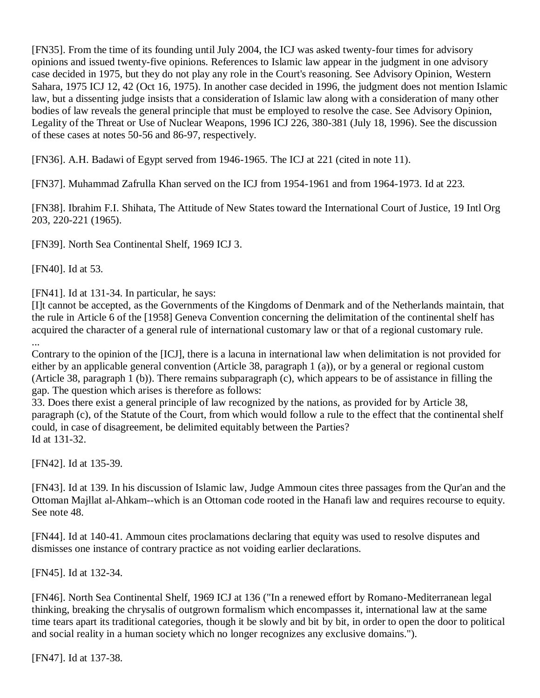[\[FN35\].](http://web2.westlaw.com/result/documenttext.aspx?clvl=RCC&rltdb=CLID_DB27399224&effdate=1%2f1%2f0001+12%3a00%3a00+AM&db=JLR%2cAMJUR%2cABAJ%2cALR%2cTP-ALL%2cFEDRLAW&service=Search&sskey=CLID_SSSA27399224&fmqv=s&rlti=1&sv=Split&cnm=Search_5&fn=_top&rs=WLW8.04&cxt=DC&method=TNC&origin=Search&query=%22ISLAMIC+LAW%22++%26++%22INTERNATIONAL+HUMAN+RIGHTS%22&mt=LawSchoolPractitioner&eq=Welcome%2fLawSchoolPractitioner&vr=2.0&rlt=CLID_QRYRLT33399224&n=34&rp=%2fWelcome%2fLawSchoolPractitioner%2fdefault.wl&cnt=DOC&cfid=1&scxt=WL&ssrc=0&ss=CNT#FN;B35#FN;B35) From the time of its founding until July 2004, the ICJ was asked twenty-four times for advisory opinions and issued twenty-five opinions. References to Islamic law appear in the judgment in one advisory case decided in 1975, but they do not play any role in the Court's reasoning. See Advisory Opinion, [Western](http://web2.westlaw.com/find/default.wl?rp=%2ffind%2fdefault.wl&vc=0&DB=147&SerialNum=1975000774&FindType=Y&ReferencePositionType=S&ReferencePosition=42&AP=&fn=_top&rs=WLW8.04&mt=LawSchoolPractitioner&vr=2.0&sv=Split)  [Sahara, 1975 ICJ 12, 42 \(Oct 16, 1975\).](http://web2.westlaw.com/find/default.wl?rp=%2ffind%2fdefault.wl&vc=0&DB=147&SerialNum=1975000774&FindType=Y&ReferencePositionType=S&ReferencePosition=42&AP=&fn=_top&rs=WLW8.04&mt=LawSchoolPractitioner&vr=2.0&sv=Split) In another case decided in 1996, the judgment does not mention Islamic law, but a dissenting judge insists that a consideration of Islamic law along with a consideration of many other bodies of law reveals the general principle that must be employed to resolve the case. See Advisory Opinion, Legality of the Threat or Use of [Nuclear Weapons, 1996 ICJ 226, 380-381 \(July 18, 1996\).](http://web2.westlaw.com/find/default.wl?rp=%2ffind%2fdefault.wl&vc=0&DB=147&SerialNum=1998088747&FindType=Y&ReferencePositionType=S&ReferencePosition=380&AP=&fn=_top&rs=WLW8.04&mt=LawSchoolPractitioner&vr=2.0&sv=Split) See the discussion of these cases at notes 50-56 and 86-97, respectively.

[\[FN36\].](http://web2.westlaw.com/result/documenttext.aspx?clvl=RCC&rltdb=CLID_DB27399224&effdate=1%2f1%2f0001+12%3a00%3a00+AM&db=JLR%2cAMJUR%2cABAJ%2cALR%2cTP-ALL%2cFEDRLAW&service=Search&sskey=CLID_SSSA27399224&fmqv=s&rlti=1&sv=Split&cnm=Search_5&fn=_top&rs=WLW8.04&cxt=DC&method=TNC&origin=Search&query=%22ISLAMIC+LAW%22++%26++%22INTERNATIONAL+HUMAN+RIGHTS%22&mt=LawSchoolPractitioner&eq=Welcome%2fLawSchoolPractitioner&vr=2.0&rlt=CLID_QRYRLT33399224&n=34&rp=%2fWelcome%2fLawSchoolPractitioner%2fdefault.wl&cnt=DOC&cfid=1&scxt=WL&ssrc=0&ss=CNT#FN;B36#FN;B36) A.H. Badawi of Egypt served from 1946-1965. The ICJ at 221 (cited in note 11).

[\[FN37\].](http://web2.westlaw.com/result/documenttext.aspx?clvl=RCC&rltdb=CLID_DB27399224&effdate=1%2f1%2f0001+12%3a00%3a00+AM&db=JLR%2cAMJUR%2cABAJ%2cALR%2cTP-ALL%2cFEDRLAW&service=Search&sskey=CLID_SSSA27399224&fmqv=s&rlti=1&sv=Split&cnm=Search_5&fn=_top&rs=WLW8.04&cxt=DC&method=TNC&origin=Search&query=%22ISLAMIC+LAW%22++%26++%22INTERNATIONAL+HUMAN+RIGHTS%22&mt=LawSchoolPractitioner&eq=Welcome%2fLawSchoolPractitioner&vr=2.0&rlt=CLID_QRYRLT33399224&n=34&rp=%2fWelcome%2fLawSchoolPractitioner%2fdefault.wl&cnt=DOC&cfid=1&scxt=WL&ssrc=0&ss=CNT#FN;B37#FN;B37) Muhammad Zafrulla Khan served on the ICJ from 1954-1961 and from 1964-1973. Id at 223.

[\[FN38\].](http://web2.westlaw.com/result/documenttext.aspx?clvl=RCC&rltdb=CLID_DB27399224&effdate=1%2f1%2f0001+12%3a00%3a00+AM&db=JLR%2cAMJUR%2cABAJ%2cALR%2cTP-ALL%2cFEDRLAW&service=Search&sskey=CLID_SSSA27399224&fmqv=s&rlti=1&sv=Split&cnm=Search_5&fn=_top&rs=WLW8.04&cxt=DC&method=TNC&origin=Search&query=%22ISLAMIC+LAW%22++%26++%22INTERNATIONAL+HUMAN+RIGHTS%22&mt=LawSchoolPractitioner&eq=Welcome%2fLawSchoolPractitioner&vr=2.0&rlt=CLID_QRYRLT33399224&n=34&rp=%2fWelcome%2fLawSchoolPractitioner%2fdefault.wl&cnt=DOC&cfid=1&scxt=WL&ssrc=0&ss=CNT#FN;B38#FN;B38) Ibrahim F.I. Shihata, The Attitude of New States toward the International Court of Justice, 19 Intl Org 203, 220-221 (1965).

[\[FN39\].](http://web2.westlaw.com/result/documenttext.aspx?clvl=RCC&rltdb=CLID_DB27399224&effdate=1%2f1%2f0001+12%3a00%3a00+AM&db=JLR%2cAMJUR%2cABAJ%2cALR%2cTP-ALL%2cFEDRLAW&service=Search&sskey=CLID_SSSA27399224&fmqv=s&rlti=1&sv=Split&cnm=Search_5&fn=_top&rs=WLW8.04&cxt=DC&method=TNC&origin=Search&query=%22ISLAMIC+LAW%22++%26++%22INTERNATIONAL+HUMAN+RIGHTS%22&mt=LawSchoolPractitioner&eq=Welcome%2fLawSchoolPractitioner&vr=2.0&rlt=CLID_QRYRLT33399224&n=34&rp=%2fWelcome%2fLawSchoolPractitioner%2fdefault.wl&cnt=DOC&cfid=1&scxt=WL&ssrc=0&ss=CNT#FN;B39#FN;B39) [North Sea Continental Shelf, 1969 ICJ 3.](http://web2.westlaw.com/find/default.wl?rp=%2ffind%2fdefault.wl&vc=0&DB=147&SerialNum=1969000190&FindType=Y&AP=&fn=_top&rs=WLW8.04&mt=LawSchoolPractitioner&vr=2.0&sv=Split)

[\[FN40\].](http://web2.westlaw.com/result/documenttext.aspx?clvl=RCC&rltdb=CLID_DB27399224&effdate=1%2f1%2f0001+12%3a00%3a00+AM&db=JLR%2cAMJUR%2cABAJ%2cALR%2cTP-ALL%2cFEDRLAW&service=Search&sskey=CLID_SSSA27399224&fmqv=s&rlti=1&sv=Split&cnm=Search_5&fn=_top&rs=WLW8.04&cxt=DC&method=TNC&origin=Search&query=%22ISLAMIC+LAW%22++%26++%22INTERNATIONAL+HUMAN+RIGHTS%22&mt=LawSchoolPractitioner&eq=Welcome%2fLawSchoolPractitioner&vr=2.0&rlt=CLID_QRYRLT33399224&n=34&rp=%2fWelcome%2fLawSchoolPractitioner%2fdefault.wl&cnt=DOC&cfid=1&scxt=WL&ssrc=0&ss=CNT#FN;B40#FN;B40) [Id at 53.](http://web2.westlaw.com/find/default.wl?rp=%2ffind%2fdefault.wl&vc=0&SerialNum=1969000190&FindType=Y&AP=&fn=_top&rs=WLW8.04&mt=LawSchoolPractitioner&vr=2.0&sv=Split)

[\[FN41\].](http://web2.westlaw.com/result/documenttext.aspx?clvl=RCC&rltdb=CLID_DB27399224&effdate=1%2f1%2f0001+12%3a00%3a00+AM&db=JLR%2cAMJUR%2cABAJ%2cALR%2cTP-ALL%2cFEDRLAW&service=Search&sskey=CLID_SSSA27399224&fmqv=s&rlti=1&sv=Split&cnm=Search_5&fn=_top&rs=WLW8.04&cxt=DC&method=TNC&origin=Search&query=%22ISLAMIC+LAW%22++%26++%22INTERNATIONAL+HUMAN+RIGHTS%22&mt=LawSchoolPractitioner&eq=Welcome%2fLawSchoolPractitioner&vr=2.0&rlt=CLID_QRYRLT33399224&n=34&rp=%2fWelcome%2fLawSchoolPractitioner%2fdefault.wl&cnt=DOC&cfid=1&scxt=WL&ssrc=0&ss=CNT#FN;B41#FN;B41) [Id at 131-34.](http://web2.westlaw.com/find/default.wl?rp=%2ffind%2fdefault.wl&vc=0&SerialNum=1969000190&FindType=Y&AP=&fn=_top&rs=WLW8.04&mt=LawSchoolPractitioner&vr=2.0&sv=Split) In particular, he says:

[I]t cannot be accepted, as the Governments of the Kingdoms of Denmark and of the Netherlands maintain, that the rule in Article 6 of the [1958] Geneva Convention concerning the delimitation of the continental shelf has acquired the character of a general rule of international customary law or that of a regional customary rule. ...

Contrary to the opinion of the [ICJ], there is a lacuna in international law when delimitation is not provided for either by an applicable general convention (Article 38, paragraph 1 (a)), or by a general or regional custom (Article 38, paragraph 1 (b)). There remains subparagraph (c), which appears to be of assistance in filling the gap. The question which arises is therefore as follows:

33. Does there exist a general principle of law recognized by the nations, as provided for by Article 38, paragraph (c), of the Statute of the Court, from which would follow a rule to the effect that the continental shelf could, in case of disagreement, be delimited equitably between the Parties? Id at 131-32.

[\[FN42\].](http://web2.westlaw.com/result/documenttext.aspx?clvl=RCC&rltdb=CLID_DB27399224&effdate=1%2f1%2f0001+12%3a00%3a00+AM&db=JLR%2cAMJUR%2cABAJ%2cALR%2cTP-ALL%2cFEDRLAW&service=Search&sskey=CLID_SSSA27399224&fmqv=s&rlti=1&sv=Split&cnm=Search_5&fn=_top&rs=WLW8.04&cxt=DC&method=TNC&origin=Search&query=%22ISLAMIC+LAW%22++%26++%22INTERNATIONAL+HUMAN+RIGHTS%22&mt=LawSchoolPractitioner&eq=Welcome%2fLawSchoolPractitioner&vr=2.0&rlt=CLID_QRYRLT33399224&n=34&rp=%2fWelcome%2fLawSchoolPractitioner%2fdefault.wl&cnt=DOC&cfid=1&scxt=WL&ssrc=0&ss=CNT#FN;B42#FN;B42) Id at 135-39.

[\[FN43\].](http://web2.westlaw.com/result/documenttext.aspx?clvl=RCC&rltdb=CLID_DB27399224&effdate=1%2f1%2f0001+12%3a00%3a00+AM&db=JLR%2cAMJUR%2cABAJ%2cALR%2cTP-ALL%2cFEDRLAW&service=Search&sskey=CLID_SSSA27399224&fmqv=s&rlti=1&sv=Split&cnm=Search_5&fn=_top&rs=WLW8.04&cxt=DC&method=TNC&origin=Search&query=%22ISLAMIC+LAW%22++%26++%22INTERNATIONAL+HUMAN+RIGHTS%22&mt=LawSchoolPractitioner&eq=Welcome%2fLawSchoolPractitioner&vr=2.0&rlt=CLID_QRYRLT33399224&n=34&rp=%2fWelcome%2fLawSchoolPractitioner%2fdefault.wl&cnt=DOC&cfid=1&scxt=WL&ssrc=0&ss=CNT#FN;B43#FN;B43) Id at 139. In his discussion of Islamic law, Judge Ammoun cites three passages from the Qur'an and the Ottoman Majllat al-Ahkam--which is an Ottoman code rooted in the Hanafi law and requires recourse to equity. See note 48.

[\[FN44\].](http://web2.westlaw.com/result/documenttext.aspx?clvl=RCC&rltdb=CLID_DB27399224&effdate=1%2f1%2f0001+12%3a00%3a00+AM&db=JLR%2cAMJUR%2cABAJ%2cALR%2cTP-ALL%2cFEDRLAW&service=Search&sskey=CLID_SSSA27399224&fmqv=s&rlti=1&sv=Split&cnm=Search_5&fn=_top&rs=WLW8.04&cxt=DC&method=TNC&origin=Search&query=%22ISLAMIC+LAW%22++%26++%22INTERNATIONAL+HUMAN+RIGHTS%22&mt=LawSchoolPractitioner&eq=Welcome%2fLawSchoolPractitioner&vr=2.0&rlt=CLID_QRYRLT33399224&n=34&rp=%2fWelcome%2fLawSchoolPractitioner%2fdefault.wl&cnt=DOC&cfid=1&scxt=WL&ssrc=0&ss=CNT#FN;B44#FN;B44) Id at 140-41. Ammoun cites proclamations declaring that equity was used to resolve disputes and dismisses one instance of contrary practice as not voiding earlier declarations.

[\[FN45\].](http://web2.westlaw.com/result/documenttext.aspx?clvl=RCC&rltdb=CLID_DB27399224&effdate=1%2f1%2f0001+12%3a00%3a00+AM&db=JLR%2cAMJUR%2cABAJ%2cALR%2cTP-ALL%2cFEDRLAW&service=Search&sskey=CLID_SSSA27399224&fmqv=s&rlti=1&sv=Split&cnm=Search_5&fn=_top&rs=WLW8.04&cxt=DC&method=TNC&origin=Search&query=%22ISLAMIC+LAW%22++%26++%22INTERNATIONAL+HUMAN+RIGHTS%22&mt=LawSchoolPractitioner&eq=Welcome%2fLawSchoolPractitioner&vr=2.0&rlt=CLID_QRYRLT33399224&n=34&rp=%2fWelcome%2fLawSchoolPractitioner%2fdefault.wl&cnt=DOC&cfid=1&scxt=WL&ssrc=0&ss=CNT#FN;B45#FN;B45) Id at 132-34.

[\[FN46\].](http://web2.westlaw.com/result/documenttext.aspx?clvl=RCC&rltdb=CLID_DB27399224&effdate=1%2f1%2f0001+12%3a00%3a00+AM&db=JLR%2cAMJUR%2cABAJ%2cALR%2cTP-ALL%2cFEDRLAW&service=Search&sskey=CLID_SSSA27399224&fmqv=s&rlti=1&sv=Split&cnm=Search_5&fn=_top&rs=WLW8.04&cxt=DC&method=TNC&origin=Search&query=%22ISLAMIC+LAW%22++%26++%22INTERNATIONAL+HUMAN+RIGHTS%22&mt=LawSchoolPractitioner&eq=Welcome%2fLawSchoolPractitioner&vr=2.0&rlt=CLID_QRYRLT33399224&n=34&rp=%2fWelcome%2fLawSchoolPractitioner%2fdefault.wl&cnt=DOC&cfid=1&scxt=WL&ssrc=0&ss=CNT#FN;B46#FN;B46) [North Sea Continental Shelf, 1969 ICJ at 136](http://web2.westlaw.com/find/default.wl?rp=%2ffind%2fdefault.wl&vc=0&DB=147&SerialNum=1969000190&FindType=Y&ReferencePositionType=S&ReferencePosition=136&AP=&fn=_top&rs=WLW8.04&mt=LawSchoolPractitioner&vr=2.0&sv=Split) ("In a renewed effort by Romano-Mediterranean legal thinking, breaking the chrysalis of outgrown formalism which encompasses it, international law at the same time tears apart its traditional categories, though it be slowly and bit by bit, in order to open the door to political and social reality in a human society which no longer recognizes any exclusive domains.").

[\[FN47\].](http://web2.westlaw.com/result/documenttext.aspx?clvl=RCC&rltdb=CLID_DB27399224&effdate=1%2f1%2f0001+12%3a00%3a00+AM&db=JLR%2cAMJUR%2cABAJ%2cALR%2cTP-ALL%2cFEDRLAW&service=Search&sskey=CLID_SSSA27399224&fmqv=s&rlti=1&sv=Split&cnm=Search_5&fn=_top&rs=WLW8.04&cxt=DC&method=TNC&origin=Search&query=%22ISLAMIC+LAW%22++%26++%22INTERNATIONAL+HUMAN+RIGHTS%22&mt=LawSchoolPractitioner&eq=Welcome%2fLawSchoolPractitioner&vr=2.0&rlt=CLID_QRYRLT33399224&n=34&rp=%2fWelcome%2fLawSchoolPractitioner%2fdefault.wl&cnt=DOC&cfid=1&scxt=WL&ssrc=0&ss=CNT#FN;B47#FN;B47) [Id at 137-38.](http://web2.westlaw.com/find/default.wl?rp=%2ffind%2fdefault.wl&vc=0&SerialNum=1969000190&FindType=Y&AP=&fn=_top&rs=WLW8.04&mt=LawSchoolPractitioner&vr=2.0&sv=Split)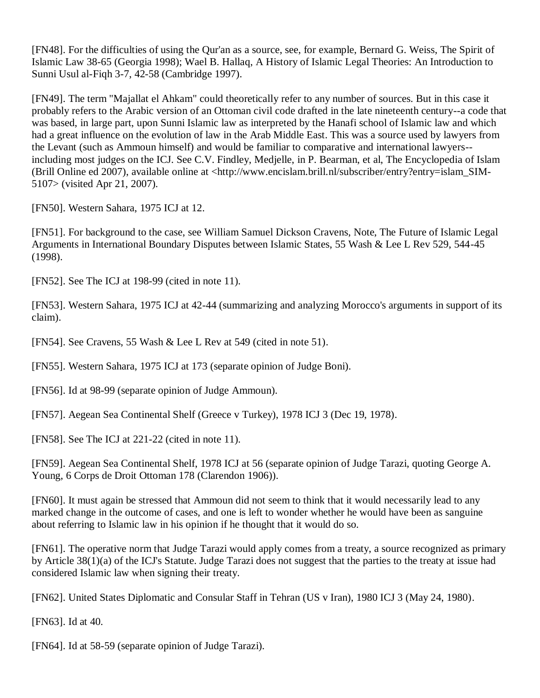[\[FN48\].](http://web2.westlaw.com/result/documenttext.aspx?clvl=RCC&rltdb=CLID_DB27399224&effdate=1%2f1%2f0001+12%3a00%3a00+AM&db=JLR%2cAMJUR%2cABAJ%2cALR%2cTP-ALL%2cFEDRLAW&service=Search&sskey=CLID_SSSA27399224&fmqv=s&rlti=1&sv=Split&cnm=Search_5&fn=_top&rs=WLW8.04&cxt=DC&method=TNC&origin=Search&query=%22ISLAMIC+LAW%22++%26++%22INTERNATIONAL+HUMAN+RIGHTS%22&mt=LawSchoolPractitioner&eq=Welcome%2fLawSchoolPractitioner&vr=2.0&rlt=CLID_QRYRLT33399224&n=34&rp=%2fWelcome%2fLawSchoolPractitioner%2fdefault.wl&cnt=DOC&cfid=1&scxt=WL&ssrc=0&ss=CNT#FN;B48#FN;B48) For the difficulties of using the Qur'an as a source, see, for example, Bernard G. Weiss, The Spirit of Islamic Law 38-65 (Georgia 1998); Wael B. Hallaq, A History of Islamic Legal Theories: An Introduction to Sunni Usul al-Fiqh 3-7, 42-58 (Cambridge 1997).

[\[FN49\].](http://web2.westlaw.com/result/documenttext.aspx?clvl=RCC&rltdb=CLID_DB27399224&effdate=1%2f1%2f0001+12%3a00%3a00+AM&db=JLR%2cAMJUR%2cABAJ%2cALR%2cTP-ALL%2cFEDRLAW&service=Search&sskey=CLID_SSSA27399224&fmqv=s&rlti=1&sv=Split&cnm=Search_5&fn=_top&rs=WLW8.04&cxt=DC&method=TNC&origin=Search&query=%22ISLAMIC+LAW%22++%26++%22INTERNATIONAL+HUMAN+RIGHTS%22&mt=LawSchoolPractitioner&eq=Welcome%2fLawSchoolPractitioner&vr=2.0&rlt=CLID_QRYRLT33399224&n=34&rp=%2fWelcome%2fLawSchoolPractitioner%2fdefault.wl&cnt=DOC&cfid=1&scxt=WL&ssrc=0&ss=CNT#FN;B49#FN;B49) The term "Majallat el Ahkam" could theoretically refer to any number of sources. But in this case it probably refers to the Arabic version of an Ottoman civil code drafted in the late nineteenth century--a code that was based, in large part, upon Sunni Islamic law as interpreted by the Hanafi school of Islamic law and which had a great influence on the evolution of law in the Arab Middle East. This was a source used by lawyers from the Levant (such as Ammoun himself) and would be familiar to comparative and international lawyers- including most judges on the ICJ. See C.V. Findley, Medjelle, in P. Bearman, et al, The Encyclopedia of Islam (Brill Online ed 2007), available online at <http://www.encislam.brill.nl/subscriber/entry?entry=islam\_SIM-5107> (visited Apr 21, 2007).

[\[FN50\].](http://web2.westlaw.com/result/documenttext.aspx?clvl=RCC&rltdb=CLID_DB27399224&effdate=1%2f1%2f0001+12%3a00%3a00+AM&db=JLR%2cAMJUR%2cABAJ%2cALR%2cTP-ALL%2cFEDRLAW&service=Search&sskey=CLID_SSSA27399224&fmqv=s&rlti=1&sv=Split&cnm=Search_5&fn=_top&rs=WLW8.04&cxt=DC&method=TNC&origin=Search&query=%22ISLAMIC+LAW%22++%26++%22INTERNATIONAL+HUMAN+RIGHTS%22&mt=LawSchoolPractitioner&eq=Welcome%2fLawSchoolPractitioner&vr=2.0&rlt=CLID_QRYRLT33399224&n=34&rp=%2fWelcome%2fLawSchoolPractitioner%2fdefault.wl&cnt=DOC&cfid=1&scxt=WL&ssrc=0&ss=CNT#FN;B50#FN;B50) Western Sahara, 1975 ICJ at 12.

[\[FN51\].](http://web2.westlaw.com/result/documenttext.aspx?clvl=RCC&rltdb=CLID_DB27399224&effdate=1%2f1%2f0001+12%3a00%3a00+AM&db=JLR%2cAMJUR%2cABAJ%2cALR%2cTP-ALL%2cFEDRLAW&service=Search&sskey=CLID_SSSA27399224&fmqv=s&rlti=1&sv=Split&cnm=Search_5&fn=_top&rs=WLW8.04&cxt=DC&method=TNC&origin=Search&query=%22ISLAMIC+LAW%22++%26++%22INTERNATIONAL+HUMAN+RIGHTS%22&mt=LawSchoolPractitioner&eq=Welcome%2fLawSchoolPractitioner&vr=2.0&rlt=CLID_QRYRLT33399224&n=34&rp=%2fWelcome%2fLawSchoolPractitioner%2fdefault.wl&cnt=DOC&cfid=1&scxt=WL&ssrc=0&ss=CNT#FN;B51#FN;B51) For background to the case, see William Samuel Dickson Cravens, Note, The [Future of Islamic Legal](http://web2.westlaw.com/find/default.wl?rp=%2ffind%2fdefault.wl&vc=0&DB=1282&SerialNum=0109012207&FindType=Y&ReferencePositionType=S&ReferencePosition=544&AP=&fn=_top&rs=WLW8.04&mt=LawSchoolPractitioner&vr=2.0&sv=Split)  [Arguments in International Boundary Disputes between Islamic States, 55 Wash & Lee L Rev 529, 544-45](http://web2.westlaw.com/find/default.wl?rp=%2ffind%2fdefault.wl&vc=0&DB=1282&SerialNum=0109012207&FindType=Y&ReferencePositionType=S&ReferencePosition=544&AP=&fn=_top&rs=WLW8.04&mt=LawSchoolPractitioner&vr=2.0&sv=Split)  [\(1998\).](http://web2.westlaw.com/find/default.wl?rp=%2ffind%2fdefault.wl&vc=0&DB=1282&SerialNum=0109012207&FindType=Y&ReferencePositionType=S&ReferencePosition=544&AP=&fn=_top&rs=WLW8.04&mt=LawSchoolPractitioner&vr=2.0&sv=Split)

[\[FN52\].](http://web2.westlaw.com/result/documenttext.aspx?clvl=RCC&rltdb=CLID_DB27399224&effdate=1%2f1%2f0001+12%3a00%3a00+AM&db=JLR%2cAMJUR%2cABAJ%2cALR%2cTP-ALL%2cFEDRLAW&service=Search&sskey=CLID_SSSA27399224&fmqv=s&rlti=1&sv=Split&cnm=Search_5&fn=_top&rs=WLW8.04&cxt=DC&method=TNC&origin=Search&query=%22ISLAMIC+LAW%22++%26++%22INTERNATIONAL+HUMAN+RIGHTS%22&mt=LawSchoolPractitioner&eq=Welcome%2fLawSchoolPractitioner&vr=2.0&rlt=CLID_QRYRLT33399224&n=34&rp=%2fWelcome%2fLawSchoolPractitioner%2fdefault.wl&cnt=DOC&cfid=1&scxt=WL&ssrc=0&ss=CNT#FN;B52#FN;B52) See The ICJ at 198-99 (cited in note 11).

[\[FN53\].](http://web2.westlaw.com/result/documenttext.aspx?clvl=RCC&rltdb=CLID_DB27399224&effdate=1%2f1%2f0001+12%3a00%3a00+AM&db=JLR%2cAMJUR%2cABAJ%2cALR%2cTP-ALL%2cFEDRLAW&service=Search&sskey=CLID_SSSA27399224&fmqv=s&rlti=1&sv=Split&cnm=Search_5&fn=_top&rs=WLW8.04&cxt=DC&method=TNC&origin=Search&query=%22ISLAMIC+LAW%22++%26++%22INTERNATIONAL+HUMAN+RIGHTS%22&mt=LawSchoolPractitioner&eq=Welcome%2fLawSchoolPractitioner&vr=2.0&rlt=CLID_QRYRLT33399224&n=34&rp=%2fWelcome%2fLawSchoolPractitioner%2fdefault.wl&cnt=DOC&cfid=1&scxt=WL&ssrc=0&ss=CNT#FN;B53#FN;B53) [Western Sahara, 1975 ICJ at 42-44](http://web2.westlaw.com/find/default.wl?rp=%2ffind%2fdefault.wl&vc=0&DB=147&SerialNum=1975000774&FindType=Y&ReferencePositionType=S&ReferencePosition=42&AP=&fn=_top&rs=WLW8.04&mt=LawSchoolPractitioner&vr=2.0&sv=Split) (summarizing and analyzing Morocco's arguments in support of its claim).

[\[FN54\].](http://web2.westlaw.com/result/documenttext.aspx?clvl=RCC&rltdb=CLID_DB27399224&effdate=1%2f1%2f0001+12%3a00%3a00+AM&db=JLR%2cAMJUR%2cABAJ%2cALR%2cTP-ALL%2cFEDRLAW&service=Search&sskey=CLID_SSSA27399224&fmqv=s&rlti=1&sv=Split&cnm=Search_5&fn=_top&rs=WLW8.04&cxt=DC&method=TNC&origin=Search&query=%22ISLAMIC+LAW%22++%26++%22INTERNATIONAL+HUMAN+RIGHTS%22&mt=LawSchoolPractitioner&eq=Welcome%2fLawSchoolPractitioner&vr=2.0&rlt=CLID_QRYRLT33399224&n=34&rp=%2fWelcome%2fLawSchoolPractitioner%2fdefault.wl&cnt=DOC&cfid=1&scxt=WL&ssrc=0&ss=CNT#FN;B54#FN;B54) See [Cravens, 55 Wash & Lee L Rev at 549 \(cited in note 51\).](http://web2.westlaw.com/find/default.wl?rp=%2ffind%2fdefault.wl&vc=0&DB=1282&SerialNum=0109012207&FindType=Y&ReferencePositionType=S&ReferencePosition=549&AP=&fn=_top&rs=WLW8.04&mt=LawSchoolPractitioner&vr=2.0&sv=Split)

[\[FN55\].](http://web2.westlaw.com/result/documenttext.aspx?clvl=RCC&rltdb=CLID_DB27399224&effdate=1%2f1%2f0001+12%3a00%3a00+AM&db=JLR%2cAMJUR%2cABAJ%2cALR%2cTP-ALL%2cFEDRLAW&service=Search&sskey=CLID_SSSA27399224&fmqv=s&rlti=1&sv=Split&cnm=Search_5&fn=_top&rs=WLW8.04&cxt=DC&method=TNC&origin=Search&query=%22ISLAMIC+LAW%22++%26++%22INTERNATIONAL+HUMAN+RIGHTS%22&mt=LawSchoolPractitioner&eq=Welcome%2fLawSchoolPractitioner&vr=2.0&rlt=CLID_QRYRLT33399224&n=34&rp=%2fWelcome%2fLawSchoolPractitioner%2fdefault.wl&cnt=DOC&cfid=1&scxt=WL&ssrc=0&ss=CNT#FN;B55#FN;B55) [Western Sahara, 1975 ICJ at 173](http://web2.westlaw.com/find/default.wl?rp=%2ffind%2fdefault.wl&vc=0&DB=147&SerialNum=1975000774&FindType=Y&ReferencePositionType=S&ReferencePosition=173&AP=&fn=_top&rs=WLW8.04&mt=LawSchoolPractitioner&vr=2.0&sv=Split) (separate opinion of Judge Boni).

[\[FN56\].](http://web2.westlaw.com/result/documenttext.aspx?clvl=RCC&rltdb=CLID_DB27399224&effdate=1%2f1%2f0001+12%3a00%3a00+AM&db=JLR%2cAMJUR%2cABAJ%2cALR%2cTP-ALL%2cFEDRLAW&service=Search&sskey=CLID_SSSA27399224&fmqv=s&rlti=1&sv=Split&cnm=Search_5&fn=_top&rs=WLW8.04&cxt=DC&method=TNC&origin=Search&query=%22ISLAMIC+LAW%22++%26++%22INTERNATIONAL+HUMAN+RIGHTS%22&mt=LawSchoolPractitioner&eq=Welcome%2fLawSchoolPractitioner&vr=2.0&rlt=CLID_QRYRLT33399224&n=34&rp=%2fWelcome%2fLawSchoolPractitioner%2fdefault.wl&cnt=DOC&cfid=1&scxt=WL&ssrc=0&ss=CNT#FN;B56#FN;B56) [Id at 98-99](http://web2.westlaw.com/find/default.wl?rp=%2ffind%2fdefault.wl&vc=0&SerialNum=1975000774&FindType=Y&AP=&fn=_top&rs=WLW8.04&mt=LawSchoolPractitioner&vr=2.0&sv=Split) (separate opinion of Judge Ammoun).

[\[FN57\].](http://web2.westlaw.com/result/documenttext.aspx?clvl=RCC&rltdb=CLID_DB27399224&effdate=1%2f1%2f0001+12%3a00%3a00+AM&db=JLR%2cAMJUR%2cABAJ%2cALR%2cTP-ALL%2cFEDRLAW&service=Search&sskey=CLID_SSSA27399224&fmqv=s&rlti=1&sv=Split&cnm=Search_5&fn=_top&rs=WLW8.04&cxt=DC&method=TNC&origin=Search&query=%22ISLAMIC+LAW%22++%26++%22INTERNATIONAL+HUMAN+RIGHTS%22&mt=LawSchoolPractitioner&eq=Welcome%2fLawSchoolPractitioner&vr=2.0&rlt=CLID_QRYRLT33399224&n=34&rp=%2fWelcome%2fLawSchoolPractitioner%2fdefault.wl&cnt=DOC&cfid=1&scxt=WL&ssrc=0&ss=CNT#FN;B57#FN;B57) [Aegean Sea Continental Shelf \(Greece v Turkey\), 1978 ICJ 3 \(Dec 19, 1978\).](http://web2.westlaw.com/find/default.wl?rp=%2ffind%2fdefault.wl&vc=0&DB=147&SerialNum=1978000763&FindType=Y&AP=&fn=_top&rs=WLW8.04&mt=LawSchoolPractitioner&vr=2.0&sv=Split)

[\[FN58\].](http://web2.westlaw.com/result/documenttext.aspx?clvl=RCC&rltdb=CLID_DB27399224&effdate=1%2f1%2f0001+12%3a00%3a00+AM&db=JLR%2cAMJUR%2cABAJ%2cALR%2cTP-ALL%2cFEDRLAW&service=Search&sskey=CLID_SSSA27399224&fmqv=s&rlti=1&sv=Split&cnm=Search_5&fn=_top&rs=WLW8.04&cxt=DC&method=TNC&origin=Search&query=%22ISLAMIC+LAW%22++%26++%22INTERNATIONAL+HUMAN+RIGHTS%22&mt=LawSchoolPractitioner&eq=Welcome%2fLawSchoolPractitioner&vr=2.0&rlt=CLID_QRYRLT33399224&n=34&rp=%2fWelcome%2fLawSchoolPractitioner%2fdefault.wl&cnt=DOC&cfid=1&scxt=WL&ssrc=0&ss=CNT#FN;B58#FN;B58) See The ICJ at 221-22 (cited in note 11).

[\[FN59\].](http://web2.westlaw.com/result/documenttext.aspx?clvl=RCC&rltdb=CLID_DB27399224&effdate=1%2f1%2f0001+12%3a00%3a00+AM&db=JLR%2cAMJUR%2cABAJ%2cALR%2cTP-ALL%2cFEDRLAW&service=Search&sskey=CLID_SSSA27399224&fmqv=s&rlti=1&sv=Split&cnm=Search_5&fn=_top&rs=WLW8.04&cxt=DC&method=TNC&origin=Search&query=%22ISLAMIC+LAW%22++%26++%22INTERNATIONAL+HUMAN+RIGHTS%22&mt=LawSchoolPractitioner&eq=Welcome%2fLawSchoolPractitioner&vr=2.0&rlt=CLID_QRYRLT33399224&n=34&rp=%2fWelcome%2fLawSchoolPractitioner%2fdefault.wl&cnt=DOC&cfid=1&scxt=WL&ssrc=0&ss=CNT#FN;B59#FN;B59) [Aegean Sea Continental Shelf, 1978 ICJ at 56](http://web2.westlaw.com/find/default.wl?rp=%2ffind%2fdefault.wl&vc=0&DB=147&SerialNum=1978000763&FindType=Y&ReferencePositionType=S&ReferencePosition=56&AP=&fn=_top&rs=WLW8.04&mt=LawSchoolPractitioner&vr=2.0&sv=Split) (separate opinion of Judge Tarazi, quoting George A. Young, 6 Corps de Droit Ottoman 178 (Clarendon 1906)).

[\[FN60\].](http://web2.westlaw.com/result/documenttext.aspx?clvl=RCC&rltdb=CLID_DB27399224&effdate=1%2f1%2f0001+12%3a00%3a00+AM&db=JLR%2cAMJUR%2cABAJ%2cALR%2cTP-ALL%2cFEDRLAW&service=Search&sskey=CLID_SSSA27399224&fmqv=s&rlti=1&sv=Split&cnm=Search_5&fn=_top&rs=WLW8.04&cxt=DC&method=TNC&origin=Search&query=%22ISLAMIC+LAW%22++%26++%22INTERNATIONAL+HUMAN+RIGHTS%22&mt=LawSchoolPractitioner&eq=Welcome%2fLawSchoolPractitioner&vr=2.0&rlt=CLID_QRYRLT33399224&n=34&rp=%2fWelcome%2fLawSchoolPractitioner%2fdefault.wl&cnt=DOC&cfid=1&scxt=WL&ssrc=0&ss=CNT#FN;B60#FN;B60) It must again be stressed that Ammoun did not seem to think that it would necessarily lead to any marked change in the outcome of cases, and one is left to wonder whether he would have been as sanguine about referring to Islamic law in his opinion if he thought that it would do so.

[\[FN61\].](http://web2.westlaw.com/result/documenttext.aspx?clvl=RCC&rltdb=CLID_DB27399224&effdate=1%2f1%2f0001+12%3a00%3a00+AM&db=JLR%2cAMJUR%2cABAJ%2cALR%2cTP-ALL%2cFEDRLAW&service=Search&sskey=CLID_SSSA27399224&fmqv=s&rlti=1&sv=Split&cnm=Search_5&fn=_top&rs=WLW8.04&cxt=DC&method=TNC&origin=Search&query=%22ISLAMIC+LAW%22++%26++%22INTERNATIONAL+HUMAN+RIGHTS%22&mt=LawSchoolPractitioner&eq=Welcome%2fLawSchoolPractitioner&vr=2.0&rlt=CLID_QRYRLT33399224&n=34&rp=%2fWelcome%2fLawSchoolPractitioner%2fdefault.wl&cnt=DOC&cfid=1&scxt=WL&ssrc=0&ss=CNT#FN;B61#FN;B61) The operative norm that Judge Tarazi would apply comes from a treaty, a source recognized as primary by Article 38(1)(a) of the ICJ's Statute. Judge Tarazi does not suggest that the parties to the treaty at issue had considered Islamic law when signing their treaty.

[\[FN62\].](http://web2.westlaw.com/result/documenttext.aspx?clvl=RCC&rltdb=CLID_DB27399224&effdate=1%2f1%2f0001+12%3a00%3a00+AM&db=JLR%2cAMJUR%2cABAJ%2cALR%2cTP-ALL%2cFEDRLAW&service=Search&sskey=CLID_SSSA27399224&fmqv=s&rlti=1&sv=Split&cnm=Search_5&fn=_top&rs=WLW8.04&cxt=DC&method=TNC&origin=Search&query=%22ISLAMIC+LAW%22++%26++%22INTERNATIONAL+HUMAN+RIGHTS%22&mt=LawSchoolPractitioner&eq=Welcome%2fLawSchoolPractitioner&vr=2.0&rlt=CLID_QRYRLT33399224&n=34&rp=%2fWelcome%2fLawSchoolPractitioner%2fdefault.wl&cnt=DOC&cfid=1&scxt=WL&ssrc=0&ss=CNT#FN;B62#FN;B62) [United States Diplomatic and Consular Staff in Tehran \(US v Iran\), 1980 ICJ 3 \(May 24, 1980\).](http://web2.westlaw.com/find/default.wl?rp=%2ffind%2fdefault.wl&vc=0&DB=147&SerialNum=1980000957&FindType=Y&AP=&fn=_top&rs=WLW8.04&mt=LawSchoolPractitioner&vr=2.0&sv=Split)

[\[FN63\].](http://web2.westlaw.com/result/documenttext.aspx?clvl=RCC&rltdb=CLID_DB27399224&effdate=1%2f1%2f0001+12%3a00%3a00+AM&db=JLR%2cAMJUR%2cABAJ%2cALR%2cTP-ALL%2cFEDRLAW&service=Search&sskey=CLID_SSSA27399224&fmqv=s&rlti=1&sv=Split&cnm=Search_5&fn=_top&rs=WLW8.04&cxt=DC&method=TNC&origin=Search&query=%22ISLAMIC+LAW%22++%26++%22INTERNATIONAL+HUMAN+RIGHTS%22&mt=LawSchoolPractitioner&eq=Welcome%2fLawSchoolPractitioner&vr=2.0&rlt=CLID_QRYRLT33399224&n=34&rp=%2fWelcome%2fLawSchoolPractitioner%2fdefault.wl&cnt=DOC&cfid=1&scxt=WL&ssrc=0&ss=CNT#FN;B63#FN;B63) [Id at 40.](http://web2.westlaw.com/find/default.wl?rp=%2ffind%2fdefault.wl&vc=0&SerialNum=1980000957&FindType=Y&AP=&fn=_top&rs=WLW8.04&mt=LawSchoolPractitioner&vr=2.0&sv=Split)

[\[FN64\].](http://web2.westlaw.com/result/documenttext.aspx?clvl=RCC&rltdb=CLID_DB27399224&effdate=1%2f1%2f0001+12%3a00%3a00+AM&db=JLR%2cAMJUR%2cABAJ%2cALR%2cTP-ALL%2cFEDRLAW&service=Search&sskey=CLID_SSSA27399224&fmqv=s&rlti=1&sv=Split&cnm=Search_5&fn=_top&rs=WLW8.04&cxt=DC&method=TNC&origin=Search&query=%22ISLAMIC+LAW%22++%26++%22INTERNATIONAL+HUMAN+RIGHTS%22&mt=LawSchoolPractitioner&eq=Welcome%2fLawSchoolPractitioner&vr=2.0&rlt=CLID_QRYRLT33399224&n=34&rp=%2fWelcome%2fLawSchoolPractitioner%2fdefault.wl&cnt=DOC&cfid=1&scxt=WL&ssrc=0&ss=CNT#FN;B64#FN;B64) [Id at 58-59](http://web2.westlaw.com/find/default.wl?rp=%2ffind%2fdefault.wl&vc=0&SerialNum=1980000957&FindType=Y&AP=&fn=_top&rs=WLW8.04&mt=LawSchoolPractitioner&vr=2.0&sv=Split) (separate opinion of Judge Tarazi).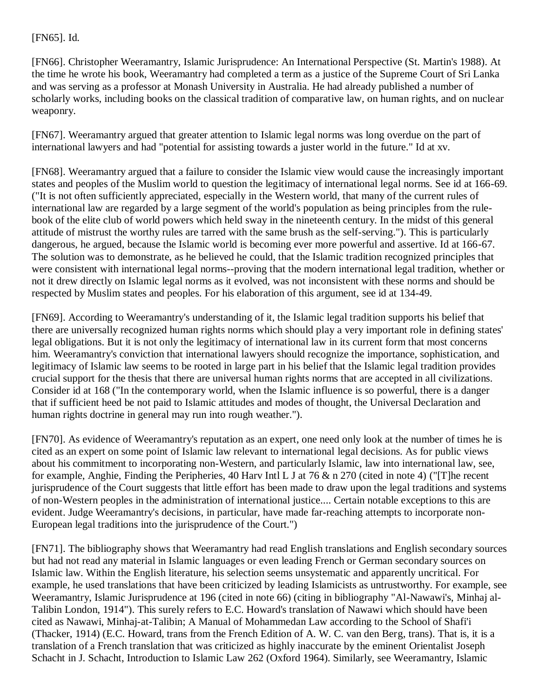### [\[FN65\].](http://web2.westlaw.com/result/documenttext.aspx?clvl=RCC&rltdb=CLID_DB27399224&effdate=1%2f1%2f0001+12%3a00%3a00+AM&db=JLR%2cAMJUR%2cABAJ%2cALR%2cTP-ALL%2cFEDRLAW&service=Search&sskey=CLID_SSSA27399224&fmqv=s&rlti=1&sv=Split&cnm=Search_5&fn=_top&rs=WLW8.04&cxt=DC&method=TNC&origin=Search&query=%22ISLAMIC+LAW%22++%26++%22INTERNATIONAL+HUMAN+RIGHTS%22&mt=LawSchoolPractitioner&eq=Welcome%2fLawSchoolPractitioner&vr=2.0&rlt=CLID_QRYRLT33399224&n=34&rp=%2fWelcome%2fLawSchoolPractitioner%2fdefault.wl&cnt=DOC&cfid=1&scxt=WL&ssrc=0&ss=CNT#FN;B65#FN;B65) Id.

[\[FN66\].](http://web2.westlaw.com/result/documenttext.aspx?clvl=RCC&rltdb=CLID_DB27399224&effdate=1%2f1%2f0001+12%3a00%3a00+AM&db=JLR%2cAMJUR%2cABAJ%2cALR%2cTP-ALL%2cFEDRLAW&service=Search&sskey=CLID_SSSA27399224&fmqv=s&rlti=1&sv=Split&cnm=Search_5&fn=_top&rs=WLW8.04&cxt=DC&method=TNC&origin=Search&query=%22ISLAMIC+LAW%22++%26++%22INTERNATIONAL+HUMAN+RIGHTS%22&mt=LawSchoolPractitioner&eq=Welcome%2fLawSchoolPractitioner&vr=2.0&rlt=CLID_QRYRLT33399224&n=34&rp=%2fWelcome%2fLawSchoolPractitioner%2fdefault.wl&cnt=DOC&cfid=1&scxt=WL&ssrc=0&ss=CNT#FN;B66#FN;B66) Christopher Weeramantry, Islamic Jurisprudence: An International Perspective (St. Martin's 1988). At the time he wrote his book, Weeramantry had completed a term as a justice of the Supreme Court of Sri Lanka and was serving as a professor at Monash University in Australia. He had already published a number of scholarly works, including books on the classical tradition of comparative law, on human rights, and on nuclear weaponry.

[\[FN67\].](http://web2.westlaw.com/result/documenttext.aspx?clvl=RCC&rltdb=CLID_DB27399224&effdate=1%2f1%2f0001+12%3a00%3a00+AM&db=JLR%2cAMJUR%2cABAJ%2cALR%2cTP-ALL%2cFEDRLAW&service=Search&sskey=CLID_SSSA27399224&fmqv=s&rlti=1&sv=Split&cnm=Search_5&fn=_top&rs=WLW8.04&cxt=DC&method=TNC&origin=Search&query=%22ISLAMIC+LAW%22++%26++%22INTERNATIONAL+HUMAN+RIGHTS%22&mt=LawSchoolPractitioner&eq=Welcome%2fLawSchoolPractitioner&vr=2.0&rlt=CLID_QRYRLT33399224&n=34&rp=%2fWelcome%2fLawSchoolPractitioner%2fdefault.wl&cnt=DOC&cfid=1&scxt=WL&ssrc=0&ss=CNT#FN;B67#FN;B67) Weeramantry argued that greater attention to Islamic legal norms was long overdue on the part of international lawyers and had "potential for assisting towards a juster world in the future." Id at xv.

[\[FN68\].](http://web2.westlaw.com/result/documenttext.aspx?clvl=RCC&rltdb=CLID_DB27399224&effdate=1%2f1%2f0001+12%3a00%3a00+AM&db=JLR%2cAMJUR%2cABAJ%2cALR%2cTP-ALL%2cFEDRLAW&service=Search&sskey=CLID_SSSA27399224&fmqv=s&rlti=1&sv=Split&cnm=Search_5&fn=_top&rs=WLW8.04&cxt=DC&method=TNC&origin=Search&query=%22ISLAMIC+LAW%22++%26++%22INTERNATIONAL+HUMAN+RIGHTS%22&mt=LawSchoolPractitioner&eq=Welcome%2fLawSchoolPractitioner&vr=2.0&rlt=CLID_QRYRLT33399224&n=34&rp=%2fWelcome%2fLawSchoolPractitioner%2fdefault.wl&cnt=DOC&cfid=1&scxt=WL&ssrc=0&ss=CNT#FN;B68#FN;B68) Weeramantry argued that a failure to consider the Islamic view would cause the increasingly important states and peoples of the Muslim world to question the legitimacy of international legal norms. See id at 166-69. ("It is not often sufficiently appreciated, especially in the Western world, that many of the current rules of international law are regarded by a large segment of the world's population as being principles from the rulebook of the elite club of world powers which held sway in the nineteenth century. In the midst of this general attitude of mistrust the worthy rules are tarred with the same brush as the self-serving."). This is particularly dangerous, he argued, because the Islamic world is becoming ever more powerful and assertive. Id at 166-67. The solution was to demonstrate, as he believed he could, that the Islamic tradition recognized principles that were consistent with international legal norms--proving that the modern international legal tradition, whether or not it drew directly on Islamic legal norms as it evolved, was not inconsistent with these norms and should be respected by Muslim states and peoples. For his elaboration of this argument, see id at 134-49.

[\[FN69\].](http://web2.westlaw.com/result/documenttext.aspx?clvl=RCC&rltdb=CLID_DB27399224&effdate=1%2f1%2f0001+12%3a00%3a00+AM&db=JLR%2cAMJUR%2cABAJ%2cALR%2cTP-ALL%2cFEDRLAW&service=Search&sskey=CLID_SSSA27399224&fmqv=s&rlti=1&sv=Split&cnm=Search_5&fn=_top&rs=WLW8.04&cxt=DC&method=TNC&origin=Search&query=%22ISLAMIC+LAW%22++%26++%22INTERNATIONAL+HUMAN+RIGHTS%22&mt=LawSchoolPractitioner&eq=Welcome%2fLawSchoolPractitioner&vr=2.0&rlt=CLID_QRYRLT33399224&n=34&rp=%2fWelcome%2fLawSchoolPractitioner%2fdefault.wl&cnt=DOC&cfid=1&scxt=WL&ssrc=0&ss=CNT#FN;B69#FN;B69) According to Weeramantry's understanding of it, the Islamic legal tradition supports his belief that there are universally recognized human rights norms which should play a very important role in defining states' legal obligations. But it is not only the legitimacy of international law in its current form that most concerns him. Weeramantry's conviction that international lawyers should recognize the importance, sophistication, and legitimacy of Islamic law seems to be rooted in large part in his belief that the Islamic legal tradition provides crucial support for the thesis that there are universal human rights norms that are accepted in all civilizations. Consider id at 168 ("In the contemporary world, when the Islamic influence is so powerful, there is a danger that if sufficient heed be not paid to Islamic attitudes and modes of thought, the Universal Declaration and human rights doctrine in general may run into rough weather.").

[\[FN70\].](http://web2.westlaw.com/result/documenttext.aspx?clvl=RCC&rltdb=CLID_DB27399224&effdate=1%2f1%2f0001+12%3a00%3a00+AM&db=JLR%2cAMJUR%2cABAJ%2cALR%2cTP-ALL%2cFEDRLAW&service=Search&sskey=CLID_SSSA27399224&fmqv=s&rlti=1&sv=Split&cnm=Search_5&fn=_top&rs=WLW8.04&cxt=DC&method=TNC&origin=Search&query=%22ISLAMIC+LAW%22++%26++%22INTERNATIONAL+HUMAN+RIGHTS%22&mt=LawSchoolPractitioner&eq=Welcome%2fLawSchoolPractitioner&vr=2.0&rlt=CLID_QRYRLT33399224&n=34&rp=%2fWelcome%2fLawSchoolPractitioner%2fdefault.wl&cnt=DOC&cfid=1&scxt=WL&ssrc=0&ss=CNT#FN;B70#FN;B70) As evidence of Weeramantry's reputation as an expert, one need only look at the number of times he is cited as an expert on some point of Islamic law relevant to international legal decisions. As for public views about his commitment to incorporating non-Western, and particularly Islamic, law into international law, see, for example, Anghie, [Finding the Peripheries, 40 Harv Intl L J at 76 & n 270 \(cited in note 4\)](http://web2.westlaw.com/find/default.wl?rp=%2ffind%2fdefault.wl&vc=0&DB=1153&SerialNum=0110677000&FindType=Y&ReferencePositionType=S&ReferencePosition=76&AP=&fn=_top&rs=WLW8.04&mt=LawSchoolPractitioner&vr=2.0&sv=Split) ("[T]he recent jurisprudence of the Court suggests that little effort has been made to draw upon the legal traditions and systems of non-Western peoples in the administration of international justice.... Certain notable exceptions to this are evident. Judge Weeramantry's decisions, in particular, have made far-reaching attempts to incorporate non-European legal traditions into the jurisprudence of the Court.")

[\[FN71\].](http://web2.westlaw.com/result/documenttext.aspx?clvl=RCC&rltdb=CLID_DB27399224&effdate=1%2f1%2f0001+12%3a00%3a00+AM&db=JLR%2cAMJUR%2cABAJ%2cALR%2cTP-ALL%2cFEDRLAW&service=Search&sskey=CLID_SSSA27399224&fmqv=s&rlti=1&sv=Split&cnm=Search_5&fn=_top&rs=WLW8.04&cxt=DC&method=TNC&origin=Search&query=%22ISLAMIC+LAW%22++%26++%22INTERNATIONAL+HUMAN+RIGHTS%22&mt=LawSchoolPractitioner&eq=Welcome%2fLawSchoolPractitioner&vr=2.0&rlt=CLID_QRYRLT33399224&n=34&rp=%2fWelcome%2fLawSchoolPractitioner%2fdefault.wl&cnt=DOC&cfid=1&scxt=WL&ssrc=0&ss=CNT#FN;B71#FN;B71) The bibliography shows that Weeramantry had read English translations and English secondary sources but had not read any material in Islamic languages or even leading French or German secondary sources on Islamic law. Within the English literature, his selection seems unsystematic and apparently uncritical. For example, he used translations that have been criticized by leading Islamicists as untrustworthy. For example, see Weeramantry, Islamic Jurisprudence at 196 (cited in note 66) (citing in bibliography "Al-Nawawi's, Minhaj al-Talibin London, 1914"). This surely refers to E.C. Howard's translation of Nawawi which should have been cited as Nawawi, Minhaj-at-Talibin; A Manual of Mohammedan Law according to the School of Shafi'i (Thacker, 1914) (E.C. Howard, trans from the French Edition of A. W. C. van den Berg, trans). That is, it is a translation of a French translation that was criticized as highly inaccurate by the eminent Orientalist Joseph Schacht in J. Schacht, Introduction to Islamic Law 262 (Oxford 1964). Similarly, see Weeramantry, Islamic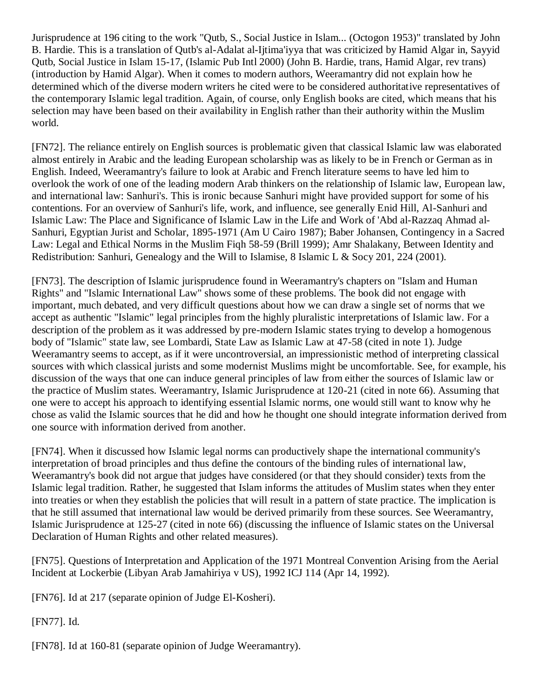Jurisprudence at 196 citing to the work "Qutb, S., Social Justice in Islam... (Octogon 1953)" translated by John B. Hardie. This is a translation of Qutb's al-Adalat al-Ijtima'iyya that was criticized by Hamid Algar in, Sayyid Qutb, Social Justice in Islam 15-17, (Islamic Pub Intl 2000) (John B. Hardie, trans, Hamid Algar, rev trans) (introduction by Hamid Algar). When it comes to modern authors, Weeramantry did not explain how he determined which of the diverse modern writers he cited were to be considered authoritative representatives of the contemporary Islamic legal tradition. Again, of course, only English books are cited, which means that his selection may have been based on their availability in English rather than their authority within the Muslim world.

[\[FN72\].](http://web2.westlaw.com/result/documenttext.aspx?clvl=RCC&rltdb=CLID_DB27399224&effdate=1%2f1%2f0001+12%3a00%3a00+AM&db=JLR%2cAMJUR%2cABAJ%2cALR%2cTP-ALL%2cFEDRLAW&service=Search&sskey=CLID_SSSA27399224&fmqv=s&rlti=1&sv=Split&cnm=Search_5&fn=_top&rs=WLW8.04&cxt=DC&method=TNC&origin=Search&query=%22ISLAMIC+LAW%22++%26++%22INTERNATIONAL+HUMAN+RIGHTS%22&mt=LawSchoolPractitioner&eq=Welcome%2fLawSchoolPractitioner&vr=2.0&rlt=CLID_QRYRLT33399224&n=34&rp=%2fWelcome%2fLawSchoolPractitioner%2fdefault.wl&cnt=DOC&cfid=1&scxt=WL&ssrc=0&ss=CNT#FN;B72#FN;B72) The reliance entirely on English sources is problematic given that classical Islamic law was elaborated almost entirely in Arabic and the leading European scholarship was as likely to be in French or German as in English. Indeed, Weeramantry's failure to look at Arabic and French literature seems to have led him to overlook the work of one of the leading modern Arab thinkers on the relationship of Islamic law, European law, and international law: Sanhuri's. This is ironic because Sanhuri might have provided support for some of his contentions. For an overview of Sanhuri's life, work, and influence, see generally Enid Hill, Al-Sanhuri and Islamic Law: The Place and Significance of Islamic Law in the Life and Work of 'Abd al-Razzaq Ahmad al-Sanhuri, Egyptian Jurist and Scholar, 1895-1971 (Am U Cairo 1987); Baber Johansen, Contingency in a Sacred Law: Legal and Ethical Norms in the Muslim Fiqh 58-59 (Brill 1999); Amr Shalakany, Between Identity and Redistribution: Sanhuri, Genealogy and the Will to Islamise, 8 Islamic L & Socy 201, 224 (2001).

[\[FN73\].](http://web2.westlaw.com/result/documenttext.aspx?clvl=RCC&rltdb=CLID_DB27399224&effdate=1%2f1%2f0001+12%3a00%3a00+AM&db=JLR%2cAMJUR%2cABAJ%2cALR%2cTP-ALL%2cFEDRLAW&service=Search&sskey=CLID_SSSA27399224&fmqv=s&rlti=1&sv=Split&cnm=Search_5&fn=_top&rs=WLW8.04&cxt=DC&method=TNC&origin=Search&query=%22ISLAMIC+LAW%22++%26++%22INTERNATIONAL+HUMAN+RIGHTS%22&mt=LawSchoolPractitioner&eq=Welcome%2fLawSchoolPractitioner&vr=2.0&rlt=CLID_QRYRLT33399224&n=34&rp=%2fWelcome%2fLawSchoolPractitioner%2fdefault.wl&cnt=DOC&cfid=1&scxt=WL&ssrc=0&ss=CNT#FN;B73#FN;B73) The description of Islamic jurisprudence found in Weeramantry's chapters on "Islam and Human Rights" and "Islamic International Law" shows some of these problems. The book did not engage with important, much debated, and very difficult questions about how we can draw a single set of norms that we accept as authentic "Islamic" legal principles from the highly pluralistic interpretations of Islamic law. For a description of the problem as it was addressed by pre-modern Islamic states trying to develop a homogenous body of "Islamic" state law, see Lombardi, State Law as Islamic Law at 47-58 (cited in note 1). Judge Weeramantry seems to accept, as if it were uncontroversial, an impressionistic method of interpreting classical sources with which classical jurists and some modernist Muslims might be uncomfortable. See, for example, his discussion of the ways that one can induce general principles of law from either the sources of Islamic law or the practice of Muslim states. Weeramantry, Islamic Jurisprudence at 120-21 (cited in note 66). Assuming that one were to accept his approach to identifying essential Islamic norms, one would still want to know why he chose as valid the Islamic sources that he did and how he thought one should integrate information derived from one source with information derived from another.

[\[FN74\].](http://web2.westlaw.com/result/documenttext.aspx?clvl=RCC&rltdb=CLID_DB27399224&effdate=1%2f1%2f0001+12%3a00%3a00+AM&db=JLR%2cAMJUR%2cABAJ%2cALR%2cTP-ALL%2cFEDRLAW&service=Search&sskey=CLID_SSSA27399224&fmqv=s&rlti=1&sv=Split&cnm=Search_5&fn=_top&rs=WLW8.04&cxt=DC&method=TNC&origin=Search&query=%22ISLAMIC+LAW%22++%26++%22INTERNATIONAL+HUMAN+RIGHTS%22&mt=LawSchoolPractitioner&eq=Welcome%2fLawSchoolPractitioner&vr=2.0&rlt=CLID_QRYRLT33399224&n=34&rp=%2fWelcome%2fLawSchoolPractitioner%2fdefault.wl&cnt=DOC&cfid=1&scxt=WL&ssrc=0&ss=CNT#FN;B74#FN;B74) When it discussed how Islamic legal norms can productively shape the international community's interpretation of broad principles and thus define the contours of the binding rules of international law, Weeramantry's book did not argue that judges have considered (or that they should consider) texts from the Islamic legal tradition. Rather, he suggested that Islam informs the attitudes of Muslim states when they enter into treaties or when they establish the policies that will result in a pattern of state practice. The implication is that he still assumed that international law would be derived primarily from these sources. See Weeramantry, Islamic Jurisprudence at 125-27 (cited in note 66) (discussing the influence of Islamic states on the Universal Declaration of Human Rights and other related measures).

[\[FN75\].](http://web2.westlaw.com/result/documenttext.aspx?clvl=RCC&rltdb=CLID_DB27399224&effdate=1%2f1%2f0001+12%3a00%3a00+AM&db=JLR%2cAMJUR%2cABAJ%2cALR%2cTP-ALL%2cFEDRLAW&service=Search&sskey=CLID_SSSA27399224&fmqv=s&rlti=1&sv=Split&cnm=Search_5&fn=_top&rs=WLW8.04&cxt=DC&method=TNC&origin=Search&query=%22ISLAMIC+LAW%22++%26++%22INTERNATIONAL+HUMAN+RIGHTS%22&mt=LawSchoolPractitioner&eq=Welcome%2fLawSchoolPractitioner&vr=2.0&rlt=CLID_QRYRLT33399224&n=34&rp=%2fWelcome%2fLawSchoolPractitioner%2fdefault.wl&cnt=DOC&cfid=1&scxt=WL&ssrc=0&ss=CNT#FN;B75#FN;B75) [Questions of Interpretation and Application of the 1971 Montreal Convention Arising from the Aerial](http://web2.westlaw.com/find/default.wl?rp=%2ffind%2fdefault.wl&vc=0&DB=147&SerialNum=1992143455&FindType=Y&AP=&fn=_top&rs=WLW8.04&mt=LawSchoolPractitioner&vr=2.0&sv=Split)  [Incident at Lockerbie \(Libyan Arab Jamahiriya v US\), 1992 ICJ 114 \(Apr 14, 1992\).](http://web2.westlaw.com/find/default.wl?rp=%2ffind%2fdefault.wl&vc=0&DB=147&SerialNum=1992143455&FindType=Y&AP=&fn=_top&rs=WLW8.04&mt=LawSchoolPractitioner&vr=2.0&sv=Split)

[\[FN76\].](http://web2.westlaw.com/result/documenttext.aspx?clvl=RCC&rltdb=CLID_DB27399224&effdate=1%2f1%2f0001+12%3a00%3a00+AM&db=JLR%2cAMJUR%2cABAJ%2cALR%2cTP-ALL%2cFEDRLAW&service=Search&sskey=CLID_SSSA27399224&fmqv=s&rlti=1&sv=Split&cnm=Search_5&fn=_top&rs=WLW8.04&cxt=DC&method=TNC&origin=Search&query=%22ISLAMIC+LAW%22++%26++%22INTERNATIONAL+HUMAN+RIGHTS%22&mt=LawSchoolPractitioner&eq=Welcome%2fLawSchoolPractitioner&vr=2.0&rlt=CLID_QRYRLT33399224&n=34&rp=%2fWelcome%2fLawSchoolPractitioner%2fdefault.wl&cnt=DOC&cfid=1&scxt=WL&ssrc=0&ss=CNT#FN;B76#FN;B76) [Id at 217](http://web2.westlaw.com/find/default.wl?rp=%2ffind%2fdefault.wl&vc=0&SerialNum=1992143455&FindType=Y&AP=&fn=_top&rs=WLW8.04&mt=LawSchoolPractitioner&vr=2.0&sv=Split) (separate opinion of Judge El-Kosheri).

[\[FN77\].](http://web2.westlaw.com/result/documenttext.aspx?clvl=RCC&rltdb=CLID_DB27399224&effdate=1%2f1%2f0001+12%3a00%3a00+AM&db=JLR%2cAMJUR%2cABAJ%2cALR%2cTP-ALL%2cFEDRLAW&service=Search&sskey=CLID_SSSA27399224&fmqv=s&rlti=1&sv=Split&cnm=Search_5&fn=_top&rs=WLW8.04&cxt=DC&method=TNC&origin=Search&query=%22ISLAMIC+LAW%22++%26++%22INTERNATIONAL+HUMAN+RIGHTS%22&mt=LawSchoolPractitioner&eq=Welcome%2fLawSchoolPractitioner&vr=2.0&rlt=CLID_QRYRLT33399224&n=34&rp=%2fWelcome%2fLawSchoolPractitioner%2fdefault.wl&cnt=DOC&cfid=1&scxt=WL&ssrc=0&ss=CNT#FN;B77#FN;B77) Id.

[\[FN78\].](http://web2.westlaw.com/result/documenttext.aspx?clvl=RCC&rltdb=CLID_DB27399224&effdate=1%2f1%2f0001+12%3a00%3a00+AM&db=JLR%2cAMJUR%2cABAJ%2cALR%2cTP-ALL%2cFEDRLAW&service=Search&sskey=CLID_SSSA27399224&fmqv=s&rlti=1&sv=Split&cnm=Search_5&fn=_top&rs=WLW8.04&cxt=DC&method=TNC&origin=Search&query=%22ISLAMIC+LAW%22++%26++%22INTERNATIONAL+HUMAN+RIGHTS%22&mt=LawSchoolPractitioner&eq=Welcome%2fLawSchoolPractitioner&vr=2.0&rlt=CLID_QRYRLT33399224&n=34&rp=%2fWelcome%2fLawSchoolPractitioner%2fdefault.wl&cnt=DOC&cfid=1&scxt=WL&ssrc=0&ss=CNT#FN;B78#FN;B78) Id at 160-81 (separate opinion of Judge Weeramantry).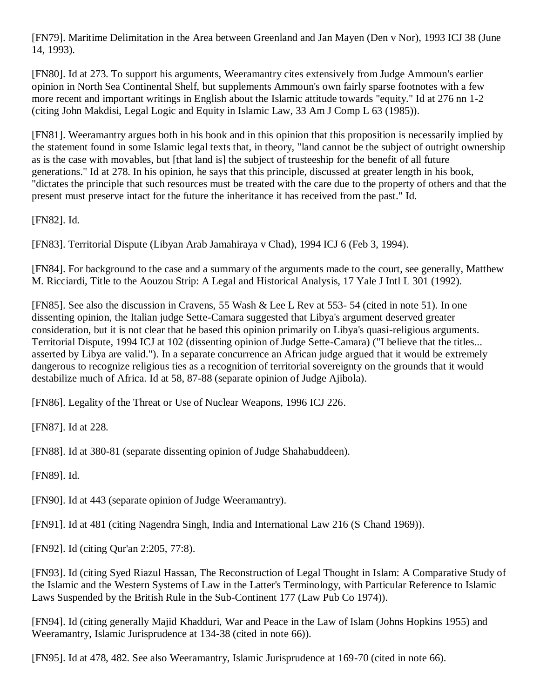[\[FN79\].](http://web2.westlaw.com/result/documenttext.aspx?clvl=RCC&rltdb=CLID_DB27399224&effdate=1%2f1%2f0001+12%3a00%3a00+AM&db=JLR%2cAMJUR%2cABAJ%2cALR%2cTP-ALL%2cFEDRLAW&service=Search&sskey=CLID_SSSA27399224&fmqv=s&rlti=1&sv=Split&cnm=Search_5&fn=_top&rs=WLW8.04&cxt=DC&method=TNC&origin=Search&query=%22ISLAMIC+LAW%22++%26++%22INTERNATIONAL+HUMAN+RIGHTS%22&mt=LawSchoolPractitioner&eq=Welcome%2fLawSchoolPractitioner&vr=2.0&rlt=CLID_QRYRLT33399224&n=34&rp=%2fWelcome%2fLawSchoolPractitioner%2fdefault.wl&cnt=DOC&cfid=1&scxt=WL&ssrc=0&ss=CNT#FN;B79#FN;B79) Maritime Delimitation in the Area between Greenland and Jan Mayen (Den v Nor), 1993 ICJ 38 (June 14, 1993).

[\[FN80\].](http://web2.westlaw.com/result/documenttext.aspx?clvl=RCC&rltdb=CLID_DB27399224&effdate=1%2f1%2f0001+12%3a00%3a00+AM&db=JLR%2cAMJUR%2cABAJ%2cALR%2cTP-ALL%2cFEDRLAW&service=Search&sskey=CLID_SSSA27399224&fmqv=s&rlti=1&sv=Split&cnm=Search_5&fn=_top&rs=WLW8.04&cxt=DC&method=TNC&origin=Search&query=%22ISLAMIC+LAW%22++%26++%22INTERNATIONAL+HUMAN+RIGHTS%22&mt=LawSchoolPractitioner&eq=Welcome%2fLawSchoolPractitioner&vr=2.0&rlt=CLID_QRYRLT33399224&n=34&rp=%2fWelcome%2fLawSchoolPractitioner%2fdefault.wl&cnt=DOC&cfid=1&scxt=WL&ssrc=0&ss=CNT#FN;B80#FN;B80) Id at 273. To support his arguments, Weeramantry cites extensively from Judge Ammoun's earlier opinion in North Sea Continental Shelf, but supplements Ammoun's own fairly sparse footnotes with a few more recent and important writings in English about the Islamic attitude towards "equity." Id at 276 nn 1-2 (citing John Makdisi, Legal Logic and Equity in Islamic Law, 33 Am J Comp L 63 (1985)).

[\[FN81\].](http://web2.westlaw.com/result/documenttext.aspx?clvl=RCC&rltdb=CLID_DB27399224&effdate=1%2f1%2f0001+12%3a00%3a00+AM&db=JLR%2cAMJUR%2cABAJ%2cALR%2cTP-ALL%2cFEDRLAW&service=Search&sskey=CLID_SSSA27399224&fmqv=s&rlti=1&sv=Split&cnm=Search_5&fn=_top&rs=WLW8.04&cxt=DC&method=TNC&origin=Search&query=%22ISLAMIC+LAW%22++%26++%22INTERNATIONAL+HUMAN+RIGHTS%22&mt=LawSchoolPractitioner&eq=Welcome%2fLawSchoolPractitioner&vr=2.0&rlt=CLID_QRYRLT33399224&n=34&rp=%2fWelcome%2fLawSchoolPractitioner%2fdefault.wl&cnt=DOC&cfid=1&scxt=WL&ssrc=0&ss=CNT#FN;B81#FN;B81) Weeramantry argues both in his book and in this opinion that this proposition is necessarily implied by the statement found in some Islamic legal texts that, in theory, "land cannot be the subject of outright ownership as is the case with movables, but [that land is] the subject of trusteeship for the benefit of all future generations." Id at 278. In his opinion, he says that this principle, discussed at greater length in his book, "dictates the principle that such resources must be treated with the care due to the property of others and that the present must preserve intact for the future the inheritance it has received from the past." Id.

[\[FN82\].](http://web2.westlaw.com/result/documenttext.aspx?clvl=RCC&rltdb=CLID_DB27399224&effdate=1%2f1%2f0001+12%3a00%3a00+AM&db=JLR%2cAMJUR%2cABAJ%2cALR%2cTP-ALL%2cFEDRLAW&service=Search&sskey=CLID_SSSA27399224&fmqv=s&rlti=1&sv=Split&cnm=Search_5&fn=_top&rs=WLW8.04&cxt=DC&method=TNC&origin=Search&query=%22ISLAMIC+LAW%22++%26++%22INTERNATIONAL+HUMAN+RIGHTS%22&mt=LawSchoolPractitioner&eq=Welcome%2fLawSchoolPractitioner&vr=2.0&rlt=CLID_QRYRLT33399224&n=34&rp=%2fWelcome%2fLawSchoolPractitioner%2fdefault.wl&cnt=DOC&cfid=1&scxt=WL&ssrc=0&ss=CNT#FN;B82#FN;B82) Id.

[\[FN83\].](http://web2.westlaw.com/result/documenttext.aspx?clvl=RCC&rltdb=CLID_DB27399224&effdate=1%2f1%2f0001+12%3a00%3a00+AM&db=JLR%2cAMJUR%2cABAJ%2cALR%2cTP-ALL%2cFEDRLAW&service=Search&sskey=CLID_SSSA27399224&fmqv=s&rlti=1&sv=Split&cnm=Search_5&fn=_top&rs=WLW8.04&cxt=DC&method=TNC&origin=Search&query=%22ISLAMIC+LAW%22++%26++%22INTERNATIONAL+HUMAN+RIGHTS%22&mt=LawSchoolPractitioner&eq=Welcome%2fLawSchoolPractitioner&vr=2.0&rlt=CLID_QRYRLT33399224&n=34&rp=%2fWelcome%2fLawSchoolPractitioner%2fdefault.wl&cnt=DOC&cfid=1&scxt=WL&ssrc=0&ss=CNT#FN;B83#FN;B83) Territorial Dispute (Libyan Arab Jamahiraya v Chad), 1994 ICJ 6 (Feb 3, 1994).

[\[FN84\].](http://web2.westlaw.com/result/documenttext.aspx?clvl=RCC&rltdb=CLID_DB27399224&effdate=1%2f1%2f0001+12%3a00%3a00+AM&db=JLR%2cAMJUR%2cABAJ%2cALR%2cTP-ALL%2cFEDRLAW&service=Search&sskey=CLID_SSSA27399224&fmqv=s&rlti=1&sv=Split&cnm=Search_5&fn=_top&rs=WLW8.04&cxt=DC&method=TNC&origin=Search&query=%22ISLAMIC+LAW%22++%26++%22INTERNATIONAL+HUMAN+RIGHTS%22&mt=LawSchoolPractitioner&eq=Welcome%2fLawSchoolPractitioner&vr=2.0&rlt=CLID_QRYRLT33399224&n=34&rp=%2fWelcome%2fLawSchoolPractitioner%2fdefault.wl&cnt=DOC&cfid=1&scxt=WL&ssrc=0&ss=CNT#FN;B84#FN;B84) For background to the case and a summary of the arguments made to the court, see generally, Matthew M. Ricciardi, [Title to the Aouzou Strip: A Legal and Historical Analysis, 17 Yale J Intl](http://web2.westlaw.com/find/default.wl?rp=%2ffind%2fdefault.wl&vc=0&DB=100447&SerialNum=0102667588&FindType=Y&AP=&fn=_top&rs=WLW8.04&mt=LawSchoolPractitioner&vr=2.0&sv=Split) L 301 (1992).

[\[FN85\].](http://web2.westlaw.com/result/documenttext.aspx?clvl=RCC&rltdb=CLID_DB27399224&effdate=1%2f1%2f0001+12%3a00%3a00+AM&db=JLR%2cAMJUR%2cABAJ%2cALR%2cTP-ALL%2cFEDRLAW&service=Search&sskey=CLID_SSSA27399224&fmqv=s&rlti=1&sv=Split&cnm=Search_5&fn=_top&rs=WLW8.04&cxt=DC&method=TNC&origin=Search&query=%22ISLAMIC+LAW%22++%26++%22INTERNATIONAL+HUMAN+RIGHTS%22&mt=LawSchoolPractitioner&eq=Welcome%2fLawSchoolPractitioner&vr=2.0&rlt=CLID_QRYRLT33399224&n=34&rp=%2fWelcome%2fLawSchoolPractitioner%2fdefault.wl&cnt=DOC&cfid=1&scxt=WL&ssrc=0&ss=CNT#FN;B85#FN;B85) See also the discussion in Cravens, [55 Wash & Lee L Rev at 553-](http://web2.westlaw.com/find/default.wl?rp=%2ffind%2fdefault.wl&vc=0&DB=1282&SerialNum=0109012207&FindType=Y&ReferencePositionType=S&ReferencePosition=553&AP=&fn=_top&rs=WLW8.04&mt=LawSchoolPractitioner&vr=2.0&sv=Split) 54 (cited in note 51). In one dissenting opinion, the Italian judge Sette-Camara suggested that Libya's argument deserved greater consideration, but it is not clear that he based this opinion primarily on Libya's quasi-religious arguments. Territorial Dispute, 1994 ICJ at 102 (dissenting opinion of Judge Sette-Camara) ("I believe that the titles... asserted by Libya are valid."). In a separate concurrence an African judge argued that it would be extremely dangerous to recognize religious ties as a recognition of territorial sovereignty on the grounds that it would destabilize much of Africa. Id at 58, 87-88 (separate opinion of Judge Ajibola).

[\[FN86\].](http://web2.westlaw.com/result/documenttext.aspx?clvl=RCC&rltdb=CLID_DB27399224&effdate=1%2f1%2f0001+12%3a00%3a00+AM&db=JLR%2cAMJUR%2cABAJ%2cALR%2cTP-ALL%2cFEDRLAW&service=Search&sskey=CLID_SSSA27399224&fmqv=s&rlti=1&sv=Split&cnm=Search_5&fn=_top&rs=WLW8.04&cxt=DC&method=TNC&origin=Search&query=%22ISLAMIC+LAW%22++%26++%22INTERNATIONAL+HUMAN+RIGHTS%22&mt=LawSchoolPractitioner&eq=Welcome%2fLawSchoolPractitioner&vr=2.0&rlt=CLID_QRYRLT33399224&n=34&rp=%2fWelcome%2fLawSchoolPractitioner%2fdefault.wl&cnt=DOC&cfid=1&scxt=WL&ssrc=0&ss=CNT#FN;B86#FN;B86) [Legality of the Threat or Use of Nuclear Weapons, 1996 ICJ 226.](http://web2.westlaw.com/find/default.wl?rp=%2ffind%2fdefault.wl&vc=0&DB=147&SerialNum=1998088747&FindType=Y&AP=&fn=_top&rs=WLW8.04&mt=LawSchoolPractitioner&vr=2.0&sv=Split)

[\[FN87\].](http://web2.westlaw.com/result/documenttext.aspx?clvl=RCC&rltdb=CLID_DB27399224&effdate=1%2f1%2f0001+12%3a00%3a00+AM&db=JLR%2cAMJUR%2cABAJ%2cALR%2cTP-ALL%2cFEDRLAW&service=Search&sskey=CLID_SSSA27399224&fmqv=s&rlti=1&sv=Split&cnm=Search_5&fn=_top&rs=WLW8.04&cxt=DC&method=TNC&origin=Search&query=%22ISLAMIC+LAW%22++%26++%22INTERNATIONAL+HUMAN+RIGHTS%22&mt=LawSchoolPractitioner&eq=Welcome%2fLawSchoolPractitioner&vr=2.0&rlt=CLID_QRYRLT33399224&n=34&rp=%2fWelcome%2fLawSchoolPractitioner%2fdefault.wl&cnt=DOC&cfid=1&scxt=WL&ssrc=0&ss=CNT#FN;B87#FN;B87) [Id at 228.](http://web2.westlaw.com/find/default.wl?rp=%2ffind%2fdefault.wl&vc=0&SerialNum=1998088747&FindType=Y&AP=&fn=_top&rs=WLW8.04&mt=LawSchoolPractitioner&vr=2.0&sv=Split)

[\[FN88\].](http://web2.westlaw.com/result/documenttext.aspx?clvl=RCC&rltdb=CLID_DB27399224&effdate=1%2f1%2f0001+12%3a00%3a00+AM&db=JLR%2cAMJUR%2cABAJ%2cALR%2cTP-ALL%2cFEDRLAW&service=Search&sskey=CLID_SSSA27399224&fmqv=s&rlti=1&sv=Split&cnm=Search_5&fn=_top&rs=WLW8.04&cxt=DC&method=TNC&origin=Search&query=%22ISLAMIC+LAW%22++%26++%22INTERNATIONAL+HUMAN+RIGHTS%22&mt=LawSchoolPractitioner&eq=Welcome%2fLawSchoolPractitioner&vr=2.0&rlt=CLID_QRYRLT33399224&n=34&rp=%2fWelcome%2fLawSchoolPractitioner%2fdefault.wl&cnt=DOC&cfid=1&scxt=WL&ssrc=0&ss=CNT#FN;B88#FN;B88) [Id at 380-81](http://web2.westlaw.com/find/default.wl?rp=%2ffind%2fdefault.wl&vc=0&SerialNum=1998088747&FindType=Y&AP=&fn=_top&rs=WLW8.04&mt=LawSchoolPractitioner&vr=2.0&sv=Split) (separate dissenting opinion of Judge Shahabuddeen).

[\[FN89\].](http://web2.westlaw.com/result/documenttext.aspx?clvl=RCC&rltdb=CLID_DB27399224&effdate=1%2f1%2f0001+12%3a00%3a00+AM&db=JLR%2cAMJUR%2cABAJ%2cALR%2cTP-ALL%2cFEDRLAW&service=Search&sskey=CLID_SSSA27399224&fmqv=s&rlti=1&sv=Split&cnm=Search_5&fn=_top&rs=WLW8.04&cxt=DC&method=TNC&origin=Search&query=%22ISLAMIC+LAW%22++%26++%22INTERNATIONAL+HUMAN+RIGHTS%22&mt=LawSchoolPractitioner&eq=Welcome%2fLawSchoolPractitioner&vr=2.0&rlt=CLID_QRYRLT33399224&n=34&rp=%2fWelcome%2fLawSchoolPractitioner%2fdefault.wl&cnt=DOC&cfid=1&scxt=WL&ssrc=0&ss=CNT#FN;B89#FN;B89) Id.

[\[FN90\].](http://web2.westlaw.com/result/documenttext.aspx?clvl=RCC&rltdb=CLID_DB27399224&effdate=1%2f1%2f0001+12%3a00%3a00+AM&db=JLR%2cAMJUR%2cABAJ%2cALR%2cTP-ALL%2cFEDRLAW&service=Search&sskey=CLID_SSSA27399224&fmqv=s&rlti=1&sv=Split&cnm=Search_5&fn=_top&rs=WLW8.04&cxt=DC&method=TNC&origin=Search&query=%22ISLAMIC+LAW%22++%26++%22INTERNATIONAL+HUMAN+RIGHTS%22&mt=LawSchoolPractitioner&eq=Welcome%2fLawSchoolPractitioner&vr=2.0&rlt=CLID_QRYRLT33399224&n=34&rp=%2fWelcome%2fLawSchoolPractitioner%2fdefault.wl&cnt=DOC&cfid=1&scxt=WL&ssrc=0&ss=CNT#FN;B90#FN;B90) Id at 443 (separate opinion of Judge Weeramantry).

[\[FN91\].](http://web2.westlaw.com/result/documenttext.aspx?clvl=RCC&rltdb=CLID_DB27399224&effdate=1%2f1%2f0001+12%3a00%3a00+AM&db=JLR%2cAMJUR%2cABAJ%2cALR%2cTP-ALL%2cFEDRLAW&service=Search&sskey=CLID_SSSA27399224&fmqv=s&rlti=1&sv=Split&cnm=Search_5&fn=_top&rs=WLW8.04&cxt=DC&method=TNC&origin=Search&query=%22ISLAMIC+LAW%22++%26++%22INTERNATIONAL+HUMAN+RIGHTS%22&mt=LawSchoolPractitioner&eq=Welcome%2fLawSchoolPractitioner&vr=2.0&rlt=CLID_QRYRLT33399224&n=34&rp=%2fWelcome%2fLawSchoolPractitioner%2fdefault.wl&cnt=DOC&cfid=1&scxt=WL&ssrc=0&ss=CNT#FN;B91#FN;B91) Id at 481 (citing Nagendra Singh, India and International Law 216 (S Chand 1969)).

[\[FN92\].](http://web2.westlaw.com/result/documenttext.aspx?clvl=RCC&rltdb=CLID_DB27399224&effdate=1%2f1%2f0001+12%3a00%3a00+AM&db=JLR%2cAMJUR%2cABAJ%2cALR%2cTP-ALL%2cFEDRLAW&service=Search&sskey=CLID_SSSA27399224&fmqv=s&rlti=1&sv=Split&cnm=Search_5&fn=_top&rs=WLW8.04&cxt=DC&method=TNC&origin=Search&query=%22ISLAMIC+LAW%22++%26++%22INTERNATIONAL+HUMAN+RIGHTS%22&mt=LawSchoolPractitioner&eq=Welcome%2fLawSchoolPractitioner&vr=2.0&rlt=CLID_QRYRLT33399224&n=34&rp=%2fWelcome%2fLawSchoolPractitioner%2fdefault.wl&cnt=DOC&cfid=1&scxt=WL&ssrc=0&ss=CNT#FN;B92#FN;B92) Id (citing Qur'an 2:205, 77:8).

[\[FN93\].](http://web2.westlaw.com/result/documenttext.aspx?clvl=RCC&rltdb=CLID_DB27399224&effdate=1%2f1%2f0001+12%3a00%3a00+AM&db=JLR%2cAMJUR%2cABAJ%2cALR%2cTP-ALL%2cFEDRLAW&service=Search&sskey=CLID_SSSA27399224&fmqv=s&rlti=1&sv=Split&cnm=Search_5&fn=_top&rs=WLW8.04&cxt=DC&method=TNC&origin=Search&query=%22ISLAMIC+LAW%22++%26++%22INTERNATIONAL+HUMAN+RIGHTS%22&mt=LawSchoolPractitioner&eq=Welcome%2fLawSchoolPractitioner&vr=2.0&rlt=CLID_QRYRLT33399224&n=34&rp=%2fWelcome%2fLawSchoolPractitioner%2fdefault.wl&cnt=DOC&cfid=1&scxt=WL&ssrc=0&ss=CNT#FN;B93#FN;B93) Id (citing Syed Riazul Hassan, The Reconstruction of Legal Thought in Islam: A Comparative Study of the Islamic and the Western Systems of Law in the Latter's Terminology, with Particular Reference to Islamic Laws Suspended by the British Rule in the Sub-Continent 177 (Law Pub Co 1974)).

[\[FN94\].](http://web2.westlaw.com/result/documenttext.aspx?clvl=RCC&rltdb=CLID_DB27399224&effdate=1%2f1%2f0001+12%3a00%3a00+AM&db=JLR%2cAMJUR%2cABAJ%2cALR%2cTP-ALL%2cFEDRLAW&service=Search&sskey=CLID_SSSA27399224&fmqv=s&rlti=1&sv=Split&cnm=Search_5&fn=_top&rs=WLW8.04&cxt=DC&method=TNC&origin=Search&query=%22ISLAMIC+LAW%22++%26++%22INTERNATIONAL+HUMAN+RIGHTS%22&mt=LawSchoolPractitioner&eq=Welcome%2fLawSchoolPractitioner&vr=2.0&rlt=CLID_QRYRLT33399224&n=34&rp=%2fWelcome%2fLawSchoolPractitioner%2fdefault.wl&cnt=DOC&cfid=1&scxt=WL&ssrc=0&ss=CNT#FN;B94#FN;B94) Id (citing generally Majid Khadduri, War and Peace in the Law of Islam (Johns Hopkins 1955) and Weeramantry, Islamic Jurisprudence at 134-38 (cited in note 66)).

[\[FN95\].](http://web2.westlaw.com/result/documenttext.aspx?clvl=RCC&rltdb=CLID_DB27399224&effdate=1%2f1%2f0001+12%3a00%3a00+AM&db=JLR%2cAMJUR%2cABAJ%2cALR%2cTP-ALL%2cFEDRLAW&service=Search&sskey=CLID_SSSA27399224&fmqv=s&rlti=1&sv=Split&cnm=Search_5&fn=_top&rs=WLW8.04&cxt=DC&method=TNC&origin=Search&query=%22ISLAMIC+LAW%22++%26++%22INTERNATIONAL+HUMAN+RIGHTS%22&mt=LawSchoolPractitioner&eq=Welcome%2fLawSchoolPractitioner&vr=2.0&rlt=CLID_QRYRLT33399224&n=34&rp=%2fWelcome%2fLawSchoolPractitioner%2fdefault.wl&cnt=DOC&cfid=1&scxt=WL&ssrc=0&ss=CNT#FN;B95#FN;B95) Id at 478, 482. See also Weeramantry, Islamic Jurisprudence at 169-70 (cited in note 66).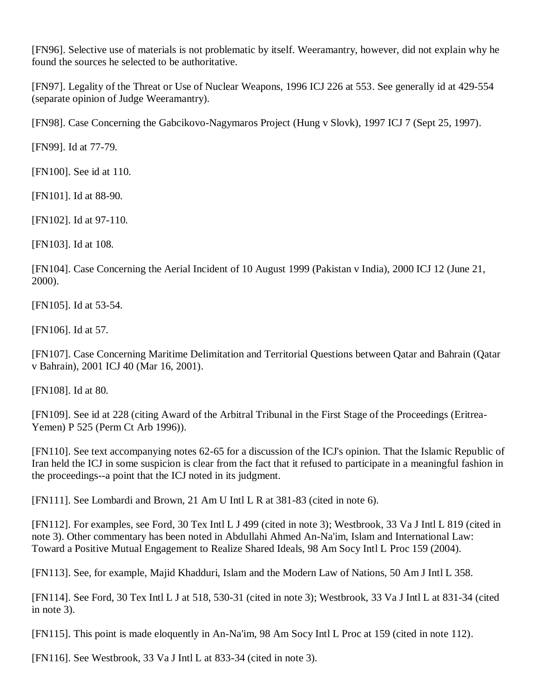[\[FN96\].](http://web2.westlaw.com/result/documenttext.aspx?clvl=RCC&rltdb=CLID_DB27399224&effdate=1%2f1%2f0001+12%3a00%3a00+AM&db=JLR%2cAMJUR%2cABAJ%2cALR%2cTP-ALL%2cFEDRLAW&service=Search&sskey=CLID_SSSA27399224&fmqv=s&rlti=1&sv=Split&cnm=Search_5&fn=_top&rs=WLW8.04&cxt=DC&method=TNC&origin=Search&query=%22ISLAMIC+LAW%22++%26++%22INTERNATIONAL+HUMAN+RIGHTS%22&mt=LawSchoolPractitioner&eq=Welcome%2fLawSchoolPractitioner&vr=2.0&rlt=CLID_QRYRLT33399224&n=34&rp=%2fWelcome%2fLawSchoolPractitioner%2fdefault.wl&cnt=DOC&cfid=1&scxt=WL&ssrc=0&ss=CNT#FN;B96#FN;B96) Selective use of materials is not problematic by itself. Weeramantry, however, did not explain why he found the sources he selected to be authoritative.

[\[FN97\].](http://web2.westlaw.com/result/documenttext.aspx?clvl=RCC&rltdb=CLID_DB27399224&effdate=1%2f1%2f0001+12%3a00%3a00+AM&db=JLR%2cAMJUR%2cABAJ%2cALR%2cTP-ALL%2cFEDRLAW&service=Search&sskey=CLID_SSSA27399224&fmqv=s&rlti=1&sv=Split&cnm=Search_5&fn=_top&rs=WLW8.04&cxt=DC&method=TNC&origin=Search&query=%22ISLAMIC+LAW%22++%26++%22INTERNATIONAL+HUMAN+RIGHTS%22&mt=LawSchoolPractitioner&eq=Welcome%2fLawSchoolPractitioner&vr=2.0&rlt=CLID_QRYRLT33399224&n=34&rp=%2fWelcome%2fLawSchoolPractitioner%2fdefault.wl&cnt=DOC&cfid=1&scxt=WL&ssrc=0&ss=CNT#FN;B97#FN;B97) [Legality of the Threat or Use of Nuclear Weapons, 1996 ICJ 226 at 553.](http://web2.westlaw.com/find/default.wl?rp=%2ffind%2fdefault.wl&vc=0&DB=147&SerialNum=1998088747&FindType=Y&ReferencePositionType=S&ReferencePosition=553&AP=&fn=_top&rs=WLW8.04&mt=LawSchoolPractitioner&vr=2.0&sv=Split) See generally [id at 429-554](http://web2.westlaw.com/find/default.wl?rp=%2ffind%2fdefault.wl&vc=0&SerialNum=1998088747&FindType=Y&AP=&fn=_top&rs=WLW8.04&mt=LawSchoolPractitioner&vr=2.0&sv=Split) (separate opinion of Judge Weeramantry).

[\[FN98\].](http://web2.westlaw.com/result/documenttext.aspx?clvl=RCC&rltdb=CLID_DB27399224&effdate=1%2f1%2f0001+12%3a00%3a00+AM&db=JLR%2cAMJUR%2cABAJ%2cALR%2cTP-ALL%2cFEDRLAW&service=Search&sskey=CLID_SSSA27399224&fmqv=s&rlti=1&sv=Split&cnm=Search_5&fn=_top&rs=WLW8.04&cxt=DC&method=TNC&origin=Search&query=%22ISLAMIC+LAW%22++%26++%22INTERNATIONAL+HUMAN+RIGHTS%22&mt=LawSchoolPractitioner&eq=Welcome%2fLawSchoolPractitioner&vr=2.0&rlt=CLID_QRYRLT33399224&n=34&rp=%2fWelcome%2fLawSchoolPractitioner%2fdefault.wl&cnt=DOC&cfid=1&scxt=WL&ssrc=0&ss=CNT#FN;B98#FN;B98) Case Concerning the [Gabcikovo-Nagymaros Project \(Hung v Slovk\), 1997 ICJ 7 \(Sept 25, 1997\).](http://web2.westlaw.com/find/default.wl?rp=%2ffind%2fdefault.wl&vc=0&DB=147&SerialNum=1999243462&FindType=Y&AP=&fn=_top&rs=WLW8.04&mt=LawSchoolPractitioner&vr=2.0&sv=Split)

[\[FN99\].](http://web2.westlaw.com/result/documenttext.aspx?clvl=RCC&rltdb=CLID_DB27399224&effdate=1%2f1%2f0001+12%3a00%3a00+AM&db=JLR%2cAMJUR%2cABAJ%2cALR%2cTP-ALL%2cFEDRLAW&service=Search&sskey=CLID_SSSA27399224&fmqv=s&rlti=1&sv=Split&cnm=Search_5&fn=_top&rs=WLW8.04&cxt=DC&method=TNC&origin=Search&query=%22ISLAMIC+LAW%22++%26++%22INTERNATIONAL+HUMAN+RIGHTS%22&mt=LawSchoolPractitioner&eq=Welcome%2fLawSchoolPractitioner&vr=2.0&rlt=CLID_QRYRLT33399224&n=34&rp=%2fWelcome%2fLawSchoolPractitioner%2fdefault.wl&cnt=DOC&cfid=1&scxt=WL&ssrc=0&ss=CNT#FN;B99#FN;B99) [Id at 77-79.](http://web2.westlaw.com/find/default.wl?rp=%2ffind%2fdefault.wl&vc=0&SerialNum=1999243462&FindType=Y&AP=&fn=_top&rs=WLW8.04&mt=LawSchoolPractitioner&vr=2.0&sv=Split)

[\[FN100\].](http://web2.westlaw.com/result/documenttext.aspx?clvl=RCC&rltdb=CLID_DB27399224&effdate=1%2f1%2f0001+12%3a00%3a00+AM&db=JLR%2cAMJUR%2cABAJ%2cALR%2cTP-ALL%2cFEDRLAW&service=Search&sskey=CLID_SSSA27399224&fmqv=s&rlti=1&sv=Split&cnm=Search_5&fn=_top&rs=WLW8.04&cxt=DC&method=TNC&origin=Search&query=%22ISLAMIC+LAW%22++%26++%22INTERNATIONAL+HUMAN+RIGHTS%22&mt=LawSchoolPractitioner&eq=Welcome%2fLawSchoolPractitioner&vr=2.0&rlt=CLID_QRYRLT33399224&n=34&rp=%2fWelcome%2fLawSchoolPractitioner%2fdefault.wl&cnt=DOC&cfid=1&scxt=WL&ssrc=0&ss=CNT#FN;B100#FN;B100) See [id at 110.](http://web2.westlaw.com/find/default.wl?rp=%2ffind%2fdefault.wl&vc=0&SerialNum=1999243462&FindType=Y&AP=&fn=_top&rs=WLW8.04&mt=LawSchoolPractitioner&vr=2.0&sv=Split)

[\[FN101\].](http://web2.westlaw.com/result/documenttext.aspx?clvl=RCC&rltdb=CLID_DB27399224&effdate=1%2f1%2f0001+12%3a00%3a00+AM&db=JLR%2cAMJUR%2cABAJ%2cALR%2cTP-ALL%2cFEDRLAW&service=Search&sskey=CLID_SSSA27399224&fmqv=s&rlti=1&sv=Split&cnm=Search_5&fn=_top&rs=WLW8.04&cxt=DC&method=TNC&origin=Search&query=%22ISLAMIC+LAW%22++%26++%22INTERNATIONAL+HUMAN+RIGHTS%22&mt=LawSchoolPractitioner&eq=Welcome%2fLawSchoolPractitioner&vr=2.0&rlt=CLID_QRYRLT33399224&n=34&rp=%2fWelcome%2fLawSchoolPractitioner%2fdefault.wl&cnt=DOC&cfid=1&scxt=WL&ssrc=0&ss=CNT#FN;B101#FN;B101) [Id at 88-90.](http://web2.westlaw.com/find/default.wl?rp=%2ffind%2fdefault.wl&vc=0&SerialNum=1999243462&FindType=Y&AP=&fn=_top&rs=WLW8.04&mt=LawSchoolPractitioner&vr=2.0&sv=Split)

[\[FN102\].](http://web2.westlaw.com/result/documenttext.aspx?clvl=RCC&rltdb=CLID_DB27399224&effdate=1%2f1%2f0001+12%3a00%3a00+AM&db=JLR%2cAMJUR%2cABAJ%2cALR%2cTP-ALL%2cFEDRLAW&service=Search&sskey=CLID_SSSA27399224&fmqv=s&rlti=1&sv=Split&cnm=Search_5&fn=_top&rs=WLW8.04&cxt=DC&method=TNC&origin=Search&query=%22ISLAMIC+LAW%22++%26++%22INTERNATIONAL+HUMAN+RIGHTS%22&mt=LawSchoolPractitioner&eq=Welcome%2fLawSchoolPractitioner&vr=2.0&rlt=CLID_QRYRLT33399224&n=34&rp=%2fWelcome%2fLawSchoolPractitioner%2fdefault.wl&cnt=DOC&cfid=1&scxt=WL&ssrc=0&ss=CNT#FN;B102#FN;B102) [Id at 97-110.](http://web2.westlaw.com/find/default.wl?rp=%2ffind%2fdefault.wl&vc=0&SerialNum=1999243462&FindType=Y&AP=&fn=_top&rs=WLW8.04&mt=LawSchoolPractitioner&vr=2.0&sv=Split)

[\[FN103\].](http://web2.westlaw.com/result/documenttext.aspx?clvl=RCC&rltdb=CLID_DB27399224&effdate=1%2f1%2f0001+12%3a00%3a00+AM&db=JLR%2cAMJUR%2cABAJ%2cALR%2cTP-ALL%2cFEDRLAW&service=Search&sskey=CLID_SSSA27399224&fmqv=s&rlti=1&sv=Split&cnm=Search_5&fn=_top&rs=WLW8.04&cxt=DC&method=TNC&origin=Search&query=%22ISLAMIC+LAW%22++%26++%22INTERNATIONAL+HUMAN+RIGHTS%22&mt=LawSchoolPractitioner&eq=Welcome%2fLawSchoolPractitioner&vr=2.0&rlt=CLID_QRYRLT33399224&n=34&rp=%2fWelcome%2fLawSchoolPractitioner%2fdefault.wl&cnt=DOC&cfid=1&scxt=WL&ssrc=0&ss=CNT#FN;B103#FN;B103) [Id at 108.](http://web2.westlaw.com/find/default.wl?rp=%2ffind%2fdefault.wl&vc=0&SerialNum=1999243462&FindType=Y&AP=&fn=_top&rs=WLW8.04&mt=LawSchoolPractitioner&vr=2.0&sv=Split)

[\[FN104\].](http://web2.westlaw.com/result/documenttext.aspx?clvl=RCC&rltdb=CLID_DB27399224&effdate=1%2f1%2f0001+12%3a00%3a00+AM&db=JLR%2cAMJUR%2cABAJ%2cALR%2cTP-ALL%2cFEDRLAW&service=Search&sskey=CLID_SSSA27399224&fmqv=s&rlti=1&sv=Split&cnm=Search_5&fn=_top&rs=WLW8.04&cxt=DC&method=TNC&origin=Search&query=%22ISLAMIC+LAW%22++%26++%22INTERNATIONAL+HUMAN+RIGHTS%22&mt=LawSchoolPractitioner&eq=Welcome%2fLawSchoolPractitioner&vr=2.0&rlt=CLID_QRYRLT33399224&n=34&rp=%2fWelcome%2fLawSchoolPractitioner%2fdefault.wl&cnt=DOC&cfid=1&scxt=WL&ssrc=0&ss=CNT#FN;B104#FN;B104) [Case Concerning the Aerial Incident of 10 August 1999 \(Pakistan v India\), 2000 ICJ 12 \(June 21,](http://web2.westlaw.com/find/default.wl?rp=%2ffind%2fdefault.wl&vc=0&DB=147&SerialNum=2002681608&FindType=Y&AP=&fn=_top&rs=WLW8.04&mt=LawSchoolPractitioner&vr=2.0&sv=Split)  [2000\).](http://web2.westlaw.com/find/default.wl?rp=%2ffind%2fdefault.wl&vc=0&DB=147&SerialNum=2002681608&FindType=Y&AP=&fn=_top&rs=WLW8.04&mt=LawSchoolPractitioner&vr=2.0&sv=Split)

[\[FN105\].](http://web2.westlaw.com/result/documenttext.aspx?clvl=RCC&rltdb=CLID_DB27399224&effdate=1%2f1%2f0001+12%3a00%3a00+AM&db=JLR%2cAMJUR%2cABAJ%2cALR%2cTP-ALL%2cFEDRLAW&service=Search&sskey=CLID_SSSA27399224&fmqv=s&rlti=1&sv=Split&cnm=Search_5&fn=_top&rs=WLW8.04&cxt=DC&method=TNC&origin=Search&query=%22ISLAMIC+LAW%22++%26++%22INTERNATIONAL+HUMAN+RIGHTS%22&mt=LawSchoolPractitioner&eq=Welcome%2fLawSchoolPractitioner&vr=2.0&rlt=CLID_QRYRLT33399224&n=34&rp=%2fWelcome%2fLawSchoolPractitioner%2fdefault.wl&cnt=DOC&cfid=1&scxt=WL&ssrc=0&ss=CNT#FN;B105#FN;B105) [Id at 53-54.](http://web2.westlaw.com/find/default.wl?rp=%2ffind%2fdefault.wl&vc=0&SerialNum=2002681608&FindType=Y&AP=&fn=_top&rs=WLW8.04&mt=LawSchoolPractitioner&vr=2.0&sv=Split)

[\[FN106\].](http://web2.westlaw.com/result/documenttext.aspx?clvl=RCC&rltdb=CLID_DB27399224&effdate=1%2f1%2f0001+12%3a00%3a00+AM&db=JLR%2cAMJUR%2cABAJ%2cALR%2cTP-ALL%2cFEDRLAW&service=Search&sskey=CLID_SSSA27399224&fmqv=s&rlti=1&sv=Split&cnm=Search_5&fn=_top&rs=WLW8.04&cxt=DC&method=TNC&origin=Search&query=%22ISLAMIC+LAW%22++%26++%22INTERNATIONAL+HUMAN+RIGHTS%22&mt=LawSchoolPractitioner&eq=Welcome%2fLawSchoolPractitioner&vr=2.0&rlt=CLID_QRYRLT33399224&n=34&rp=%2fWelcome%2fLawSchoolPractitioner%2fdefault.wl&cnt=DOC&cfid=1&scxt=WL&ssrc=0&ss=CNT#FN;B106#FN;B106) [Id at 57.](http://web2.westlaw.com/find/default.wl?rp=%2ffind%2fdefault.wl&vc=0&SerialNum=2002681608&FindType=Y&AP=&fn=_top&rs=WLW8.04&mt=LawSchoolPractitioner&vr=2.0&sv=Split)

[\[FN107\].](http://web2.westlaw.com/result/documenttext.aspx?clvl=RCC&rltdb=CLID_DB27399224&effdate=1%2f1%2f0001+12%3a00%3a00+AM&db=JLR%2cAMJUR%2cABAJ%2cALR%2cTP-ALL%2cFEDRLAW&service=Search&sskey=CLID_SSSA27399224&fmqv=s&rlti=1&sv=Split&cnm=Search_5&fn=_top&rs=WLW8.04&cxt=DC&method=TNC&origin=Search&query=%22ISLAMIC+LAW%22++%26++%22INTERNATIONAL+HUMAN+RIGHTS%22&mt=LawSchoolPractitioner&eq=Welcome%2fLawSchoolPractitioner&vr=2.0&rlt=CLID_QRYRLT33399224&n=34&rp=%2fWelcome%2fLawSchoolPractitioner%2fdefault.wl&cnt=DOC&cfid=1&scxt=WL&ssrc=0&ss=CNT#FN;B107#FN;B107) [Case Concerning Maritime Delimitation and Territorial Questions between Qatar and Bahrain \(Qatar](http://web2.westlaw.com/find/default.wl?rp=%2ffind%2fdefault.wl&vc=0&DB=147&SerialNum=2004638063&FindType=Y&AP=&fn=_top&rs=WLW8.04&mt=LawSchoolPractitioner&vr=2.0&sv=Split)  [v Bahrain\), 2001 ICJ 40 \(Mar 16, 2001\).](http://web2.westlaw.com/find/default.wl?rp=%2ffind%2fdefault.wl&vc=0&DB=147&SerialNum=2004638063&FindType=Y&AP=&fn=_top&rs=WLW8.04&mt=LawSchoolPractitioner&vr=2.0&sv=Split)

[\[FN108\].](http://web2.westlaw.com/result/documenttext.aspx?clvl=RCC&rltdb=CLID_DB27399224&effdate=1%2f1%2f0001+12%3a00%3a00+AM&db=JLR%2cAMJUR%2cABAJ%2cALR%2cTP-ALL%2cFEDRLAW&service=Search&sskey=CLID_SSSA27399224&fmqv=s&rlti=1&sv=Split&cnm=Search_5&fn=_top&rs=WLW8.04&cxt=DC&method=TNC&origin=Search&query=%22ISLAMIC+LAW%22++%26++%22INTERNATIONAL+HUMAN+RIGHTS%22&mt=LawSchoolPractitioner&eq=Welcome%2fLawSchoolPractitioner&vr=2.0&rlt=CLID_QRYRLT33399224&n=34&rp=%2fWelcome%2fLawSchoolPractitioner%2fdefault.wl&cnt=DOC&cfid=1&scxt=WL&ssrc=0&ss=CNT#FN;B108#FN;B108) [Id at 80.](http://web2.westlaw.com/find/default.wl?rp=%2ffind%2fdefault.wl&vc=0&SerialNum=2004638063&FindType=Y&AP=&fn=_top&rs=WLW8.04&mt=LawSchoolPractitioner&vr=2.0&sv=Split)

[\[FN109\].](http://web2.westlaw.com/result/documenttext.aspx?clvl=RCC&rltdb=CLID_DB27399224&effdate=1%2f1%2f0001+12%3a00%3a00+AM&db=JLR%2cAMJUR%2cABAJ%2cALR%2cTP-ALL%2cFEDRLAW&service=Search&sskey=CLID_SSSA27399224&fmqv=s&rlti=1&sv=Split&cnm=Search_5&fn=_top&rs=WLW8.04&cxt=DC&method=TNC&origin=Search&query=%22ISLAMIC+LAW%22++%26++%22INTERNATIONAL+HUMAN+RIGHTS%22&mt=LawSchoolPractitioner&eq=Welcome%2fLawSchoolPractitioner&vr=2.0&rlt=CLID_QRYRLT33399224&n=34&rp=%2fWelcome%2fLawSchoolPractitioner%2fdefault.wl&cnt=DOC&cfid=1&scxt=WL&ssrc=0&ss=CNT#FN;B109#FN;B109) See [id at 228](http://web2.westlaw.com/find/default.wl?rp=%2ffind%2fdefault.wl&vc=0&SerialNum=2004638063&FindType=Y&AP=&fn=_top&rs=WLW8.04&mt=LawSchoolPractitioner&vr=2.0&sv=Split) (citing Award of the Arbitral Tribunal in the First Stage of the Proceedings (Eritrea-Yemen) P 525 (Perm Ct Arb 1996)).

[\[FN110\].](http://web2.westlaw.com/result/documenttext.aspx?clvl=RCC&rltdb=CLID_DB27399224&effdate=1%2f1%2f0001+12%3a00%3a00+AM&db=JLR%2cAMJUR%2cABAJ%2cALR%2cTP-ALL%2cFEDRLAW&service=Search&sskey=CLID_SSSA27399224&fmqv=s&rlti=1&sv=Split&cnm=Search_5&fn=_top&rs=WLW8.04&cxt=DC&method=TNC&origin=Search&query=%22ISLAMIC+LAW%22++%26++%22INTERNATIONAL+HUMAN+RIGHTS%22&mt=LawSchoolPractitioner&eq=Welcome%2fLawSchoolPractitioner&vr=2.0&rlt=CLID_QRYRLT33399224&n=34&rp=%2fWelcome%2fLawSchoolPractitioner%2fdefault.wl&cnt=DOC&cfid=1&scxt=WL&ssrc=0&ss=CNT#FN;B110#FN;B110) See text accompanying notes 62-65 for a discussion of the ICJ's opinion. That the Islamic Republic of Iran held the ICJ in some suspicion is clear from the fact that it refused to participate in a meaningful fashion in the proceedings--a point that the ICJ noted in its judgment.

[\[FN111\].](http://web2.westlaw.com/result/documenttext.aspx?clvl=RCC&rltdb=CLID_DB27399224&effdate=1%2f1%2f0001+12%3a00%3a00+AM&db=JLR%2cAMJUR%2cABAJ%2cALR%2cTP-ALL%2cFEDRLAW&service=Search&sskey=CLID_SSSA27399224&fmqv=s&rlti=1&sv=Split&cnm=Search_5&fn=_top&rs=WLW8.04&cxt=DC&method=TNC&origin=Search&query=%22ISLAMIC+LAW%22++%26++%22INTERNATIONAL+HUMAN+RIGHTS%22&mt=LawSchoolPractitioner&eq=Welcome%2fLawSchoolPractitioner&vr=2.0&rlt=CLID_QRYRLT33399224&n=34&rp=%2fWelcome%2fLawSchoolPractitioner%2fdefault.wl&cnt=DOC&cfid=1&scxt=WL&ssrc=0&ss=CNT#FN;B111#FN;B111) See Lombardi and Brown, 21 Am U Intl L R at 381-83 (cited in note 6).

[\[FN112\].](http://web2.westlaw.com/result/documenttext.aspx?clvl=RCC&rltdb=CLID_DB27399224&effdate=1%2f1%2f0001+12%3a00%3a00+AM&db=JLR%2cAMJUR%2cABAJ%2cALR%2cTP-ALL%2cFEDRLAW&service=Search&sskey=CLID_SSSA27399224&fmqv=s&rlti=1&sv=Split&cnm=Search_5&fn=_top&rs=WLW8.04&cxt=DC&method=TNC&origin=Search&query=%22ISLAMIC+LAW%22++%26++%22INTERNATIONAL+HUMAN+RIGHTS%22&mt=LawSchoolPractitioner&eq=Welcome%2fLawSchoolPractitioner&vr=2.0&rlt=CLID_QRYRLT33399224&n=34&rp=%2fWelcome%2fLawSchoolPractitioner%2fdefault.wl&cnt=DOC&cfid=1&scxt=WL&ssrc=0&ss=CNT#FN;B112#FN;B112) For examples, see [Ford, 30 Tex Intl L J 499 \(cited in note 3\);](http://web2.westlaw.com/find/default.wl?rp=%2ffind%2fdefault.wl&vc=0&DB=1480&SerialNum=0106273524&FindType=Y&AP=&fn=_top&rs=WLW8.04&mt=LawSchoolPractitioner&vr=2.0&sv=Split) Westbrook, [33 Va J Intl L 819 \(cited in](http://web2.westlaw.com/find/default.wl?rp=%2ffind%2fdefault.wl&vc=0&DB=1275&SerialNum=0104438282&FindType=Y&AP=&fn=_top&rs=WLW8.04&mt=LawSchoolPractitioner&vr=2.0&sv=Split)  [note 3\).](http://web2.westlaw.com/find/default.wl?rp=%2ffind%2fdefault.wl&vc=0&DB=1275&SerialNum=0104438282&FindType=Y&AP=&fn=_top&rs=WLW8.04&mt=LawSchoolPractitioner&vr=2.0&sv=Split) Other commentary has been noted in Abdullahi Ahmed An-Na'im, [Islam and International Law:](http://web2.westlaw.com/find/default.wl?rp=%2ffind%2fdefault.wl&vc=0&DB=100201&SerialNum=0302682032&FindType=Y&AP=&fn=_top&rs=WLW8.04&mt=LawSchoolPractitioner&vr=2.0&sv=Split)  [Toward a Positive Mutual Engagement to Realize Shared Ideals, 98 Am Socy Intl L Proc 159 \(2004\).](http://web2.westlaw.com/find/default.wl?rp=%2ffind%2fdefault.wl&vc=0&DB=100201&SerialNum=0302682032&FindType=Y&AP=&fn=_top&rs=WLW8.04&mt=LawSchoolPractitioner&vr=2.0&sv=Split)

[\[FN113\].](http://web2.westlaw.com/result/documenttext.aspx?clvl=RCC&rltdb=CLID_DB27399224&effdate=1%2f1%2f0001+12%3a00%3a00+AM&db=JLR%2cAMJUR%2cABAJ%2cALR%2cTP-ALL%2cFEDRLAW&service=Search&sskey=CLID_SSSA27399224&fmqv=s&rlti=1&sv=Split&cnm=Search_5&fn=_top&rs=WLW8.04&cxt=DC&method=TNC&origin=Search&query=%22ISLAMIC+LAW%22++%26++%22INTERNATIONAL+HUMAN+RIGHTS%22&mt=LawSchoolPractitioner&eq=Welcome%2fLawSchoolPractitioner&vr=2.0&rlt=CLID_QRYRLT33399224&n=34&rp=%2fWelcome%2fLawSchoolPractitioner%2fdefault.wl&cnt=DOC&cfid=1&scxt=WL&ssrc=0&ss=CNT#FN;B113#FN;B113) See, for example, Majid Khadduri, Islam and the Modern Law of Nations, 50 Am J Intl L 358.

[\[FN114\].](http://web2.westlaw.com/result/documenttext.aspx?clvl=RCC&rltdb=CLID_DB27399224&effdate=1%2f1%2f0001+12%3a00%3a00+AM&db=JLR%2cAMJUR%2cABAJ%2cALR%2cTP-ALL%2cFEDRLAW&service=Search&sskey=CLID_SSSA27399224&fmqv=s&rlti=1&sv=Split&cnm=Search_5&fn=_top&rs=WLW8.04&cxt=DC&method=TNC&origin=Search&query=%22ISLAMIC+LAW%22++%26++%22INTERNATIONAL+HUMAN+RIGHTS%22&mt=LawSchoolPractitioner&eq=Welcome%2fLawSchoolPractitioner&vr=2.0&rlt=CLID_QRYRLT33399224&n=34&rp=%2fWelcome%2fLawSchoolPractitioner%2fdefault.wl&cnt=DOC&cfid=1&scxt=WL&ssrc=0&ss=CNT#FN;B114#FN;B114) See [Ford, 30 Tex Intl L J at 518, 530-31 \(cited in note 3\);](http://web2.westlaw.com/find/default.wl?rp=%2ffind%2fdefault.wl&vc=0&DB=1480&SerialNum=0106273524&FindType=Y&ReferencePositionType=S&ReferencePosition=518&AP=&fn=_top&rs=WLW8.04&mt=LawSchoolPractitioner&vr=2.0&sv=Split) Westbrook, [33 Va J Intl L at 831-34 \(cited](http://web2.westlaw.com/find/default.wl?rp=%2ffind%2fdefault.wl&vc=0&DB=1275&SerialNum=0104438282&FindType=Y&ReferencePositionType=S&ReferencePosition=831&AP=&fn=_top&rs=WLW8.04&mt=LawSchoolPractitioner&vr=2.0&sv=Split)  [in note 3\).](http://web2.westlaw.com/find/default.wl?rp=%2ffind%2fdefault.wl&vc=0&DB=1275&SerialNum=0104438282&FindType=Y&ReferencePositionType=S&ReferencePosition=831&AP=&fn=_top&rs=WLW8.04&mt=LawSchoolPractitioner&vr=2.0&sv=Split)

[\[FN115\].](http://web2.westlaw.com/result/documenttext.aspx?clvl=RCC&rltdb=CLID_DB27399224&effdate=1%2f1%2f0001+12%3a00%3a00+AM&db=JLR%2cAMJUR%2cABAJ%2cALR%2cTP-ALL%2cFEDRLAW&service=Search&sskey=CLID_SSSA27399224&fmqv=s&rlti=1&sv=Split&cnm=Search_5&fn=_top&rs=WLW8.04&cxt=DC&method=TNC&origin=Search&query=%22ISLAMIC+LAW%22++%26++%22INTERNATIONAL+HUMAN+RIGHTS%22&mt=LawSchoolPractitioner&eq=Welcome%2fLawSchoolPractitioner&vr=2.0&rlt=CLID_QRYRLT33399224&n=34&rp=%2fWelcome%2fLawSchoolPractitioner%2fdefault.wl&cnt=DOC&cfid=1&scxt=WL&ssrc=0&ss=CNT#FN;B115#FN;B115) This point is made eloquently in An-Na'im, [98 Am Socy Intl L Proc at 159 \(cited in note 112\).](http://web2.westlaw.com/find/default.wl?rp=%2ffind%2fdefault.wl&vc=0&DB=100201&SerialNum=0302682032&FindType=Y&ReferencePositionType=S&ReferencePosition=159&AP=&fn=_top&rs=WLW8.04&mt=LawSchoolPractitioner&vr=2.0&sv=Split)

[\[FN116\].](http://web2.westlaw.com/result/documenttext.aspx?clvl=RCC&rltdb=CLID_DB27399224&effdate=1%2f1%2f0001+12%3a00%3a00+AM&db=JLR%2cAMJUR%2cABAJ%2cALR%2cTP-ALL%2cFEDRLAW&service=Search&sskey=CLID_SSSA27399224&fmqv=s&rlti=1&sv=Split&cnm=Search_5&fn=_top&rs=WLW8.04&cxt=DC&method=TNC&origin=Search&query=%22ISLAMIC+LAW%22++%26++%22INTERNATIONAL+HUMAN+RIGHTS%22&mt=LawSchoolPractitioner&eq=Welcome%2fLawSchoolPractitioner&vr=2.0&rlt=CLID_QRYRLT33399224&n=34&rp=%2fWelcome%2fLawSchoolPractitioner%2fdefault.wl&cnt=DOC&cfid=1&scxt=WL&ssrc=0&ss=CNT#FN;B116#FN;B116) See [Westbrook, 33 Va J Intl L at 833-34 \(cited in note 3\).](http://web2.westlaw.com/find/default.wl?rp=%2ffind%2fdefault.wl&vc=0&DB=1275&SerialNum=0104438282&FindType=Y&ReferencePositionType=S&ReferencePosition=833&AP=&fn=_top&rs=WLW8.04&mt=LawSchoolPractitioner&vr=2.0&sv=Split)